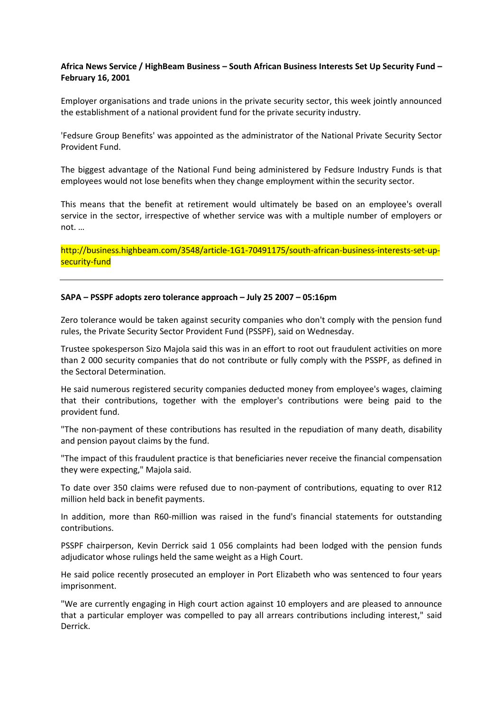# **Africa News Service / HighBeam Business – South African Business Interests Set Up Security Fund – February 16, 2001**

Employer organisations and trade unions in the private security sector, this week jointly announced the establishment of a national provident fund for the private security industry.

'Fedsure Group Benefits' was appointed as the administrator of the National Private Security Sector Provident Fund.

The biggest advantage of the National Fund being administered by Fedsure Industry Funds is that employees would not lose benefits when they change employment within the security sector.

This means that the benefit at retirement would ultimately be based on an employee's overall service in the sector, irrespective of whether service was with a multiple number of employers or not. …

[http://business.highbeam.com/3548/article-1G1-70491175/south-african-business-interests-set-up](http://business.highbeam.com/3548/article-1G1-70491175/south-african-business-interests-set-up-security-fund)[security-fund](http://business.highbeam.com/3548/article-1G1-70491175/south-african-business-interests-set-up-security-fund)

### **SAPA – PSSPF adopts zero tolerance approach – July 25 2007 – 05:16pm**

Zero tolerance would be taken against security companies who don't comply with the pension fund rules, the Private Security Sector Provident Fund (PSSPF), said on Wednesday.

Trustee spokesperson Sizo Majola said this was in an effort to root out fraudulent activities on more than 2 000 security companies that do not contribute or fully comply with the PSSPF, as defined in the Sectoral Determination.

He said numerous registered security companies deducted money from employee's wages, claiming that their contributions, together with the employer's contributions were being paid to the provident fund.

"The non-payment of these contributions has resulted in the repudiation of many death, disability and pension payout claims by the fund.

"The impact of this fraudulent practice is that beneficiaries never receive the financial compensation they were expecting," Majola said.

To date over 350 claims were refused due to non-payment of contributions, equating to over R12 million held back in benefit payments.

In addition, more than R60-million was raised in the fund's financial statements for outstanding contributions.

PSSPF chairperson, Kevin Derrick said 1 056 complaints had been lodged with the pension funds adjudicator whose rulings held the same weight as a High Court.

He said police recently prosecuted an employer in Port Elizabeth who was sentenced to four years imprisonment.

"We are currently engaging in High court action against 10 employers and are pleased to announce that a particular employer was compelled to pay all arrears contributions including interest," said Derrick.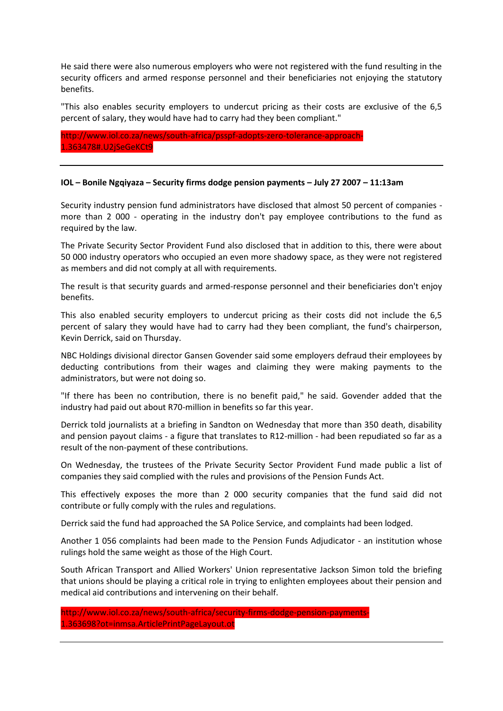He said there were also numerous employers who were not registered with the fund resulting in the security officers and armed response personnel and their beneficiaries not enjoying the statutory benefits.

"This also enables security employers to undercut pricing as their costs are exclusive of the 6,5 percent of salary, they would have had to carry had they been compliant."

[http://www.iol.co.za/news/south-africa/psspf-adopts-zero-tolerance-approach-](http://www.iol.co.za/news/south-africa/psspf-adopts-zero-tolerance-approach-1.363478#.U2jSeGeKCt9)[1.363478#.U2jSeGeKCt9](http://www.iol.co.za/news/south-africa/psspf-adopts-zero-tolerance-approach-1.363478#.U2jSeGeKCt9)

### **IOL – Bonile Ngqiyaza – Security firms dodge pension payments – July 27 2007 – 11:13am**

Security industry pension fund administrators have disclosed that almost 50 percent of companies more than 2 000 - operating in the industry don't pay employee contributions to the fund as required by the law.

The Private Security Sector Provident Fund also disclosed that in addition to this, there were about 50 000 industry operators who occupied an even more shadowy space, as they were not registered as members and did not comply at all with requirements.

The result is that security guards and armed-response personnel and their beneficiaries don't enjoy benefits.

This also enabled security employers to undercut pricing as their costs did not include the 6,5 percent of salary they would have had to carry had they been compliant, the fund's chairperson, Kevin Derrick, said on Thursday.

NBC Holdings divisional director Gansen Govender said some employers defraud their employees by deducting contributions from their wages and claiming they were making payments to the administrators, but were not doing so.

"If there has been no contribution, there is no benefit paid," he said. Govender added that the industry had paid out about R70-million in benefits so far this year.

Derrick told journalists at a briefing in Sandton on Wednesday that more than 350 death, disability and pension payout claims - a figure that translates to R12-million - had been repudiated so far as a result of the non-payment of these contributions.

On Wednesday, the trustees of the Private Security Sector Provident Fund made public a list of companies they said complied with the rules and provisions of the Pension Funds Act.

This effectively exposes the more than 2 000 security companies that the fund said did not contribute or fully comply with the rules and regulations.

Derrick said the fund had approached the SA Police Service, and complaints had been lodged.

Another 1 056 complaints had been made to the Pension Funds Adjudicator - an institution whose rulings hold the same weight as those of the High Court.

South African Transport and Allied Workers' Union representative Jackson Simon told the briefing that unions should be playing a critical role in trying to enlighten employees about their pension and medical aid contributions and intervening on their behalf.

```
http://www.iol.co.za/news/south-africa/security-firms-dodge-pension-payments-
1.363698?ot=inmsa.ArticlePrintPageLayout.ot
```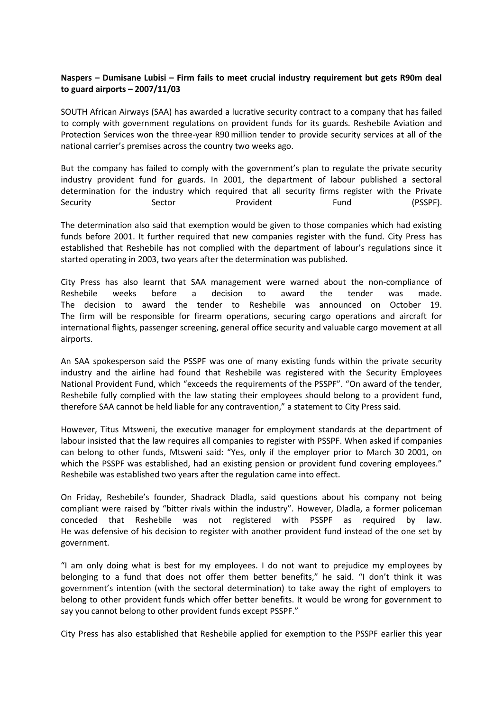# **Naspers – Dumisane Lubisi – Firm fails to meet crucial industry requirement but gets R90m deal to guard airports – 2007/11/03**

SOUTH African Airways (SAA) has awarded a lucrative security contract to a company that has failed to comply with government regulations on provident funds for its guards. Reshebile Aviation and Protection Services won the three-year R90 million tender to provide security services at all of the national carrier's premises across the country two weeks ago.

But the company has failed to comply with the government's plan to regulate the private security industry provident fund for guards. In 2001, the department of labour published a sectoral determination for the industry which required that all security firms register with the Private Security Sector Provident Fund Fund (PSSPF).

The determination also said that exemption would be given to those companies which had existing funds before 2001. It further required that new companies register with the fund. City Press has established that Reshebile has not complied with the department of labour's regulations since it started operating in 2003, two years after the determination was published.

City Press has also learnt that SAA management were warned about the non-compliance of Reshebile weeks before a decision to award the tender was made. The decision to award the tender to Reshebile was announced on October 19. The firm will be responsible for firearm operations, securing cargo operations and aircraft for international flights, passenger screening, general office security and valuable cargo movement at all airports.

An SAA spokesperson said the PSSPF was one of many existing funds within the private security industry and the airline had found that Reshebile was registered with the Security Employees National Provident Fund, which "exceeds the requirements of the PSSPF". "On award of the tender, Reshebile fully complied with the law stating their employees should belong to a provident fund, therefore SAA cannot be held liable for any contravention," a statement to City Press said.

However, Titus Mtsweni, the executive manager for employment standards at the department of labour insisted that the law requires all companies to register with PSSPF. When asked if companies can belong to other funds, Mtsweni said: "Yes, only if the employer prior to March 30 2001, on which the PSSPF was established, had an existing pension or provident fund covering employees." Reshebile was established two years after the regulation came into effect.

On Friday, Reshebile's founder, Shadrack Dladla, said questions about his company not being compliant were raised by "bitter rivals within the industry". However, Dladla, a former policeman conceded that Reshebile was not registered with PSSPF as required by law. He was defensive of his decision to register with another provident fund instead of the one set by government.

"I am only doing what is best for my employees. I do not want to prejudice my employees by belonging to a fund that does not offer them better benefits," he said. "I don't think it was government's intention (with the sectoral determination) to take away the right of employers to belong to other provident funds which offer better benefits. It would be wrong for government to say you cannot belong to other provident funds except PSSPF."

City Press has also established that Reshebile applied for exemption to the PSSPF earlier this year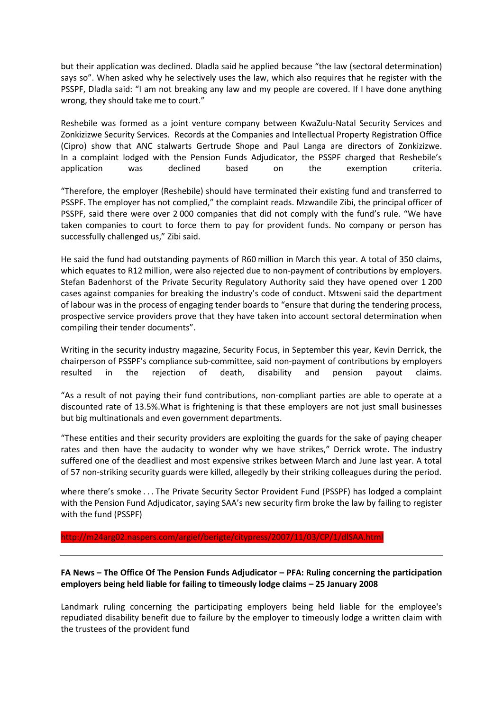but their application was declined. Dladla said he applied because "the law (sectoral determination) says so". When asked why he selectively uses the law, which also requires that he register with the PSSPF, Dladla said: "I am not breaking any law and my people are covered. If I have done anything wrong, they should take me to court."

Reshebile was formed as a joint venture company between KwaZulu-Natal Security Services and Zonkizizwe Security Services. Records at the Companies and Intellectual Property Registration Office (Cipro) show that ANC stalwarts Gertrude Shope and Paul Langa are directors of Zonkizizwe. In a complaint lodged with the Pension Funds Adjudicator, the PSSPF charged that Reshebile's application was declined based on the exemption criteria.

"Therefore, the employer (Reshebile) should have terminated their existing fund and transferred to PSSPF. The employer has not complied," the complaint reads. Mzwandile Zibi, the principal officer of PSSPF, said there were over 2 000 companies that did not comply with the fund's rule. "We have taken companies to court to force them to pay for provident funds. No company or person has successfully challenged us," Zibi said.

He said the fund had outstanding payments of R60 million in March this year. A total of 350 claims, which equates to R12 million, were also rejected due to non-payment of contributions by employers. Stefan Badenhorst of the Private Security Regulatory Authority said they have opened over 1 200 cases against companies for breaking the industry's code of conduct. Mtsweni said the department of labour was in the process of engaging tender boards to "ensure that during the tendering process, prospective service providers prove that they have taken into account sectoral determination when compiling their tender documents".

Writing in the security industry magazine, Security Focus, in September this year, Kevin Derrick, the chairperson of PSSPF's compliance sub-committee, said non-payment of contributions by employers resulted in the rejection of death, disability and pension payout claims.

"As a result of not paying their fund contributions, non-compliant parties are able to operate at a discounted rate of 13.5%.What is frightening is that these employers are not just small businesses but big multinationals and even government departments.

"These entities and their security providers are exploiting the guards for the sake of paying cheaper rates and then have the audacity to wonder why we have strikes," Derrick wrote. The industry suffered one of the deadliest and most expensive strikes between March and June last year. A total of 57 non-striking security guards were killed, allegedly by their striking colleagues during the period.

where there's smoke . . . The Private Security Sector Provident Fund (PSSPF) has lodged a complaint with the Pension Fund Adjudicator, saying SAA's new security firm broke the law by failing to register with the fund (PSSPF)

<http://m24arg02.naspers.com/argief/berigte/citypress/2007/11/03/CP/1/dlSAA.html>

**FA News – The Office Of The Pension Funds Adjudicator – PFA: Ruling concerning the participation employers being held liable for failing to timeously lodge claims – 25 January 2008**

Landmark ruling concerning the participating employers being held liable for the employee's repudiated disability benefit due to failure by the employer to timeously lodge a written claim with the trustees of the provident fund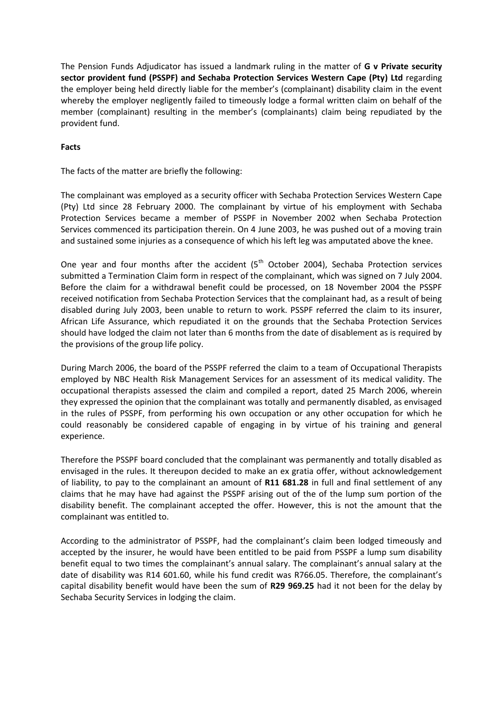The Pension Funds Adjudicator has issued a landmark ruling in the matter of **G v Private security sector provident fund (PSSPF) and Sechaba Protection Services Western Cape (Pty) Ltd** regarding the employer being held directly liable for the member's (complainant) disability claim in the event whereby the employer negligently failed to timeously lodge a formal written claim on behalf of the member (complainant) resulting in the member's (complainants) claim being repudiated by the provident fund.

# **Facts**

The facts of the matter are briefly the following:

The complainant was employed as a security officer with Sechaba Protection Services Western Cape (Pty) Ltd since 28 February 2000. The complainant by virtue of his employment with Sechaba Protection Services became a member of PSSPF in November 2002 when Sechaba Protection Services commenced its participation therein. On 4 June 2003, he was pushed out of a moving train and sustained some injuries as a consequence of which his left leg was amputated above the knee.

One year and four months after the accident  $(5<sup>th</sup>$  October 2004), Sechaba Protection services submitted a Termination Claim form in respect of the complainant, which was signed on 7 July 2004. Before the claim for a withdrawal benefit could be processed, on 18 November 2004 the PSSPF received notification from Sechaba Protection Services that the complainant had, as a result of being disabled during July 2003, been unable to return to work. PSSPF referred the claim to its insurer, African Life Assurance, which repudiated it on the grounds that the Sechaba Protection Services should have lodged the claim not later than 6 months from the date of disablement as is required by the provisions of the group life policy.

During March 2006, the board of the PSSPF referred the claim to a team of Occupational Therapists employed by NBC Health Risk Management Services for an assessment of its medical validity. The occupational therapists assessed the claim and compiled a report, dated 25 March 2006, wherein they expressed the opinion that the complainant was totally and permanently disabled, as envisaged in the rules of PSSPF, from performing his own occupation or any other occupation for which he could reasonably be considered capable of engaging in by virtue of his training and general experience.

Therefore the PSSPF board concluded that the complainant was permanently and totally disabled as envisaged in the rules. It thereupon decided to make an ex gratia offer, without acknowledgement of liability, to pay to the complainant an amount of **R11 681.28** in full and final settlement of any claims that he may have had against the PSSPF arising out of the of the lump sum portion of the disability benefit. The complainant accepted the offer. However, this is not the amount that the complainant was entitled to.

According to the administrator of PSSPF, had the complainant's claim been lodged timeously and accepted by the insurer, he would have been entitled to be paid from PSSPF a lump sum disability benefit equal to two times the complainant's annual salary. The complainant's annual salary at the date of disability was R14 601.60, while his fund credit was R766.05. Therefore, the complainant's capital disability benefit would have been the sum of **R29 969.25** had it not been for the delay by Sechaba Security Services in lodging the claim.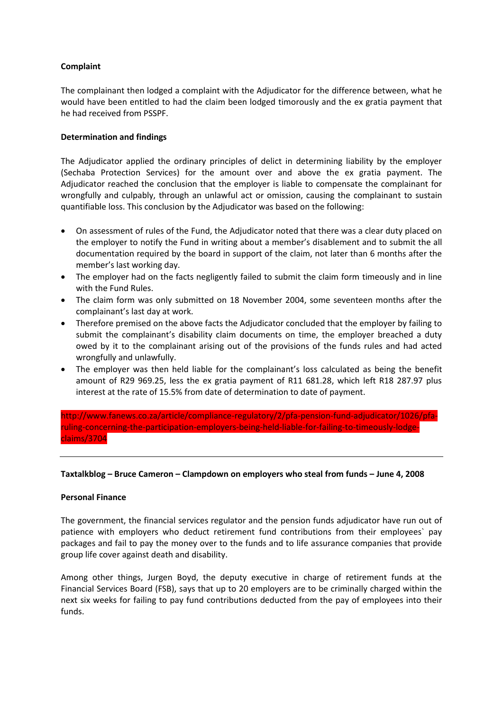# **Complaint**

The complainant then lodged a complaint with the Adjudicator for the difference between, what he would have been entitled to had the claim been lodged timorously and the ex gratia payment that he had received from PSSPF.

## **Determination and findings**

The Adjudicator applied the ordinary principles of delict in determining liability by the employer (Sechaba Protection Services) for the amount over and above the ex gratia payment. The Adjudicator reached the conclusion that the employer is liable to compensate the complainant for wrongfully and culpably, through an unlawful act or omission, causing the complainant to sustain quantifiable loss. This conclusion by the Adjudicator was based on the following:

- On assessment of rules of the Fund, the Adjudicator noted that there was a clear duty placed on the employer to notify the Fund in writing about a member's disablement and to submit the all documentation required by the board in support of the claim, not later than 6 months after the member's last working day.
- The employer had on the facts negligently failed to submit the claim form timeously and in line with the Fund Rules.
- The claim form was only submitted on 18 November 2004, some seventeen months after the complainant's last day at work.
- Therefore premised on the above facts the Adjudicator concluded that the employer by failing to submit the complainant's disability claim documents on time, the employer breached a duty owed by it to the complainant arising out of the provisions of the funds rules and had acted wrongfully and unlawfully.
- The employer was then held liable for the complainant's loss calculated as being the benefit amount of R29 969.25, less the ex gratia payment of R11 681.28, which left R18 287.97 plus interest at the rate of 15.5% from date of determination to date of payment.

[http://www.fanews.co.za/article/compliance-regulatory/2/pfa-pension-fund-adjudicator/1026/pfa](http://www.fanews.co.za/article/compliance-regulatory/2/pfa-pension-fund-adjudicator/1026/pfa-ruling-concerning-the-participation-employers-being-held-liable-for-failing-to-timeously-lodge-claims/3704)[ruling-concerning-the-participation-employers-being-held-liable-for-failing-to-timeously-lodge](http://www.fanews.co.za/article/compliance-regulatory/2/pfa-pension-fund-adjudicator/1026/pfa-ruling-concerning-the-participation-employers-being-held-liable-for-failing-to-timeously-lodge-claims/3704)[claims/3704](http://www.fanews.co.za/article/compliance-regulatory/2/pfa-pension-fund-adjudicator/1026/pfa-ruling-concerning-the-participation-employers-being-held-liable-for-failing-to-timeously-lodge-claims/3704)

## **Taxtalkblog – Bruce Cameron – Clampdown on employers who steal from funds – June 4, 2008**

## **Personal Finance**

The government, the financial services regulator and the pension funds adjudicator have run out of patience with employers who deduct retirement fund contributions from their employees` pay packages and fail to pay the money over to the funds and to life assurance companies that provide group life cover against death and disability.

Among other things, Jurgen Boyd, the deputy executive in charge of retirement funds at the Financial Services Board (FSB), says that up to 20 employers are to be criminally charged within the next six weeks for failing to pay fund contributions deducted from the pay of employees into their funds.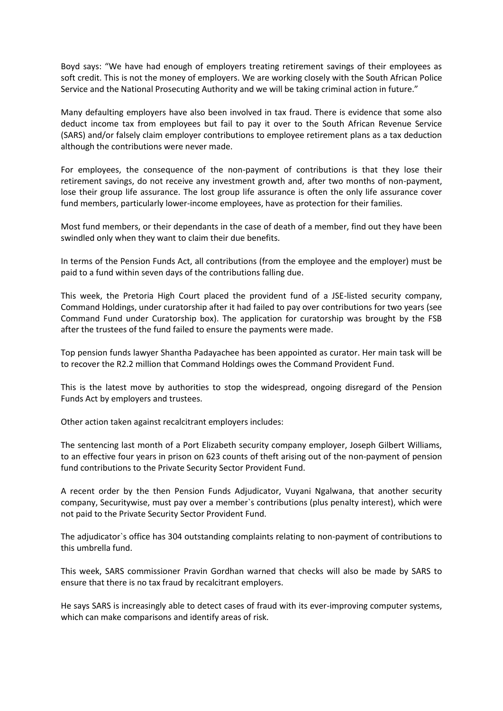Boyd says: "We have had enough of employers treating retirement savings of their employees as soft credit. This is not the money of employers. We are working closely with the South African Police Service and the National Prosecuting Authority and we will be taking criminal action in future."

Many defaulting employers have also been involved in tax fraud. There is evidence that some also deduct income tax from employees but fail to pay it over to the South African Revenue Service (SARS) and/or falsely claim employer contributions to employee retirement plans as a tax deduction although the contributions were never made.

For employees, the consequence of the non-payment of contributions is that they lose their retirement savings, do not receive any investment growth and, after two months of non-payment, lose their group life assurance. The lost group life assurance is often the only life assurance cover fund members, particularly lower-income employees, have as protection for their families.

Most fund members, or their dependants in the case of death of a member, find out they have been swindled only when they want to claim their due benefits.

In terms of the Pension Funds Act, all contributions (from the employee and the employer) must be paid to a fund within seven days of the contributions falling due.

This week, the Pretoria High Court placed the provident fund of a JSE-listed security company, Command Holdings, under curatorship after it had failed to pay over contributions for two years (see Command Fund under Curatorship box). The application for curatorship was brought by the FSB after the trustees of the fund failed to ensure the payments were made.

Top pension funds lawyer Shantha Padayachee has been appointed as curator. Her main task will be to recover the R2.2 million that Command Holdings owes the Command Provident Fund.

This is the latest move by authorities to stop the widespread, ongoing disregard of the Pension Funds Act by employers and trustees.

Other action taken against recalcitrant employers includes:

The sentencing last month of a Port Elizabeth security company employer, Joseph Gilbert Williams, to an effective four years in prison on 623 counts of theft arising out of the non-payment of pension fund contributions to the Private Security Sector Provident Fund.

A recent order by the then Pension Funds Adjudicator, Vuyani Ngalwana, that another security company, Securitywise, must pay over a member`s contributions (plus penalty interest), which were not paid to the Private Security Sector Provident Fund.

The adjudicator`s office has 304 outstanding complaints relating to non-payment of contributions to this umbrella fund.

This week, SARS commissioner Pravin Gordhan warned that checks will also be made by SARS to ensure that there is no tax fraud by recalcitrant employers.

He says SARS is increasingly able to detect cases of fraud with its ever-improving computer systems, which can make comparisons and identify areas of risk.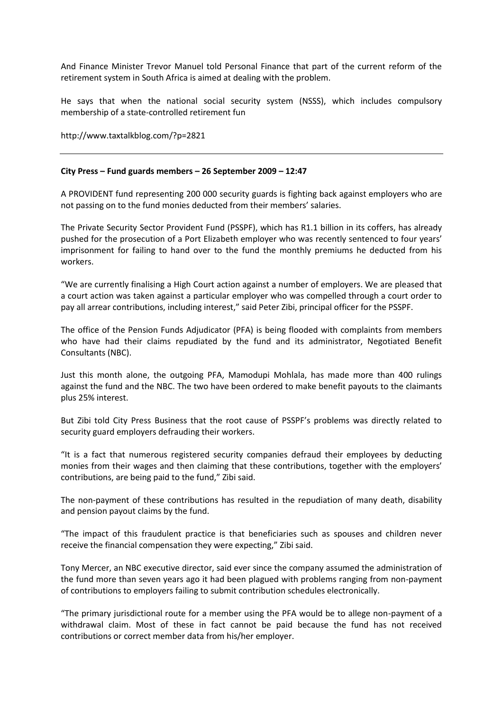And Finance Minister Trevor Manuel told Personal Finance that part of the current reform of the retirement system in South Africa is aimed at dealing with the problem.

He says that when the national social security system (NSSS), which includes compulsory membership of a state-controlled retirement fun

<http://www.taxtalkblog.com/?p=2821>

### **City Press – Fund guards members – 26 September 2009 – 12:47**

A PROVIDENT fund representing 200 000 security guards is fighting back against employers who are not passing on to the fund monies deducted from their members' salaries.

The Private Security Sector Provident Fund (PSSPF), which has R1.1 billion in its coffers, has already pushed for the prosecution of a Port Elizabeth employer who was recently sentenced to four years' imprisonment for failing to hand over to the fund the monthly premiums he deducted from his workers.

"We are currently finalising a High Court action against a number of employers. We are pleased that a court action was taken against a particular employer who was compelled through a court order to pay all arrear contributions, including interest," said Peter Zibi, principal officer for the PSSPF.

The office of the Pension Funds Adjudicator (PFA) is being flooded with complaints from members who have had their claims repudiated by the fund and its administrator, Negotiated Benefit Consultants (NBC).

Just this month alone, the outgoing PFA, Mamodupi Mohlala, has made more than 400 rulings against the fund and the NBC. The two have been ordered to make benefit payouts to the claimants plus 25% interest.

But Zibi told City Press Business that the root cause of PSSPF's problems was directly related to security guard employers defrauding their workers.

"It is a fact that numerous registered security companies defraud their employees by deducting monies from their wages and then claiming that these contributions, together with the employers' contributions, are being paid to the fund," Zibi said.

The non-payment of these contributions has resulted in the repudiation of many death, disability and pension payout claims by the fund.

"The impact of this fraudulent practice is that beneficiaries such as spouses and children never receive the financial compensation they were expecting," Zibi said.

Tony Mercer, an NBC executive director, said ever since the company assumed the administration of the fund more than seven years ago it had been plagued with problems ranging from non-payment of contributions to employers failing to submit contribution schedules electronically.

"The primary jurisdictional route for a member using the PFA would be to allege non-payment of a withdrawal claim. Most of these in fact cannot be paid because the fund has not received contributions or correct member data from his/her employer.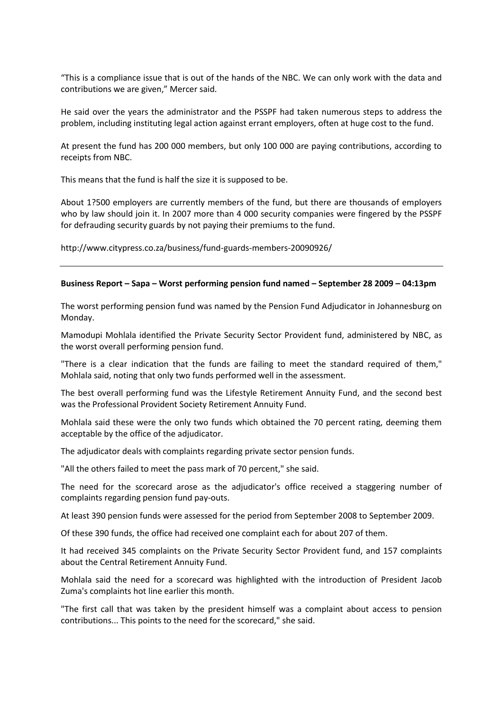"This is a compliance issue that is out of the hands of the NBC. We can only work with the data and contributions we are given," Mercer said.

He said over the years the administrator and the PSSPF had taken numerous steps to address the problem, including instituting legal action against errant employers, often at huge cost to the fund.

At present the fund has 200 000 members, but only 100 000 are paying contributions, according to receipts from NBC.

This means that the fund is half the size it is supposed to be.

About 1?500 employers are currently members of the fund, but there are thousands of employers who by law should join it. In 2007 more than 4 000 security companies were fingered by the PSSPF for defrauding security guards by not paying their premiums to the fund.

<http://www.citypress.co.za/business/fund-guards-members-20090926/>

#### **Business Report – Sapa – Worst performing pension fund named – September 28 2009 – 04:13pm**

The worst performing pension fund was named by the Pension Fund Adjudicator in Johannesburg on Monday.

Mamodupi Mohlala identified the Private Security Sector Provident fund, administered by NBC, as the worst overall performing pension fund.

"There is a clear indication that the funds are failing to meet the standard required of them," Mohlala said, noting that only two funds performed well in the assessment.

The best overall performing fund was the Lifestyle Retirement Annuity Fund, and the second best was the Professional Provident Society Retirement Annuity Fund.

Mohlala said these were the only two funds which obtained the 70 percent rating, deeming them acceptable by the office of the adjudicator.

The adjudicator deals with complaints regarding private sector pension funds.

"All the others failed to meet the pass mark of 70 percent," she said.

The need for the scorecard arose as the adjudicator's office received a staggering number of complaints regarding pension fund pay-outs.

At least 390 pension funds were assessed for the period from September 2008 to September 2009.

Of these 390 funds, the office had received one complaint each for about 207 of them.

It had received 345 complaints on the Private Security Sector Provident fund, and 157 complaints about the Central Retirement Annuity Fund.

Mohlala said the need for a scorecard was highlighted with the introduction of President Jacob Zuma's complaints hot line earlier this month.

"The first call that was taken by the president himself was a complaint about access to pension contributions... This points to the need for the scorecard," she said.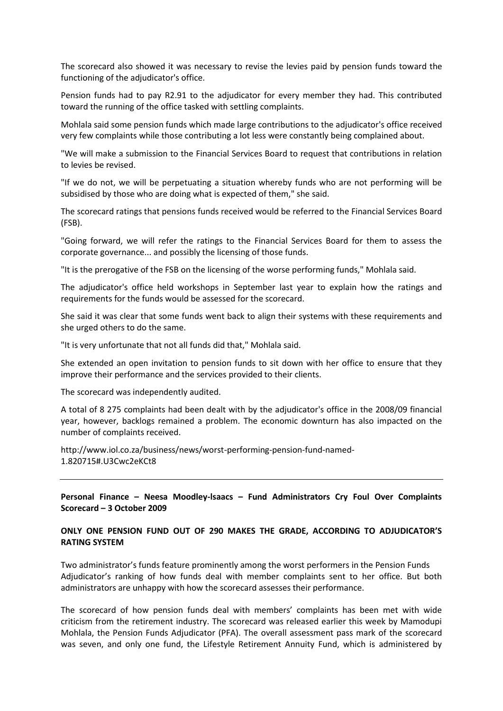The scorecard also showed it was necessary to revise the levies paid by pension funds toward the functioning of the adjudicator's office.

Pension funds had to pay R2.91 to the adjudicator for every member they had. This contributed toward the running of the office tasked with settling complaints.

Mohlala said some pension funds which made large contributions to the adjudicator's office received very few complaints while those contributing a lot less were constantly being complained about.

"We will make a submission to the Financial Services Board to request that contributions in relation to levies be revised.

"If we do not, we will be perpetuating a situation whereby funds who are not performing will be subsidised by those who are doing what is expected of them," she said.

The scorecard ratings that pensions funds received would be referred to the Financial Services Board (FSB).

"Going forward, we will refer the ratings to the Financial Services Board for them to assess the corporate governance... and possibly the licensing of those funds.

"It is the prerogative of the FSB on the licensing of the worse performing funds," Mohlala said.

The adjudicator's office held workshops in September last year to explain how the ratings and requirements for the funds would be assessed for the scorecard.

She said it was clear that some funds went back to align their systems with these requirements and she urged others to do the same.

"It is very unfortunate that not all funds did that," Mohlala said.

She extended an open invitation to pension funds to sit down with her office to ensure that they improve their performance and the services provided to their clients.

The scorecard was independently audited.

A total of 8 275 complaints had been dealt with by the adjudicator's office in the 2008/09 financial year, however, backlogs remained a problem. The economic downturn has also impacted on the number of complaints received.

[http://www.iol.co.za/business/news/worst-performing-pension-fund-named-](http://www.iol.co.za/business/news/worst-performing-pension-fund-named-1.820715#.U3Cwc2eKCt8)[1.820715#.U3Cwc2eKCt8](http://www.iol.co.za/business/news/worst-performing-pension-fund-named-1.820715#.U3Cwc2eKCt8)

**Personal Finance – Neesa Moodley-lsaacs – Fund Administrators Cry Foul Over Complaints Scorecard – 3 October 2009**

## **ONLY ONE PENSION FUND OUT OF 290 MAKES THE GRADE, ACCORDING TO ADJUDICATOR'S RATING SYSTEM**

Two administrator's funds feature prominently among the worst performers in the Pension Funds Adjudicator's ranking of how funds deal with member complaints sent to her office. But both administrators are unhappy with how the scorecard assesses their performance.

The scorecard of how pension funds deal with members' complaints has been met with wide criticism from the retirement industry. The scorecard was released earlier this week by Mamodupi Mohlala, the Pension Funds Adjudicator (PFA). The overall assessment pass mark of the scorecard was seven, and only one fund, the Lifestyle Retirement Annuity Fund, which is administered by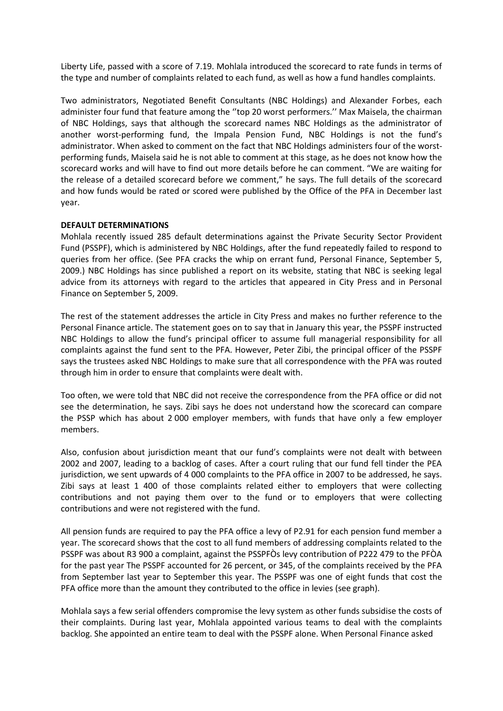Liberty Life, passed with a score of 7.19. Mohlala introduced the scorecard to rate funds in terms of the type and number of complaints related to each fund, as well as how a fund handles complaints.

Two administrators, Negotiated Benefit Consultants (NBC Holdings) and Alexander Forbes, each administer four fund that feature among the ''top 20 worst performers.'' Max Maisela, the chairman of NBC Holdings, says that although the scorecard names NBC Holdings as the administrator of another worst-performing fund, the Impala Pension Fund, NBC Holdings is not the fund's administrator. When asked to comment on the fact that NBC Holdings administers four of the worstperforming funds, Maisela said he is not able to comment at this stage, as he does not know how the scorecard works and will have to find out more details before he can comment. "We are waiting for the release of a detailed scorecard before we comment," he says. The full details of the scorecard and how funds would be rated or scored were published by the Office of the PFA in December last year.

### **DEFAULT DETERMINATIONS**

Mohlala recently issued 285 default determinations against the Private Security Sector Provident Fund (PSSPF), which is administered by NBC Holdings, after the fund repeatedly failed to respond to queries from her office. (See PFA cracks the whip on errant fund, Personal Finance, September 5, 2009.) NBC Holdings has since published a report on its website, stating that NBC is seeking legal advice from its attorneys with regard to the articles that appeared in City Press and in Personal Finance on September 5, 2009.

The rest of the statement addresses the article in City Press and makes no further reference to the Personal Finance article. The statement goes on to say that in January this year, the PSSPF instructed NBC Holdings to allow the fund's principal officer to assume full managerial responsibility for all complaints against the fund sent to the PFA. However, Peter Zibi, the principal officer of the PSSPF says the trustees asked NBC Holdings to make sure that all correspondence with the PFA was routed through him in order to ensure that complaints were dealt with.

Too often, we were told that NBC did not receive the correspondence from the PFA office or did not see the determination, he says. Zibi says he does not understand how the scorecard can compare the PSSP which has about 2 000 employer members, with funds that have only a few employer members.

Also, confusion about jurisdiction meant that our fund's complaints were not dealt with between 2002 and 2007, leading to a backlog of cases. After a court ruling that our fund fell tinder the PEA jurisdiction, we sent upwards of 4 000 complaints to the PFA office in 2007 to be addressed, he says. Zibi says at least 1 400 of those complaints related either to employers that were collecting contributions and not paying them over to the fund or to employers that were collecting contributions and were not registered with the fund.

All pension funds are required to pay the PFA office a levy of P2.91 for each pension fund member a year. The scorecard shows that the cost to all fund members of addressing complaints related to the PSSPF was about R3 900 a complaint, against the PSSPFÒs levy contribution of P222 479 to the PFÒA for the past year The PSSPF accounted for 26 percent, or 345, of the complaints received by the PFA from September last year to September this year. The PSSPF was one of eight funds that cost the PFA office more than the amount they contributed to the office in levies (see graph).

Mohlala says a few serial offenders compromise the levy system as other funds subsidise the costs of their complaints. During last year, Mohlala appointed various teams to deal with the complaints backlog. She appointed an entire team to deal with the PSSPF alone. When Personal Finance asked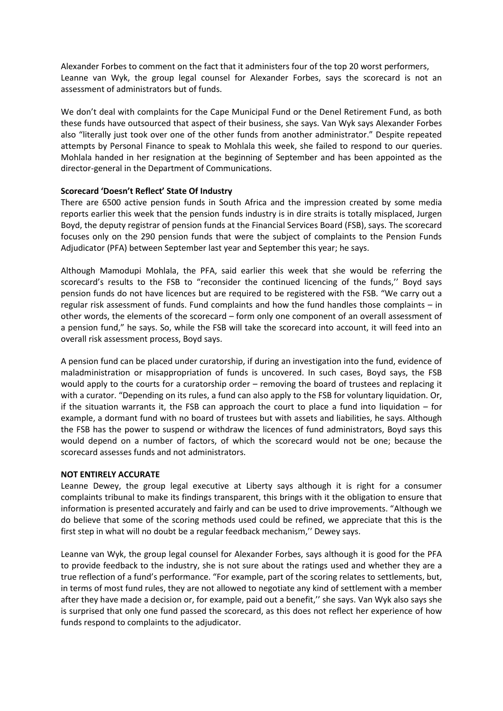Alexander Forbes to comment on the fact that it administers four of the top 20 worst performers, Leanne van Wyk, the group legal counsel for Alexander Forbes, says the scorecard is not an assessment of administrators but of funds.

We don't deal with complaints for the Cape Municipal Fund or the Denel Retirement Fund, as both these funds have outsourced that aspect of their business, she says. Van Wyk says Alexander Forbes also "literally just took over one of the other funds from another administrator." Despite repeated attempts by Personal Finance to speak to Mohlala this week, she failed to respond to our queries. Mohlala handed in her resignation at the beginning of September and has been appointed as the director-general in the Department of Communications.

## **Scorecard 'Doesn't Reflect' State Of Industry**

There are 6500 active pension funds in South Africa and the impression created by some media reports earlier this week that the pension funds industry is in dire straits is totally misplaced, Jurgen Boyd, the deputy registrar of pension funds at the Financial Services Board (FSB), says. The scorecard focuses only on the 290 pension funds that were the subject of complaints to the Pension Funds Adjudicator (PFA) between September last year and September this year; he says.

Although Mamodupi Mohlala, the PFA, said earlier this week that she would be referring the scorecard's results to the FSB to "reconsider the continued licencing of the funds,'' Boyd says pension funds do not have licences but are required to be registered with the FSB. "We carry out a regular risk assessment of funds. Fund complaints and how the fund handles those complaints – in other words, the elements of the scorecard – form only one component of an overall assessment of a pension fund," he says. So, while the FSB will take the scorecard into account, it will feed into an overall risk assessment process, Boyd says.

A pension fund can be placed under curatorship, if during an investigation into the fund, evidence of maladministration or misappropriation of funds is uncovered. In such cases, Boyd says, the FSB would apply to the courts for a curatorship order – removing the board of trustees and replacing it with a curator. "Depending on its rules, a fund can also apply to the FSB for voluntary liquidation. Or, if the situation warrants it, the FSB can approach the court to place a fund into liquidation – for example, a dormant fund with no board of trustees but with assets and liabilities, he says. Although the FSB has the power to suspend or withdraw the licences of fund administrators, Boyd says this would depend on a number of factors, of which the scorecard would not be one; because the scorecard assesses funds and not administrators.

## **NOT ENTIRELY ACCURATE**

Leanne Dewey, the group legal executive at Liberty says although it is right for a consumer complaints tribunal to make its findings transparent, this brings with it the obligation to ensure that information is presented accurately and fairly and can be used to drive improvements. "Although we do believe that some of the scoring methods used could be refined, we appreciate that this is the first step in what will no doubt be a regular feedback mechanism,'' Dewey says.

Leanne van Wyk, the group legal counsel for Alexander Forbes, says although it is good for the PFA to provide feedback to the industry, she is not sure about the ratings used and whether they are a true reflection of a fund's performance. "For example, part of the scoring relates to settlements, but, in terms of most fund rules, they are not allowed to negotiate any kind of settlement with a member after they have made a decision or, for example, paid out a benefit,'' she says. Van Wyk also says she is surprised that only one fund passed the scorecard, as this does not reflect her experience of how funds respond to complaints to the adjudicator.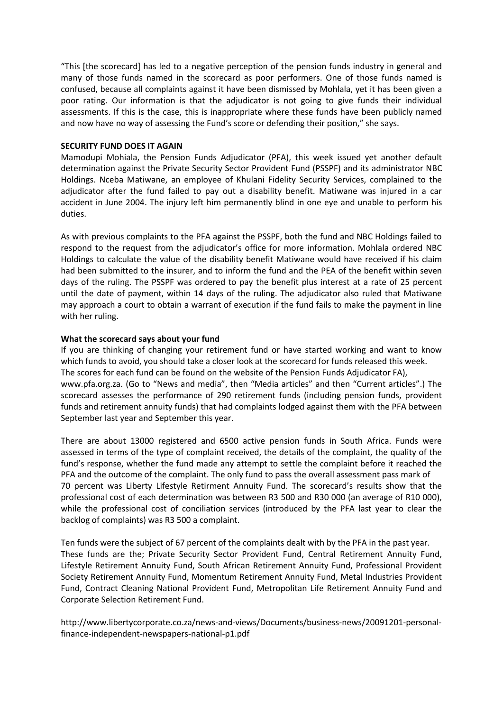"This [the scorecard] has led to a negative perception of the pension funds industry in general and many of those funds named in the scorecard as poor performers. One of those funds named is confused, because all complaints against it have been dismissed by Mohlala, yet it has been given a poor rating. Our information is that the adjudicator is not going to give funds their individual assessments. If this is the case, this is inappropriate where these funds have been publicly named and now have no way of assessing the Fund's score or defending their position," she says.

### **SECURITY FUND DOES IT AGAIN**

Mamodupi Mohiala, the Pension Funds Adjudicator (PFA), this week issued yet another default determination against the Private Security Sector Provident Fund (PSSPF) and its administrator NBC Holdings. Nceba Matiwane, an employee of Khulani Fidelity Security Services, complained to the adjudicator after the fund failed to pay out a disability benefit. Matiwane was injured in a car accident in June 2004. The injury left him permanently blind in one eye and unable to perform his duties.

As with previous complaints to the PFA against the PSSPF, both the fund and NBC Holdings failed to respond to the request from the adjudicator's office for more information. Mohlala ordered NBC Holdings to calculate the value of the disability benefit Matiwane would have received if his claim had been submitted to the insurer, and to inform the fund and the PEA of the benefit within seven days of the ruling. The PSSPF was ordered to pay the benefit plus interest at a rate of 25 percent until the date of payment, within 14 days of the ruling. The adjudicator also ruled that Matiwane may approach a court to obtain a warrant of execution if the fund fails to make the payment in line with her ruling.

## **What the scorecard says about your fund**

If you are thinking of changing your retirement fund or have started working and want to know which funds to avoid, you should take a closer look at the scorecard for funds released this week. The scores for each fund can be found on the website of the Pension Funds Adjudicator FA), www.pfa.org.za. (Go to "News and media", then "Media articles" and then "Current articles".) The scorecard assesses the performance of 290 retirement funds (including pension funds, provident funds and retirement annuity funds) that had complaints lodged against them with the PFA between September last year and September this year.

There are about 13000 registered and 6500 active pension funds in South Africa. Funds were assessed in terms of the type of complaint received, the details of the complaint, the quality of the fund's response, whether the fund made any attempt to settle the complaint before it reached the PFA and the outcome of the complaint. The only fund to pass the overall assessment pass mark of 70 percent was Liberty Lifestyle Retirment Annuity Fund. The scorecard's results show that the professional cost of each determination was between R3 500 and R30 000 (an average of R10 000), while the professional cost of conciliation services (introduced by the PFA last year to clear the backlog of complaints) was R3 500 a complaint.

Ten funds were the subject of 67 percent of the complaints dealt with by the PFA in the past year. These funds are the; Private Security Sector Provident Fund, Central Retirement Annuity Fund, Lifestyle Retirement Annuity Fund, South African Retirement Annuity Fund, Professional Provident Society Retirement Annuity Fund, Momentum Retirement Annuity Fund, Metal Industries Provident Fund, Contract Cleaning National Provident Fund, Metropolitan Life Retirement Annuity Fund and Corporate Selection Retirement Fund.

[http://www.libertycorporate.co.za/news-and-views/Documents/business-news/20091201-personal](http://www.libertycorporate.co.za/news-and-views/Documents/business-news/20091201-personal-finance-independent-newspapers-national-p1.pdf)[finance-independent-newspapers-national-p1.pdf](http://www.libertycorporate.co.za/news-and-views/Documents/business-news/20091201-personal-finance-independent-newspapers-national-p1.pdf)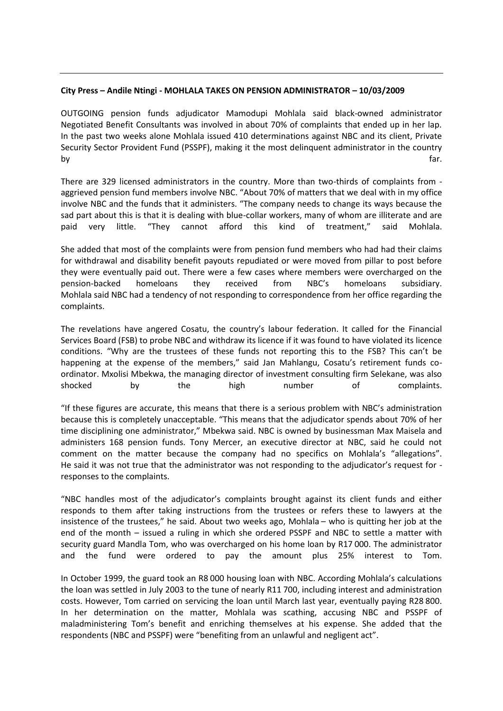## **City Press – Andile Ntingi - MOHLALA TAKES ON PENSION ADMINISTRATOR – 10/03/2009**

OUTGOING pension funds adjudicator Mamodupi Mohlala said black-owned administrator Negotiated Benefit Consultants was involved in about 70% of complaints that ended up in her lap. In the past two weeks alone Mohlala issued 410 determinations against NBC and its client, Private Security Sector Provident Fund (PSSPF), making it the most delinquent administrator in the country by far. The contract of the contract of the contract of the contract of the contract of the contract of the co

There are 329 licensed administrators in the country. More than two-thirds of complaints from aggrieved pension fund members involve NBC. "About 70% of matters that we deal with in my office involve NBC and the funds that it administers. "The company needs to change its ways because the sad part about this is that it is dealing with blue-collar workers, many of whom are illiterate and are paid very little. "They cannot afford this kind of treatment," said Mohlala.

She added that most of the complaints were from pension fund members who had had their claims for withdrawal and disability benefit payouts repudiated or were moved from pillar to post before they were eventually paid out. There were a few cases where members were overcharged on the pension-backed homeloans they received from NBC's homeloans subsidiary. Mohlala said NBC had a tendency of not responding to correspondence from her office regarding the complaints.

The revelations have angered Cosatu, the country's labour federation. It called for the Financial Services Board (FSB) to probe NBC and withdraw its licence if it was found to have violated its licence conditions. "Why are the trustees of these funds not reporting this to the FSB? This can't be happening at the expense of the members," said Jan Mahlangu, Cosatu's retirement funds coordinator. Mxolisi Mbekwa, the managing director of investment consulting firm Selekane, was also shocked by the high number of complaints.

"If these figures are accurate, this means that there is a serious problem with NBC's administration because this is completely unacceptable. "This means that the adjudicator spends about 70% of her time disciplining one administrator," Mbekwa said. NBC is owned by businessman Max Maisela and administers 168 pension funds. Tony Mercer, an executive director at NBC, said he could not comment on the matter because the company had no specifics on Mohlala's "allegations". He said it was not true that the administrator was not responding to the adjudicator's request for responses to the complaints.

"NBC handles most of the adjudicator's complaints brought against its client funds and either responds to them after taking instructions from the trustees or refers these to lawyers at the insistence of the trustees," he said. About two weeks ago, Mohlala – who is quitting her job at the end of the month – issued a ruling in which she ordered PSSPF and NBC to settle a matter with security guard Mandla Tom, who was overcharged on his home loan by R17 000. The administrator and the fund were ordered to pay the amount plus 25% interest to Tom.

In October 1999, the guard took an R8 000 housing loan with NBC. According Mohlala's calculations the loan was settled in July 2003 to the tune of nearly R11 700, including interest and administration costs. However, Tom carried on servicing the loan until March last year, eventually paying R28 800. In her determination on the matter, Mohlala was scathing, accusing NBC and PSSPF of maladministering Tom's benefit and enriching themselves at his expense. She added that the respondents (NBC and PSSPF) were "benefiting from an unlawful and negligent act".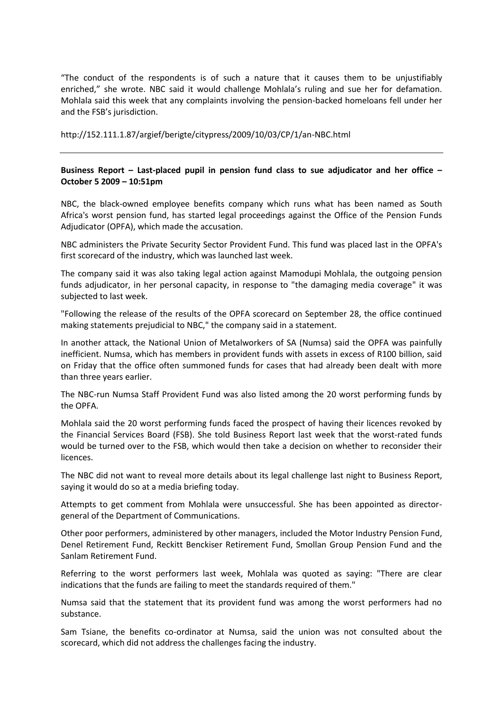"The conduct of the respondents is of such a nature that it causes them to be unjustifiably enriched," she wrote. NBC said it would challenge Mohlala's ruling and sue her for defamation. Mohlala said this week that any complaints involving the pension-backed homeloans fell under her and the FSB's jurisdiction.

<http://152.111.1.87/argief/berigte/citypress/2009/10/03/CP/1/an-NBC.html>

# **Business Report – Last-placed pupil in pension fund class to sue adjudicator and her office – October 5 2009 – 10:51pm**

NBC, the black-owned employee benefits company which runs what has been named as South Africa's worst pension fund, has started legal proceedings against the Office of the Pension Funds Adjudicator (OPFA), which made the accusation.

NBC administers the Private Security Sector Provident Fund. This fund was placed last in the OPFA's first scorecard of the industry, which was launched last week.

The company said it was also taking legal action against Mamodupi Mohlala, the outgoing pension funds adjudicator, in her personal capacity, in response to "the damaging media coverage" it was subjected to last week.

"Following the release of the results of the OPFA scorecard on September 28, the office continued making statements prejudicial to NBC," the company said in a statement.

In another attack, the National Union of Metalworkers of SA (Numsa) said the OPFA was painfully inefficient. Numsa, which has members in provident funds with assets in excess of R100 billion, said on Friday that the office often summoned funds for cases that had already been dealt with more than three years earlier.

The NBC-run Numsa Staff Provident Fund was also listed among the 20 worst performing funds by the OPFA.

Mohlala said the 20 worst performing funds faced the prospect of having their licences revoked by the Financial Services Board (FSB). She told Business Report last week that the worst-rated funds would be turned over to the FSB, which would then take a decision on whether to reconsider their licences.

The NBC did not want to reveal more details about its legal challenge last night to Business Report, saying it would do so at a media briefing today.

Attempts to get comment from Mohlala were unsuccessful. She has been appointed as directorgeneral of the Department of Communications.

Other poor performers, administered by other managers, included the Motor Industry Pension Fund, Denel Retirement Fund, Reckitt Benckiser Retirement Fund, Smollan Group Pension Fund and the Sanlam Retirement Fund.

Referring to the worst performers last week, Mohlala was quoted as saying: "There are clear indications that the funds are failing to meet the standards required of them."

Numsa said that the statement that its provident fund was among the worst performers had no substance.

Sam Tsiane, the benefits co-ordinator at Numsa, said the union was not consulted about the scorecard, which did not address the challenges facing the industry.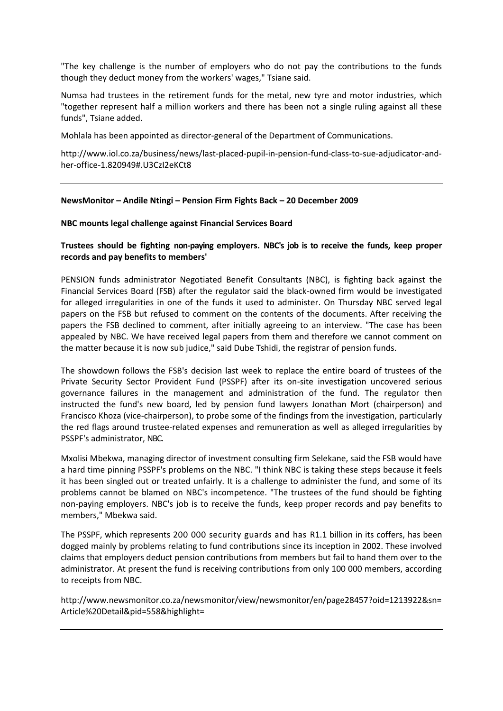"The key challenge is the number of employers who do not pay the contributions to the funds though they deduct money from the workers' wages," Tsiane said.

Numsa had trustees in the retirement funds for the metal, new tyre and motor industries, which "together represent half a million workers and there has been not a single ruling against all these funds", Tsiane added.

Mohlala has been appointed as director-general of the Department of Communications.

[http://www.iol.co.za/business/news/last-placed-pupil-in-pension-fund-class-to-sue-adjudicator-and](http://www.iol.co.za/business/news/last-placed-pupil-in-pension-fund-class-to-sue-adjudicator-and-her-office-1.820949#.U3CzI2eKCt8)[her-office-1.820949#.U3CzI2eKCt8](http://www.iol.co.za/business/news/last-placed-pupil-in-pension-fund-class-to-sue-adjudicator-and-her-office-1.820949#.U3CzI2eKCt8)

### **NewsMonitor – Andile Ntingi – Pension Firm Fights Back – 20 December 2009**

### **NBC mounts legal challenge against Financial Services Board**

# **Trustees should be fighting non-paying employers. NBC's job is to receive the funds, keep proper records and pay benefits to members'**

PENSION funds administrator Negotiated Benefit Consultants (NBC), is fighting back against the Financial Services Board (FSB) after the regulator said the black-owned firm would be investigated for alleged irregularities in one of the funds it used to administer. On Thursday NBC served legal papers on the FSB but refused to comment on the contents of the documents. After receiving the papers the FSB declined to comment, after initially agreeing to an interview. "The case has been appealed by NBC. We have received legal papers from them and therefore we cannot comment on the matter because it is now sub judice," said Dube Tshidi, the registrar of pension funds.

The showdown follows the FSB's decision last week to replace the entire board of trustees of the Private Security Sector Provident Fund (PSSPF) after its on-site investigation uncovered serious governance failures in the management and administration of the fund. The regulator then instructed the fund's new board, led by pension fund lawyers Jonathan Mort (chairperson) and Francisco Khoza (vice-chairperson), to probe some of the findings from the investigation, particularly the red flags around trustee-related expenses and remuneration as well as alleged irregularities by PSSPF's administrator, NBC.

Mxolisi Mbekwa, managing director of investment consulting firm Selekane, said the FSB would have a hard time pinning PSSPF's problems on the NBC. "I think NBC is taking these steps because it feels it has been singled out or treated unfairly. It is a challenge to administer the fund, and some of its problems cannot be blamed on NBC's incompetence. "The trustees of the fund should be fighting non-paying employers. NBC's job is to receive the funds, keep proper records and pay benefits to members," Mbekwa said.

The PSSPF, which represents 200 000 security guards and has R1.1 billion in its coffers, has been dogged mainly by problems relating to fund contributions since its inception in 2002. These involved claims that employers deduct pension contributions from members but fail to hand them over to the administrator. At present the fund is receiving contributions from only 100 000 members, according to receipts from NBC.

[http://www.newsmonitor.co.za/newsmonitor/view/newsmonitor/en/page28457?oid=1213922&sn=](http://www.newsmonitor.co.za/newsmonitor/view/newsmonitor/en/page28457?oid=1213922&sn=Article%20Detail&pid=558&highlight) [Article%20Detail&pid=558&highlight=](http://www.newsmonitor.co.za/newsmonitor/view/newsmonitor/en/page28457?oid=1213922&sn=Article%20Detail&pid=558&highlight)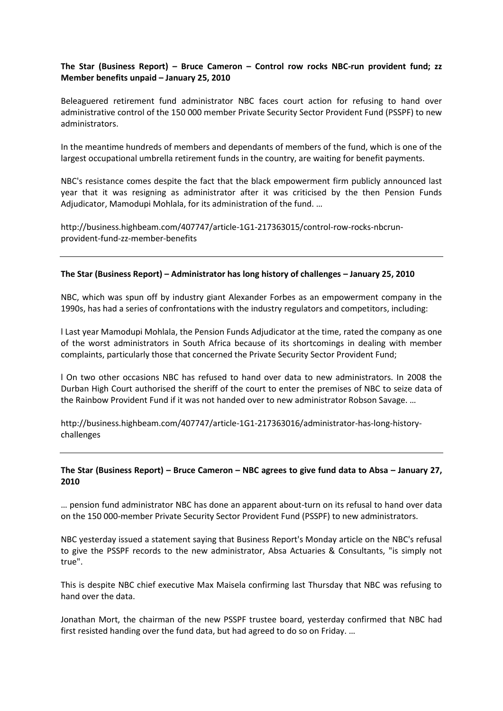# **The Star (Business Report) – Bruce Cameron – Control row rocks NBC-run provident fund; zz Member benefits unpaid – January 25, 2010**

Beleaguered retirement fund administrator NBC faces court action for refusing to hand over administrative control of the 150 000 member Private Security Sector Provident Fund (PSSPF) to new administrators.

In the meantime hundreds of members and dependants of members of the fund, which is one of the largest occupational umbrella retirement funds in the country, are waiting for benefit payments.

NBC's resistance comes despite the fact that the black empowerment firm publicly announced last year that it was resigning as administrator after it was criticised by the then Pension Funds Adjudicator, Mamodupi Mohlala, for its administration of the fund. …

[http://business.highbeam.com/407747/article-1G1-217363015/control-row-rocks-nbcrun](http://business.highbeam.com/407747/article-1G1-217363015/control-row-rocks-nbcrun-provident-fund-zz-member-benefits)[provident-fund-zz-member-benefits](http://business.highbeam.com/407747/article-1G1-217363015/control-row-rocks-nbcrun-provident-fund-zz-member-benefits)

## **The Star (Business Report) – Administrator has long history of challenges – January 25, 2010**

NBC, which was spun off by industry giant Alexander Forbes as an empowerment company in the 1990s, has had a series of confrontations with the industry regulators and competitors, including:

l Last year Mamodupi Mohlala, the Pension Funds Adjudicator at the time, rated the company as one of the worst administrators in South Africa because of its shortcomings in dealing with member complaints, particularly those that concerned the Private Security Sector Provident Fund;

l On two other occasions NBC has refused to hand over data to new administrators. In 2008 the Durban High Court authorised the sheriff of the court to enter the premises of NBC to seize data of the Rainbow Provident Fund if it was not handed over to new administrator Robson Savage. …

[http://business.highbeam.com/407747/article-1G1-217363016/administrator-has-long-history](http://business.highbeam.com/407747/article-1G1-217363016/administrator-has-long-history-challenges)[challenges](http://business.highbeam.com/407747/article-1G1-217363016/administrator-has-long-history-challenges)

# **The Star (Business Report) – Bruce Cameron – NBC agrees to give fund data to Absa – January 27, 2010**

… pension fund administrator NBC has done an apparent about-turn on its refusal to hand over data on the 150 000-member Private Security Sector Provident Fund (PSSPF) to new administrators.

NBC yesterday issued a statement saying that Business Report's Monday article on the NBC's refusal to give the PSSPF records to the new administrator, Absa Actuaries & Consultants, "is simply not true".

This is despite NBC chief executive Max Maisela confirming last Thursday that NBC was refusing to hand over the data.

Jonathan Mort, the chairman of the new PSSPF trustee board, yesterday confirmed that NBC had first resisted handing over the fund data, but had agreed to do so on Friday. …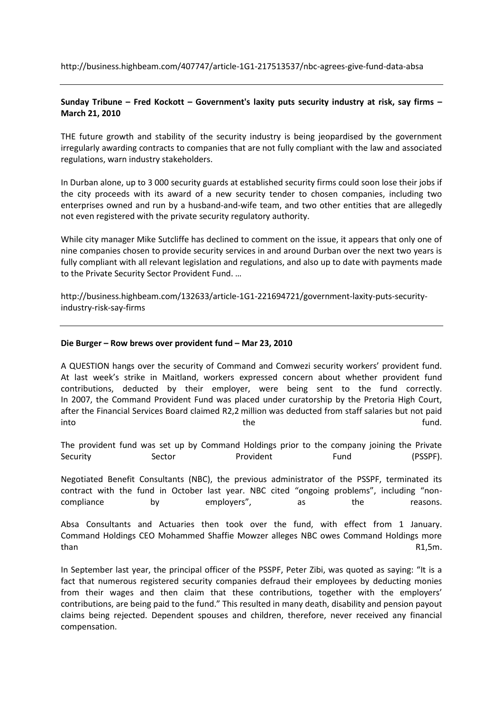<http://business.highbeam.com/407747/article-1G1-217513537/nbc-agrees-give-fund-data-absa>

# **Sunday Tribune – Fred Kockott – Government's laxity puts security industry at risk, say firms – March 21, 2010**

THE future growth and stability of the security industry is being jeopardised by the government irregularly awarding contracts to companies that are not fully compliant with the law and associated regulations, warn industry stakeholders.

In Durban alone, up to 3 000 security guards at established security firms could soon lose their jobs if the city proceeds with its award of a new security tender to chosen companies, including two enterprises owned and run by a husband-and-wife team, and two other entities that are allegedly not even registered with the private security regulatory authority.

While city manager Mike Sutcliffe has declined to comment on the issue, it appears that only one of nine companies chosen to provide security services in and around Durban over the next two years is fully compliant with all relevant legislation and regulations, and also up to date with payments made to the Private Security Sector Provident Fund. …

[http://business.highbeam.com/132633/article-1G1-221694721/government-laxity-puts-security](http://business.highbeam.com/132633/article-1G1-221694721/government-laxity-puts-security-industry-risk-say-firms)[industry-risk-say-firms](http://business.highbeam.com/132633/article-1G1-221694721/government-laxity-puts-security-industry-risk-say-firms)

### **Die Burger – Row brews over provident fund – Mar 23, 2010**

A QUESTION hangs over the security of Command and Comwezi security workers' provident fund. At last week's strike in Maitland, workers expressed concern about whether provident fund contributions, deducted by their employer, were being sent to the fund correctly. In 2007, the Command Provident Fund was placed under curatorship by the Pretoria High Court, after the Financial Services Board claimed R2,2 million was deducted from staff salaries but not paid into the the fund.

The provident fund was set up by Command Holdings prior to the company joining the Private Security Sector Provident Fund Fund (PSSPF).

Negotiated Benefit Consultants (NBC), the previous administrator of the PSSPF, terminated its contract with the fund in October last year. NBC cited "ongoing problems", including "noncompliance by employers", as the reasons.

Absa Consultants and Actuaries then took over the fund, with effect from 1 January. Command Holdings CEO Mohammed Shaffie Mowzer alleges NBC owes Command Holdings more than R1,5m.

In September last year, the principal officer of the PSSPF, Peter Zibi, was quoted as saying: "It is a fact that numerous registered security companies defraud their employees by deducting monies from their wages and then claim that these contributions, together with the employers' contributions, are being paid to the fund." This resulted in many death, disability and pension payout claims being rejected. Dependent spouses and children, therefore, never received any financial compensation.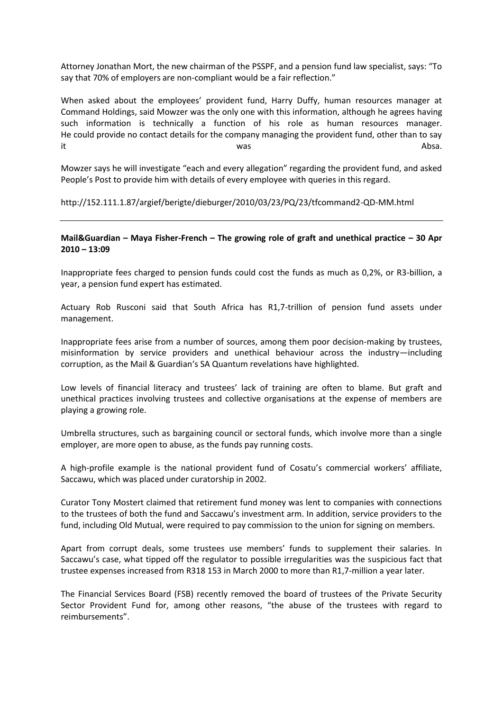Attorney Jonathan Mort, the new chairman of the PSSPF, and a pension fund law specialist, says: "To say that 70% of employers are non-compliant would be a fair reflection."

When asked about the employees' provident fund, Harry Duffy, human resources manager at Command Holdings, said Mowzer was the only one with this information, although he agrees having such information is technically a function of his role as human resources manager. He could provide no contact details for the company managing the provident fund, other than to say it the contract of the contract was the contract of the contract of the contract of the contract of the contract of the contract of the contract of the contract of the contract of the contract of the contract of the contra

Mowzer says he will investigate "each and every allegation" regarding the provident fund, and asked People's Post to provide him with details of every employee with queries in this regard.

<http://152.111.1.87/argief/berigte/dieburger/2010/03/23/PQ/23/tfcommand2-QD-MM.html>

## **Mail&Guardian – [Maya Fisher-French](http://mg.co.za/author/maya-fisher-french) – The growing role of graft and unethical practice – 30 Apr 2010 – 13:09**

Inappropriate fees charged to pension funds could cost the funds as much as 0,2%, or R3-billion, a year, a pension fund expert has estimated.

Actuary Rob Rusconi said that South Africa has R1,7-trillion of pension fund assets under management.

Inappropriate fees arise from a number of sources, among them poor decision-making by trustees, misinformation by service providers and unethical behaviour across the industry—including corruption, as the Mail & Guardian['s SA Quantum revelation](http://www.mg.co.za/article/2010-04-01-mrs-vavi-the-pension-funds-and-bribe)s have highlighted.

Low levels of financial literacy and trustees' lack of training are often to blame. But graft and unethical practices involving trustees and collective organisations at the expense of members are playing a growing role.

Umbrella structures, such as bargaining council or sectoral funds, which involve more than a single employer, are more open to abuse, as the funds pay running costs.

A high-profile example is the national provident fund of Cosatu's commercial workers' affiliate, Saccawu, which was placed under curatorship in 2002.

Curator Tony Mostert claimed that retirement fund money was lent to companies with connections to the trustees of both the fund and Saccawu's investment arm. In addition, service providers to the fund, including Old Mutual, were required to pay commission to the union for signing on members.

Apart from corrupt deals, some trustees use members' funds to supplement their salaries. In Saccawu's case, what tipped off the regulator to possible irregularities was the suspicious fact that trustee expenses increased from R318 153 in March 2000 to more than R1,7-million a year later.

The Financial Services Board (FSB) recently removed the board of trustees of the Private Security Sector Provident Fund for, among other reasons, "the abuse of the trustees with regard to reimbursements".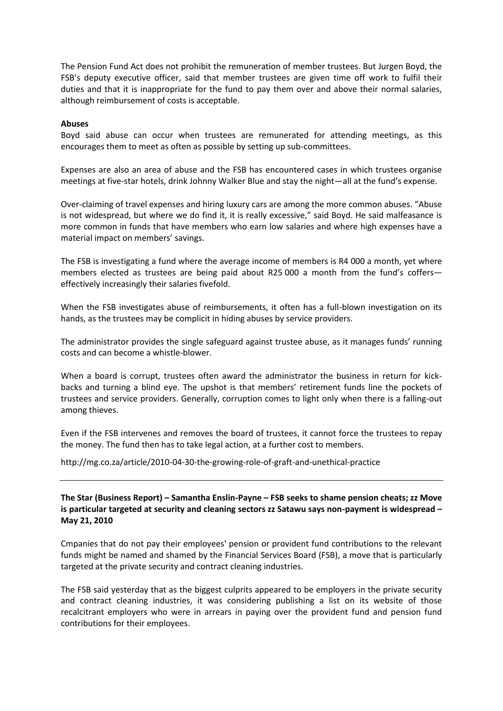The Pension Fund Act does not prohibit the remuneration of member trustees. But Jurgen Boyd, the FSB's deputy executive officer, said that member trustees are given time off work to fulfil their duties and that it is inappropriate for the fund to pay them over and above their normal salaries, although reimbursement of costs is acceptable.

#### **Abuses**

Boyd said abuse can occur when trustees are remunerated for attending meetings, as this encourages them to meet as often as possible by setting up sub-committees.

Expenses are also an area of abuse and the FSB has encountered cases in which trustees organise meetings at five-star hotels, drink Johnny Walker Blue and stay the night—all at the fund's expense.

Over-claiming of travel expenses and hiring luxury cars are among the more common abuses. "Abuse is not widespread, but where we do find it, it is really excessive," said Boyd. He said malfeasance is more common in funds that have members who earn low salaries and where high expenses have a material impact on members' savings.

The FSB is investigating a fund where the average income of members is R4 000 a month, yet where members elected as trustees are being paid about R25 000 a month from the fund's coffers effectively increasingly their salaries fivefold.

When the FSB investigates abuse of reimbursements, it often has a full-blown investigation on its hands, as the trustees may be complicit in hiding abuses by service providers.

The administrator provides the single safeguard against trustee abuse, as it manages funds' running costs and can become a whistle-blower.

When a board is corrupt, trustees often award the administrator the business in return for kickbacks and turning a blind eye. The upshot is that members' retirement funds line the pockets of trustees and service providers. Generally, corruption comes to light only when there is a falling-out among thieves.

Even if the FSB intervenes and removes the board of trustees, it cannot force the trustees to repay the money. The fund then has to take legal action, at a further cost to members.

<http://mg.co.za/article/2010-04-30-the-growing-role-of-graft-and-unethical-practice>

**The Star (Business Report) – Samantha Enslin-Payne – FSB seeks to shame pension cheats; zz Move is particular targeted at security and cleaning sectors zz Satawu says non-payment is widespread – May 21, 2010**

Cmpanies that do not pay their employees' pension or provident fund contributions to the relevant funds might be named and shamed by the Financial Services Board (FSB), a move that is particularly targeted at the private security and contract cleaning industries.

The FSB said yesterday that as the biggest culprits appeared to be employers in the private security and contract cleaning industries, it was considering publishing a list on its website of those recalcitrant employers who were in arrears in paying over the provident fund and pension fund contributions for their employees.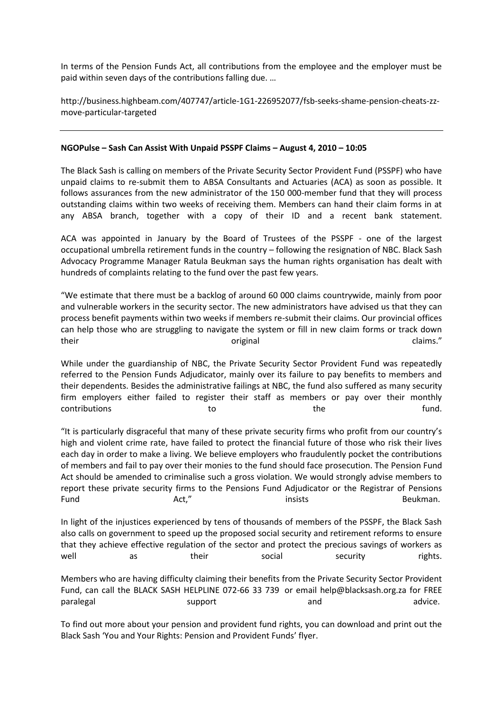In terms of the Pension Funds Act, all contributions from the employee and the employer must be paid within seven days of the contributions falling due. …

[http://business.highbeam.com/407747/article-1G1-226952077/fsb-seeks-shame-pension-cheats-zz](http://business.highbeam.com/407747/article-1G1-226952077/fsb-seeks-shame-pension-cheats-zz-move-particular-targeted)[move-particular-targeted](http://business.highbeam.com/407747/article-1G1-226952077/fsb-seeks-shame-pension-cheats-zz-move-particular-targeted)

### **NGOPulse – Sash Can Assist With Unpaid PSSPF Claims – August 4, 2010 – 10:05**

The Black Sash is calling on members of the Private Security Sector Provident Fund (PSSPF) who have unpaid claims to re-submit them to ABSA Consultants and Actuaries (ACA) as soon as possible. It follows assurances from the new administrator of the 150 000-member fund that they will process outstanding claims within two weeks of receiving them. Members can hand their claim forms in at any ABSA branch, together with a copy of their ID and a recent bank statement.

ACA was appointed in January by the Board of Trustees of the PSSPF - one of the largest occupational umbrella retirement funds in the country – following the resignation of NBC. Black Sash Advocacy Programme Manager Ratula Beukman says the human rights organisation has dealt with hundreds of complaints relating to the fund over the past few years.

"We estimate that there must be a backlog of around 60 000 claims countrywide, mainly from poor and vulnerable workers in the security sector. The new administrators have advised us that they can process benefit payments within two weeks if members re-submit their claims. Our provincial offices can help those who are struggling to navigate the system or fill in new claim forms or track down their claims." Claims original claims."

While under the guardianship of NBC, the Private Security Sector Provident Fund was repeatedly referred to the Pension Funds Adjudicator, mainly over its failure to pay benefits to members and their dependents. Besides the administrative failings at NBC, the fund also suffered as many security firm employers either failed to register their staff as members or pay over their monthly contributions to the the fund.

"It is particularly disgraceful that many of these private security firms who profit from our country's high and violent crime rate, have failed to protect the financial future of those who risk their lives each day in order to make a living. We believe employers who fraudulently pocket the contributions of members and fail to pay over their monies to the fund should face prosecution. The Pension Fund Act should be amended to criminalise such a gross violation. We would strongly advise members to report these private security firms to the Pensions Fund Adjudicator or the Registrar of Pensions Fund **Example 2018** Act," The Contract Sea insists and the Beukman.

In light of the injustices experienced by tens of thousands of members of the PSSPF, the Black Sash also calls on government to speed up the proposed social security and retirement reforms to ensure that they achieve effective regulation of the sector and protect the precious savings of workers as well as their social security rights.

Members who are having difficulty claiming their benefits from the Private Security Sector Provident Fund, can call the BLACK SASH HELPLINE 072-66 33 739 or email [help@blacksash.org.za](mailto:help@blacksash.org.za) for FREE paralegal and advice. Support and advice and advice.

To find out more about your pension and provident fund rights, you can download and print out the Black Sash '[You and Your Rights: Pension and Provident Funds](http://www.blacksash.org.za/files/penprovfund2010.pdf)' flyer.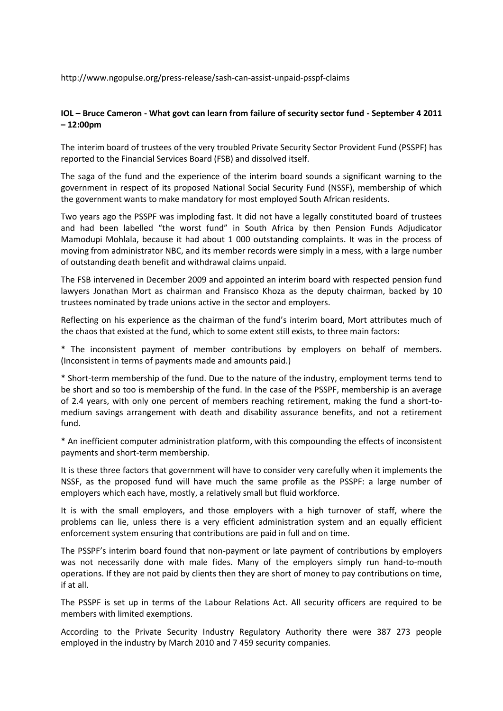<http://www.ngopulse.org/press-release/sash-can-assist-unpaid-psspf-claims>

## **[IOL](http://www.iol.co.za/search-results-page?q=Private%20Security%20Sector%20Provident%20Fund) – Bruce Cameron - What govt can learn from failure of security sector fund - September 4 2011 – 12:00pm**

The interim board of trustees of the very troubled Private Security Sector Provident Fund (PSSPF) has reported to the Financial Services Board (FSB) and dissolved itself.

The saga of the fund and the experience of the interim board sounds a significant warning to the government in respect of its proposed National Social Security Fund (NSSF), membership of which the government wants to make mandatory for most employed South African residents.

Two years ago the PSSPF was imploding fast. It did not have a legally constituted board of trustees and had been labelled "the worst fund" in South Africa by then Pension Funds Adjudicator Mamodupi Mohlala, because it had about 1 000 outstanding complaints. It was in the process of moving from administrator NBC, and its member records were simply in a mess, with a large number of outstanding death benefit and withdrawal claims unpaid.

The FSB intervened in December 2009 and appointed an interim board with respected pension fund lawyers Jonathan Mort as chairman and Fransisco Khoza as the deputy chairman, backed by 10 trustees nominated by trade unions active in the sector and employers.

Reflecting on his experience as the chairman of the fund's interim board, Mort attributes much of the chaos that existed at the fund, which to some extent still exists, to three main factors:

\* The inconsistent payment of member contributions by employers on behalf of members. (Inconsistent in terms of payments made and amounts paid.)

\* Short-term membership of the fund. Due to the nature of the industry, employment terms tend to be short and so too is membership of the fund. In the case of the PSSPF, membership is an average of 2.4 years, with only one percent of members reaching retirement, making the fund a short-tomedium savings arrangement with death and disability assurance benefits, and not a retirement fund.

\* An inefficient computer administration platform, with this compounding the effects of inconsistent payments and short-term membership.

It is these three factors that government will have to consider very carefully when it implements the NSSF, as the proposed fund will have much the same profile as the PSSPF: a large number of employers which each have, mostly, a relatively small but fluid workforce.

It is with the small employers, and those employers with a high turnover of staff, where the problems can lie, unless there is a very efficient administration system and an equally efficient enforcement system ensuring that contributions are paid in full and on time.

The PSSPF's interim board found that non-payment or late payment of contributions by employers was not necessarily done with male fides. Many of the employers simply run hand-to-mouth operations. If they are not paid by clients then they are short of money to pay contributions on time, if at all.

The PSSPF is set up in terms of the Labour Relations Act. All security officers are required to be members with limited exemptions.

According to the Private Security Industry Regulatory Authority there were 387 273 people employed in the industry by March 2010 and 7 459 security companies.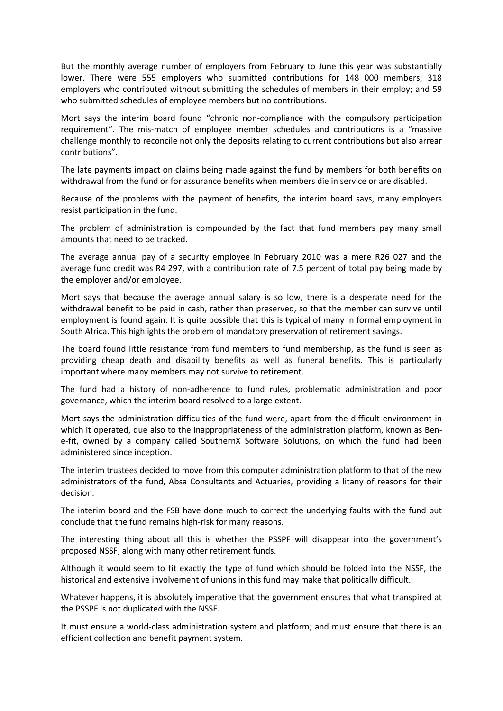But the monthly average number of employers from February to June this year was substantially lower. There were 555 employers who submitted contributions for 148 000 members; 318 employers who contributed without submitting the schedules of members in their employ; and 59 who submitted schedules of employee members but no contributions.

Mort says the interim board found "chronic non-compliance with the compulsory participation requirement". The mis-match of employee member schedules and contributions is a "massive challenge monthly to reconcile not only the deposits relating to current contributions but also arrear contributions".

The late payments impact on claims being made against the fund by members for both benefits on withdrawal from the fund or for assurance benefits when members die in service or are disabled.

Because of the problems with the payment of benefits, the interim board says, many employers resist participation in the fund.

The problem of administration is compounded by the fact that fund members pay many small amounts that need to be tracked.

The average annual pay of a security employee in February 2010 was a mere R26 027 and the average fund credit was R4 297, with a contribution rate of 7.5 percent of total pay being made by the employer and/or employee.

Mort says that because the average annual salary is so low, there is a desperate need for the withdrawal benefit to be paid in cash, rather than preserved, so that the member can survive until employment is found again. It is quite possible that this is typical of many in formal employment in South Africa. This highlights the problem of mandatory preservation of retirement savings.

The board found little resistance from fund members to fund membership, as the fund is seen as providing cheap death and disability benefits as well as funeral benefits. This is particularly important where many members may not survive to retirement.

The fund had a history of non-adherence to fund rules, problematic administration and poor governance, which the interim board resolved to a large extent.

Mort says the administration difficulties of the fund were, apart from the difficult environment in which it operated, due also to the inappropriateness of the administration platform, known as Bene-fit, owned by a company called SouthernX Software Solutions, on which the fund had been administered since inception.

The interim trustees decided to move from this computer administration platform to that of the new administrators of the fund, Absa Consultants and Actuaries, providing a litany of reasons for their decision.

The interim board and the FSB have done much to correct the underlying faults with the fund but conclude that the fund remains high-risk for many reasons.

The interesting thing about all this is whether the PSSPF will disappear into the government's proposed NSSF, along with many other retirement funds.

Although it would seem to fit exactly the type of fund which should be folded into the NSSF, the historical and extensive involvement of unions in this fund may make that politically difficult.

Whatever happens, it is absolutely imperative that the government ensures that what transpired at the PSSPF is not duplicated with the NSSF.

It must ensure a world-class administration system and platform; and must ensure that there is an efficient collection and benefit payment system.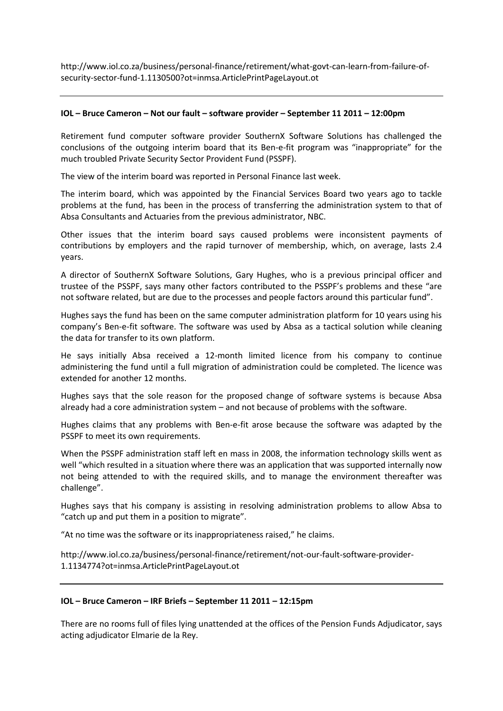[http://www.iol.co.za/business/personal-finance/retirement/what-govt-can-learn-from-failure-of](http://www.iol.co.za/business/personal-finance/retirement/what-govt-can-learn-from-failure-of-security-sector-fund-1.1130500?ot=inmsa.ArticlePrintPageLayout.ot)[security-sector-fund-1.1130500?ot=inmsa.ArticlePrintPageLayout.ot](http://www.iol.co.za/business/personal-finance/retirement/what-govt-can-learn-from-failure-of-security-sector-fund-1.1130500?ot=inmsa.ArticlePrintPageLayout.ot)

### **IOL – Bruce Cameron – Not our fault – software provider – September 11 2011 – 12:00pm**

Retirement fund computer software provider SouthernX Software Solutions has challenged the conclusions of the outgoing interim board that its Ben-e-fit program was "inappropriate" for the much troubled Private Security Sector Provident Fund (PSSPF).

The view of the interim board was reported in Personal Finance last week.

The interim board, which was appointed by the Financial Services Board two years ago to tackle problems at the fund, has been in the process of transferring the administration system to that of Absa Consultants and Actuaries from the previous administrator, NBC.

Other issues that the interim board says caused problems were inconsistent payments of contributions by employers and the rapid turnover of membership, which, on average, lasts 2.4 years.

A director of SouthernX Software Solutions, Gary Hughes, who is a previous principal officer and trustee of the PSSPF, says many other factors contributed to the PSSPF's problems and these "are not software related, but are due to the processes and people factors around this particular fund".

Hughes says the fund has been on the same computer administration platform for 10 years using his company's Ben-e-fit software. The software was used by Absa as a tactical solution while cleaning the data for transfer to its own platform.

He says initially Absa received a 12-month limited licence from his company to continue administering the fund until a full migration of administration could be completed. The licence was extended for another 12 months.

Hughes says that the sole reason for the proposed change of software systems is because Absa already had a core administration system – and not because of problems with the software.

Hughes claims that any problems with Ben-e-fit arose because the software was adapted by the PSSPF to meet its own requirements.

When the PSSPF administration staff left en mass in 2008, the information technology skills went as well "which resulted in a situation where there was an application that was supported internally now not being attended to with the required skills, and to manage the environment thereafter was challenge".

Hughes says that his company is assisting in resolving administration problems to allow Absa to "catch up and put them in a position to migrate".

"At no time was the software or its inappropriateness raised," he claims.

[http://www.iol.co.za/business/personal-finance/retirement/not-our-fault-software-provider-](http://www.iol.co.za/business/personal-finance/retirement/not-our-fault-software-provider-1.1134774?ot=inmsa.ArticlePrintPageLayout.ot)[1.1134774?ot=inmsa.ArticlePrintPageLayout.ot](http://www.iol.co.za/business/personal-finance/retirement/not-our-fault-software-provider-1.1134774?ot=inmsa.ArticlePrintPageLayout.ot)

#### **IOL – Bruce Cameron – IRF Briefs – September 11 2011 – 12:15pm**

There are no rooms full of files lying unattended at the offices of the Pension Funds Adjudicator, says acting adjudicator Elmarie de la Rey.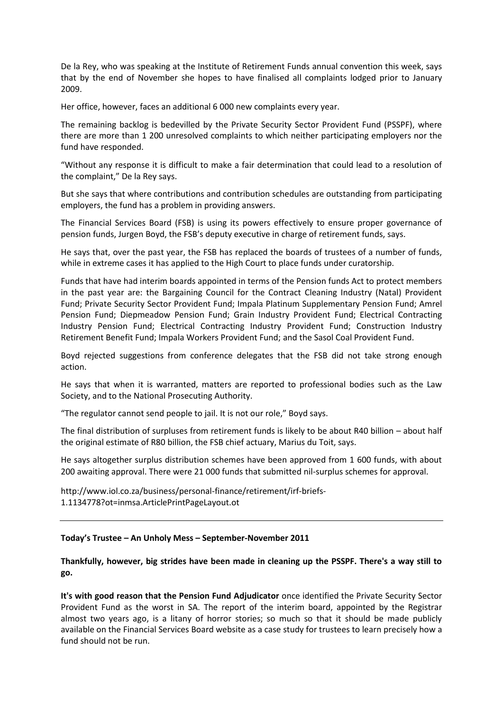De la Rey, who was speaking at the Institute of Retirement Funds annual convention this week, says that by the end of November she hopes to have finalised all complaints lodged prior to January 2009.

Her office, however, faces an additional 6 000 new complaints every year.

The remaining backlog is bedevilled by the Private Security Sector Provident Fund (PSSPF), where there are more than 1 200 unresolved complaints to which neither participating employers nor the fund have responded.

"Without any response it is difficult to make a fair determination that could lead to a resolution of the complaint," De la Rey says.

But she says that where contributions and contribution schedules are outstanding from participating employers, the fund has a problem in providing answers.

The Financial Services Board (FSB) is using its powers effectively to ensure proper governance of pension funds, Jurgen Boyd, the FSB's deputy executive in charge of retirement funds, says.

He says that, over the past year, the FSB has replaced the boards of trustees of a number of funds, while in extreme cases it has applied to the High Court to place funds under curatorship.

Funds that have had interim boards appointed in terms of the Pension funds Act to protect members in the past year are: the Bargaining Council for the Contract Cleaning Industry (Natal) Provident Fund; Private Security Sector Provident Fund; Impala Platinum Supplementary Pension Fund; Amrel Pension Fund; Diepmeadow Pension Fund; Grain Industry Provident Fund; Electrical Contracting Industry Pension Fund; Electrical Contracting Industry Provident Fund; Construction Industry Retirement Benefit Fund; Impala Workers Provident Fund; and the Sasol Coal Provident Fund.

Boyd rejected suggestions from conference delegates that the FSB did not take strong enough action.

He says that when it is warranted, matters are reported to professional bodies such as the Law Society, and to the National Prosecuting Authority.

"The regulator cannot send people to jail. It is not our role," Boyd says.

The final distribution of surpluses from retirement funds is likely to be about R40 billion – about half the original estimate of R80 billion, the FSB chief actuary, Marius du Toit, says.

He says altogether surplus distribution schemes have been approved from 1 600 funds, with about 200 awaiting approval. There were 21 000 funds that submitted nil-surplus schemes for approval.

[http://www.iol.co.za/business/personal-finance/retirement/irf-briefs-](http://www.iol.co.za/business/personal-finance/retirement/irf-briefs-1.1134778?ot=inmsa.ArticlePrintPageLayout.ot)[1.1134778?ot=inmsa.ArticlePrintPageLayout.ot](http://www.iol.co.za/business/personal-finance/retirement/irf-briefs-1.1134778?ot=inmsa.ArticlePrintPageLayout.ot)

## **Today's Trustee – An Unholy Mess – September-November 2011**

**Thankfully, however, big strides have been made in cleaning up the PSSPF. There's a way still to go.**

**It's with good reason that the Pension Fund Adjudicator** once identified the Private Security Sector Provident Fund as the worst in SA. The report of the interim board, appointed by the Registrar almost two years ago, is a litany of horror stories; so much so that it should be made publicly available on the Financial Services Board website as a case study for trustees to learn precisely how a fund should not be run.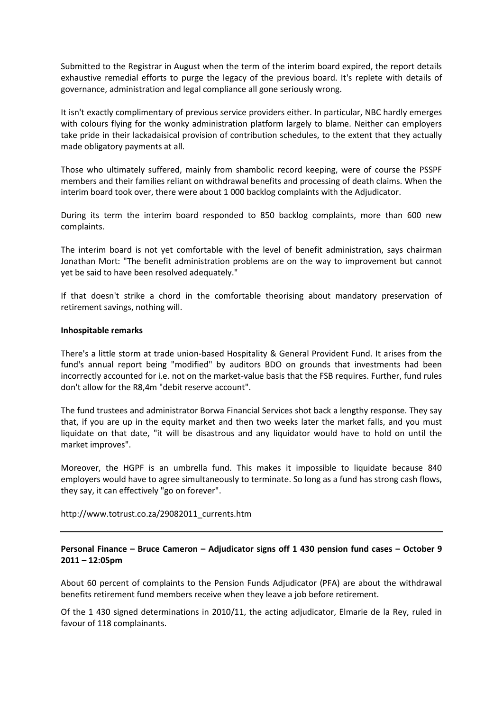Submitted to the Registrar in August when the term of the interim board expired, the report details exhaustive remedial efforts to purge the legacy of the previous board. It's replete with details of governance, administration and legal compliance all gone seriously wrong.

It isn't exactly complimentary of previous service providers either. In particular, NBC hardly emerges with colours flying for the wonky administration platform largely to blame. Neither can employers take pride in their lackadaisical provision of contribution schedules, to the extent that they actually made obligatory payments at all.

Those who ultimately suffered, mainly from shambolic record keeping, were of course the PSSPF members and their families reliant on withdrawal benefits and processing of death claims. When the interim board took over, there were about 1 000 backlog complaints with the Adjudicator.

During its term the interim board responded to 850 backlog complaints, more than 600 new complaints.

The interim board is not yet comfortable with the level of benefit administration, says chairman Jonathan Mort: "The benefit administration problems are on the way to improvement but cannot yet be said to have been resolved adequately."

If that doesn't strike a chord in the comfortable theorising about mandatory preservation of retirement savings, nothing will.

#### **Inhospitable remarks**

There's a little storm at trade union-based Hospitality & General Provident Fund. It arises from the fund's annual report being "modified" by auditors BDO on grounds that investments had been incorrectly accounted for i.e. not on the market-value basis that the FSB requires. Further, fund rules don't allow for the R8,4m "debit reserve account".

The fund trustees and administrator Borwa Financial Services shot back a lengthy response. They say that, if you are up in the equity market and then two weeks later the market falls, and you must liquidate on that date, "it will be disastrous and any liquidator would have to hold on until the market improves".

Moreover, the HGPF is an umbrella fund. This makes it impossible to liquidate because 840 employers would have to agree simultaneously to terminate. So long as a fund has strong cash flows, they say, it can effectively "go on forever".

[http://www.totrust.co.za/29082011\\_currents.htm](http://www.totrust.co.za/29082011_currents.htm)

## **Personal Finance – Bruce Cameron – Adjudicator signs off 1 430 pension fund cases – October 9 2011 – 12:05pm**

About 60 percent of complaints to the Pension Funds Adjudicator (PFA) are about the withdrawal benefits retirement fund members receive when they leave a job before retirement.

Of the 1 430 signed determinations in 2010/11, the acting adjudicator, Elmarie de la Rey, ruled in favour of 118 complainants.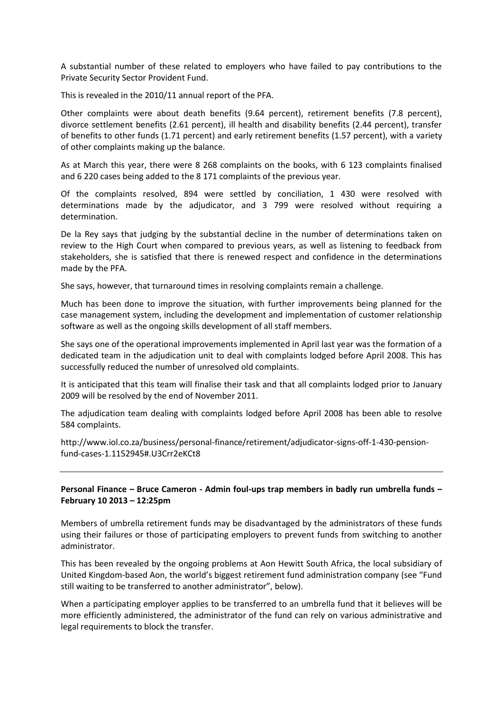A substantial number of these related to employers who have failed to pay contributions to the Private Security Sector Provident Fund.

This is revealed in the 2010/11 annual report of the PFA.

Other complaints were about death benefits (9.64 percent), retirement benefits (7.8 percent), divorce settlement benefits (2.61 percent), ill health and disability benefits (2.44 percent), transfer of benefits to other funds (1.71 percent) and early retirement benefits (1.57 percent), with a variety of other complaints making up the balance.

As at March this year, there were 8 268 complaints on the books, with 6 123 complaints finalised and 6 220 cases being added to the 8 171 complaints of the previous year.

Of the complaints resolved, 894 were settled by conciliation, 1 430 were resolved with determinations made by the adjudicator, and 3 799 were resolved without requiring a determination.

De la Rey says that judging by the substantial decline in the number of determinations taken on review to the High Court when compared to previous years, as well as listening to feedback from stakeholders, she is satisfied that there is renewed respect and confidence in the determinations made by the PFA.

She says, however, that turnaround times in resolving complaints remain a challenge.

Much has been done to improve the situation, with further improvements being planned for the case management system, including the development and implementation of customer relationship software as well as the ongoing skills development of all staff members.

She says one of the operational improvements implemented in April last year was the formation of a dedicated team in the adjudication unit to deal with complaints lodged before April 2008. This has successfully reduced the number of unresolved old complaints.

It is anticipated that this team will finalise their task and that all complaints lodged prior to January 2009 will be resolved by the end of November 2011.

The adjudication team dealing with complaints lodged before April 2008 has been able to resolve 584 complaints.

[http://www.iol.co.za/business/personal-finance/retirement/adjudicator-signs-off-1-430-pension](http://www.iol.co.za/business/personal-finance/retirement/adjudicator-signs-off-1-430-pension-fund-cases-1.1152945#.U3Crr2eKCt8)[fund-cases-1.1152945#.U3Crr2eKCt8](http://www.iol.co.za/business/personal-finance/retirement/adjudicator-signs-off-1-430-pension-fund-cases-1.1152945#.U3Crr2eKCt8)

## **Personal Finance – Bruce Cameron - Admin foul-ups trap members in badly run umbrella funds – February 10 2013 – 12:25pm**

Members of umbrella retirement funds may be disadvantaged by the administrators of these funds using their failures or those of participating employers to prevent funds from switching to another administrator.

This has been revealed by the ongoing problems at Aon Hewitt South Africa, the local subsidiary of United Kingdom-based Aon, the world's biggest retirement fund administration company (see "Fund still waiting to be transferred to another administrator", below).

When a participating employer applies to be transferred to an umbrella fund that it believes will be more efficiently administered, the administrator of the fund can rely on various administrative and legal requirements to block the transfer.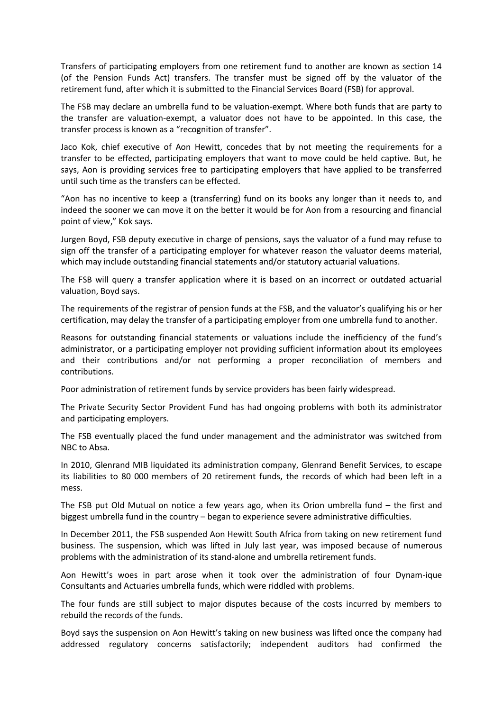Transfers of participating employers from one retirement fund to another are known as section 14 (of the Pension Funds Act) transfers. The transfer must be signed off by the valuator of the retirement fund, after which it is submitted to the Financial Services Board (FSB) for approval.

The FSB may declare an umbrella fund to be valuation-exempt. Where both funds that are party to the transfer are valuation-exempt, a valuator does not have to be appointed. In this case, the transfer process is known as a "recognition of transfer".

Jaco Kok, chief executive of Aon Hewitt, concedes that by not meeting the requirements for a transfer to be effected, participating employers that want to move could be held captive. But, he says, Aon is providing services free to participating employers that have applied to be transferred until such time as the transfers can be effected.

"Aon has no incentive to keep a (transferring) fund on its books any longer than it needs to, and indeed the sooner we can move it on the better it would be for Aon from a resourcing and financial point of view," Kok says.

Jurgen Boyd, FSB deputy executive in charge of pensions, says the valuator of a fund may refuse to sign off the transfer of a participating employer for whatever reason the valuator deems material, which may include outstanding financial statements and/or statutory actuarial valuations.

The FSB will query a transfer application where it is based on an incorrect or outdated actuarial valuation, Boyd says.

The requirements of the registrar of pension funds at the FSB, and the valuator's qualifying his or her certification, may delay the transfer of a participating employer from one umbrella fund to another.

Reasons for outstanding financial statements or valuations include the inefficiency of the fund's administrator, or a participating employer not providing sufficient information about its employees and their contributions and/or not performing a proper reconciliation of members and contributions.

Poor administration of retirement funds by service providers has been fairly widespread.

The Private Security Sector Provident Fund has had ongoing problems with both its administrator and participating employers.

The FSB eventually placed the fund under management and the administrator was switched from NBC to Absa.

In 2010, Glenrand MIB liquidated its administration company, Glenrand Benefit Services, to escape its liabilities to 80 000 members of 20 retirement funds, the records of which had been left in a mess.

The FSB put Old Mutual on notice a few years ago, when its Orion umbrella fund – the first and biggest umbrella fund in the country – began to experience severe administrative difficulties.

In December 2011, the FSB suspended Aon Hewitt South Africa from taking on new retirement fund business. The suspension, which was lifted in July last year, was imposed because of numerous problems with the administration of its stand-alone and umbrella retirement funds.

Aon Hewitt's woes in part arose when it took over the administration of four Dynam-ique Consultants and Actuaries umbrella funds, which were riddled with problems.

The four funds are still subject to major disputes because of the costs incurred by members to rebuild the records of the funds.

Boyd says the suspension on Aon Hewitt's taking on new business was lifted once the company had addressed regulatory concerns satisfactorily; independent auditors had confirmed the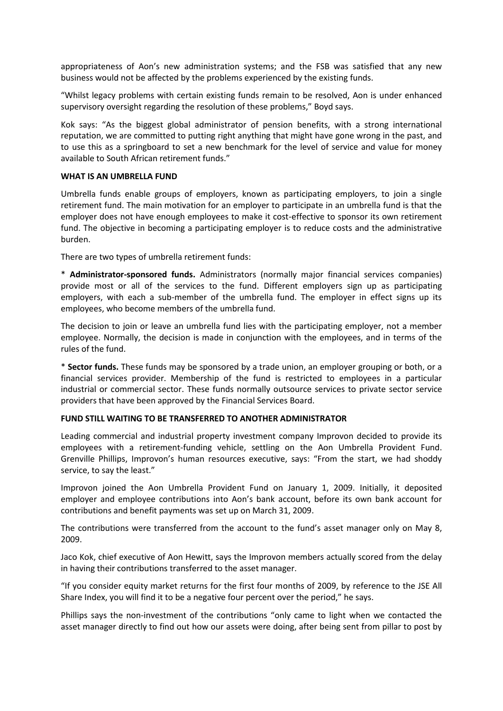appropriateness of Aon's new administration systems; and the FSB was satisfied that any new business would not be affected by the problems experienced by the existing funds.

"Whilst legacy problems with certain existing funds remain to be resolved, Aon is under enhanced supervisory oversight regarding the resolution of these problems," Boyd says.

Kok says: "As the biggest global administrator of pension benefits, with a strong international reputation, we are committed to putting right anything that might have gone wrong in the past, and to use this as a springboard to set a new benchmark for the level of service and value for money available to South African retirement funds."

### **WHAT IS AN UMBRELLA FUND**

Umbrella funds enable groups of employers, known as participating employers, to join a single retirement fund. The main motivation for an employer to participate in an umbrella fund is that the employer does not have enough employees to make it cost-effective to sponsor its own retirement fund. The objective in becoming a participating employer is to reduce costs and the administrative burden.

There are two types of umbrella retirement funds:

\* **Administrator-sponsored funds.** Administrators (normally major financial services companies) provide most or all of the services to the fund. Different employers sign up as participating employers, with each a sub-member of the umbrella fund. The employer in effect signs up its employees, who become members of the umbrella fund.

The decision to join or leave an umbrella fund lies with the participating employer, not a member employee. Normally, the decision is made in conjunction with the employees, and in terms of the rules of the fund.

\* **Sector funds.** These funds may be sponsored by a trade union, an employer grouping or both, or a financial services provider. Membership of the fund is restricted to employees in a particular industrial or commercial sector. These funds normally outsource services to private sector service providers that have been approved by the Financial Services Board.

#### **FUND STILL WAITING TO BE TRANSFERRED TO ANOTHER ADMINISTRATOR**

Leading commercial and industrial property investment company Improvon decided to provide its employees with a retirement-funding vehicle, settling on the Aon Umbrella Provident Fund. Grenville Phillips, Improvon's human resources executive, says: "From the start, we had shoddy service, to say the least."

Improvon joined the Aon Umbrella Provident Fund on January 1, 2009. Initially, it deposited employer and employee contributions into Aon's bank account, before its own bank account for contributions and benefit payments was set up on March 31, 2009.

The contributions were transferred from the account to the fund's asset manager only on May 8, 2009.

Jaco Kok, chief executive of Aon Hewitt, says the Improvon members actually scored from the delay in having their contributions transferred to the asset manager.

"If you consider equity market returns for the first four months of 2009, by reference to the JSE All Share Index, you will find it to be a negative four percent over the period," he says.

Phillips says the non-investment of the contributions "only came to light when we contacted the asset manager directly to find out how our assets were doing, after being sent from pillar to post by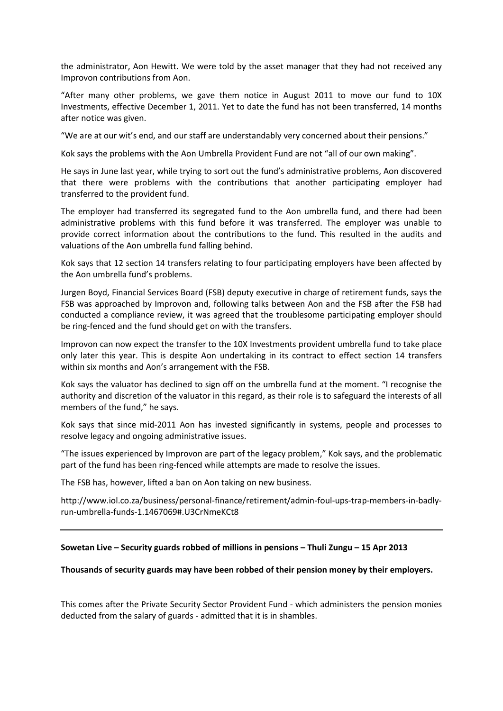the administrator, Aon Hewitt. We were told by the asset manager that they had not received any Improvon contributions from Aon.

"After many other problems, we gave them notice in August 2011 to move our fund to 10X Investments, effective December 1, 2011. Yet to date the fund has not been transferred, 14 months after notice was given.

"We are at our wit's end, and our staff are understandably very concerned about their pensions."

Kok says the problems with the Aon Umbrella Provident Fund are not "all of our own making".

He says in June last year, while trying to sort out the fund's administrative problems, Aon discovered that there were problems with the contributions that another participating employer had transferred to the provident fund.

The employer had transferred its segregated fund to the Aon umbrella fund, and there had been administrative problems with this fund before it was transferred. The employer was unable to provide correct information about the contributions to the fund. This resulted in the audits and valuations of the Aon umbrella fund falling behind.

Kok says that 12 section 14 transfers relating to four participating employers have been affected by the Aon umbrella fund's problems.

Jurgen Boyd, Financial Services Board (FSB) deputy executive in charge of retirement funds, says the FSB was approached by Improvon and, following talks between Aon and the FSB after the FSB had conducted a compliance review, it was agreed that the troublesome participating employer should be ring-fenced and the fund should get on with the transfers.

Improvon can now expect the transfer to the 10X Investments provident umbrella fund to take place only later this year. This is despite Aon undertaking in its contract to effect section 14 transfers within six months and Aon's arrangement with the FSB.

Kok says the valuator has declined to sign off on the umbrella fund at the moment. "I recognise the authority and discretion of the valuator in this regard, as their role is to safeguard the interests of all members of the fund," he says.

Kok says that since mid-2011 Aon has invested significantly in systems, people and processes to resolve legacy and ongoing administrative issues.

"The issues experienced by Improvon are part of the legacy problem," Kok says, and the problematic part of the fund has been ring-fenced while attempts are made to resolve the issues.

The FSB has, however, lifted a ban on Aon taking on new business.

[http://www.iol.co.za/business/personal-finance/retirement/admin-foul-ups-trap-members-in-badly](http://www.iol.co.za/business/personal-finance/retirement/admin-foul-ups-trap-members-in-badly-run-umbrella-funds-1.1467069#.U3CrNmeKCt8)[run-umbrella-funds-1.1467069#.U3CrNmeKCt8](http://www.iol.co.za/business/personal-finance/retirement/admin-foul-ups-trap-members-in-badly-run-umbrella-funds-1.1467069#.U3CrNmeKCt8)

## **Sowetan Live – Security guards robbed of millions in pensions – Thuli Zungu – 15 Apr 2013**

#### **Thousands of security guards may have been robbed of their pension money by their employers.**

This comes after the Private Security Sector Provident Fund - which administers the pension monies deducted from the salary of guards - admitted that it is in shambles.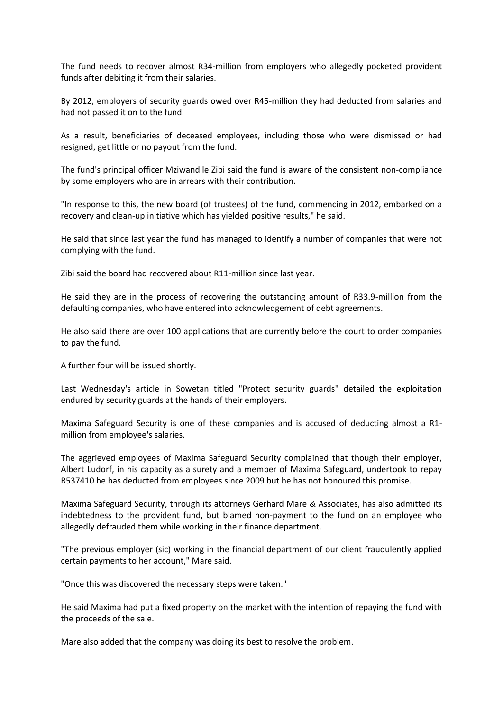The fund needs to recover almost R34-million from employers who allegedly pocketed provident funds after debiting it from their salaries.

By 2012, employers of security guards owed over R45-million they had deducted from salaries and had not passed it on to the fund.

As a result, beneficiaries of deceased employees, including those who were dismissed or had resigned, get little or no payout from the fund.

The fund's principal officer Mziwandile Zibi said the fund is aware of the consistent non-compliance by some employers who are in arrears with their contribution.

"In response to this, the new board (of trustees) of the fund, commencing in 2012, embarked on a recovery and clean-up initiative which has yielded positive results," he said.

He said that since last year the fund has managed to identify a number of companies that were not complying with the fund.

Zibi said the board had recovered about R11-million since last year.

He said they are in the process of recovering the outstanding amount of R33.9-million from the defaulting companies, who have entered into acknowledgement of debt agreements.

He also said there are over 100 applications that are currently before the court to order companies to pay the fund.

A further four will be issued shortly.

Last Wednesday's article in Sowetan titled "Protect security guards" detailed the exploitation endured by security guards at the hands of their employers.

Maxima Safeguard Security is one of these companies and is accused of deducting almost a R1 million from employee's salaries.

The aggrieved employees of Maxima Safeguard Security complained that though their employer, Albert Ludorf, in his capacity as a surety and a member of Maxima Safeguard, undertook to repay R537410 he has deducted from employees since 2009 but he has not honoured this promise.

Maxima Safeguard Security, through its attorneys Gerhard Mare & Associates, has also admitted its indebtedness to the provident fund, but blamed non-payment to the fund on an employee who allegedly defrauded them while working in their finance department.

"The previous employer (sic) working in the financial department of our client fraudulently applied certain payments to her account," Mare said.

"Once this was discovered the necessary steps were taken."

He said Maxima had put a fixed property on the market with the intention of repaying the fund with the proceeds of the sale.

Mare also added that the company was doing its best to resolve the problem.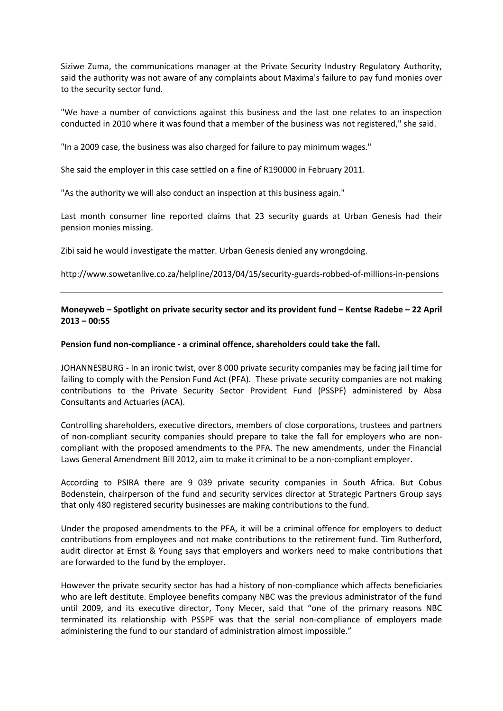Siziwe Zuma, the communications manager at the Private Security Industry Regulatory Authority, said the authority was not aware of any complaints about Maxima's failure to pay fund monies over to the security sector fund.

"We have a number of convictions against this business and the last one relates to an inspection conducted in 2010 where it was found that a member of the business was not registered," she said.

"In a 2009 case, the business was also charged for failure to pay minimum wages."

She said the employer in this case settled on a fine of R190000 in February 2011.

"As the authority we will also conduct an inspection at this business again."

Last month consumer line reported claims that 23 security guards at Urban Genesis had their pension monies missing.

Zibi said he would investigate the matter. Urban Genesis denied any wrongdoing.

<http://www.sowetanlive.co.za/helpline/2013/04/15/security-guards-robbed-of-millions-in-pensions>

# **Moneyweb – Spotlight on private security sector and its provident fund – Kentse Radebe – 22 April 2013 – 00:55**

### **Pension fund non-compliance - a criminal offence, shareholders could take the fall.**

JOHANNESBURG - In an ironic twist, over 8 000 private security companies may be facing jail time for failing to comply with the Pension Fund Act (PFA). These private security companies are not making contributions to the Private Security Sector Provident Fund (PSSPF) administered by Absa Consultants and Actuaries (ACA).

Controlling shareholders, executive directors, members of close corporations, trustees and partners of non-compliant security companies should prepare to take the fall for employers who are noncompliant with the proposed amendments to the PFA. The new amendments, under the Financial Laws General Amendment Bill 2012, aim to make it criminal to be a non-compliant employer.

According to PSIRA there are 9 039 private security companies in South Africa. But Cobus Bodenstein, chairperson of the fund and security services director at Strategic Partners Group says that only 480 registered security businesses are making contributions to the fund.

Under the proposed amendments to the PFA, it will be a criminal offence for employers to deduct contributions from employees and not make contributions to the retirement fund. Tim Rutherford, audit director at Ernst & Young says that employers and workers need to make contributions that are forwarded to the fund by the employer.

However the private security sector has had a history of non-compliance which affects beneficiaries who are left destitute. Employee benefits company NBC was the previous administrator of the fund until 2009, and its executive director, Tony Mecer, said that "one of the primary reasons NBC terminated its relationship with PSSPF was that the serial non-compliance of employers made administering the fund to our standard of administration almost impossible."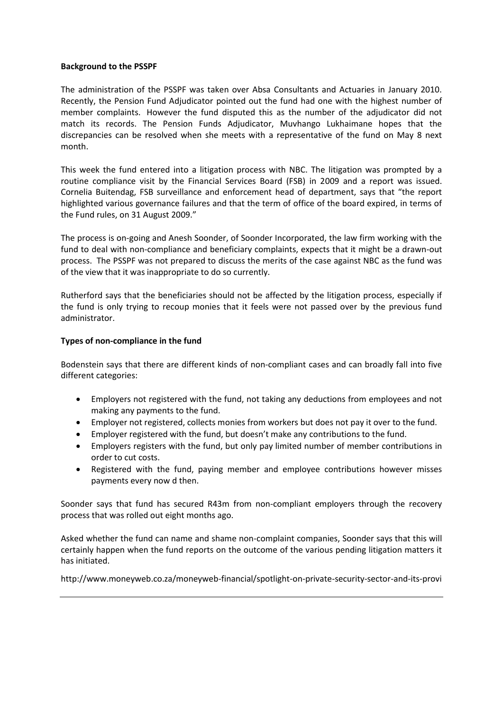### **Background to the PSSPF**

The administration of the PSSPF was taken over Absa Consultants and Actuaries in January 2010. Recently, the Pension Fund Adjudicator [pointed](http://www.moneyweb.co.za/moneyweb-special-investigations/the-numbers-just-dont-add-up) out the fund had one with the highest number of member complaints. However the fund disputed this as the number of the adjudicator did not match its records. The Pension Funds Adjudicator, Muvhango Lukhaimane hopes that the discrepancies can be resolved when she meets with a representative of the fund on May 8 next month.

This week the fund entered into a litigation process with NBC. The litigation was prompted by a routine compliance visit by the Financial Services Board (FSB) in 2009 and a report was issued. Cornelia Buitendag, FSB surveillance and enforcement head of department, says that "the report highlighted various governance failures and that the term of office of the board expired, in terms of the Fund rules, on 31 August 2009."

The process is on-going and Anesh Soonder, of Soonder Incorporated, the law firm working with the fund to deal with non-compliance and beneficiary complaints, expects that it might be a drawn-out process. The PSSPF was not prepared to discuss the merits of the case against NBC as the fund was of the view that it was inappropriate to do so currently.

Rutherford says that the beneficiaries should not be affected by the litigation process, especially if the fund is only trying to recoup monies that it feels were not passed over by the previous fund administrator.

## **Types of non-compliance in the fund**

Bodenstein says that there are different kinds of non-compliant cases and can broadly fall into five different categories:

- Employers not registered with the fund, not taking any deductions from employees and not making any payments to the fund.
- Employer not registered, collects monies from workers but does not pay it over to the fund.
- Employer registered with the fund, but doesn't make any contributions to the fund.
- Employers registers with the fund, but only pay limited number of member contributions in order to cut costs.
- Registered with the fund, paying member and employee contributions however misses payments every now d then.

Soonder says that fund has secured R43m from non-compliant employers through the recovery process that was rolled out eight months ago.

Asked whether the fund can name and shame non-complaint companies, Soonder says that this will certainly happen when the fund reports on the outcome of the various pending litigation matters it has initiated.

<http://www.moneyweb.co.za/moneyweb-financial/spotlight-on-private-security-sector-and-its-provi>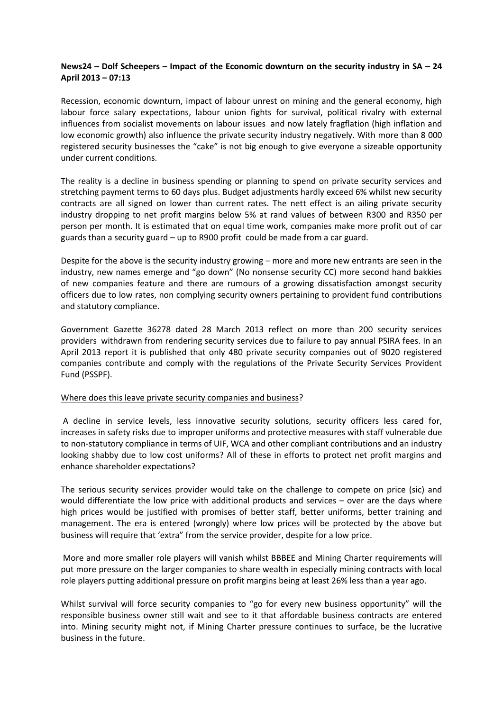# **News24 – Dolf Scheepers – Impact of the Economic downturn on the security industry in SA – 24 April 2013 – 07:13**

Recession, economic downturn, impact of labour unrest on mining and the general economy, high labour force salary expectations, labour union fights for survival, political rivalry with external influences from socialist movements on labour issues and now lately fragflation (high inflation and low economic growth) also influence the private security industry negatively. With more than 8 000 registered security businesses the "cake" is not big enough to give everyone a sizeable opportunity under current conditions.

The reality is a decline in business spending or planning to spend on private security services and stretching payment terms to 60 days plus. Budget adjustments hardly exceed 6% whilst new security contracts are all signed on lower than current rates. The nett effect is an ailing private security industry dropping to net profit margins below 5% at rand values of between R300 and R350 per person per month. It is estimated that on equal time work, companies make more profit out of car guards than a security guard – up to R900 profit could be made from a car guard.

Despite for the above is the security industry growing – more and more new entrants are seen in the industry, new names emerge and "go down" (No nonsense security CC) more second hand bakkies of new companies feature and there are rumours of a growing dissatisfaction amongst security officers due to low rates, non complying security owners pertaining to provident fund contributions and statutory compliance.

Government Gazette 36278 dated 28 March 2013 reflect on more than 200 security services providers withdrawn from rendering security services due to failure to pay annual PSIRA fees. In an April 2013 report it is published that only 480 private security companies out of 9020 registered companies contribute and comply with the regulations of the Private Security Services Provident Fund (PSSPF).

## Where does this leave private security companies and business?

A decline in service levels, less innovative security solutions, security officers less cared for, increases in safety risks due to improper uniforms and protective measures with staff vulnerable due to non-statutory compliance in terms of UIF, WCA and other compliant contributions and an industry looking shabby due to low cost uniforms? All of these in efforts to protect net profit margins and enhance shareholder expectations?

The serious security services provider would take on the challenge to compete on price (sic) and would differentiate the low price with additional products and services – over are the days where high prices would be justified with promises of better staff, better uniforms, better training and management. The era is entered (wrongly) where low prices will be protected by the above but business will require that 'extra" from the service provider, despite for a low price.

More and more smaller role players will vanish whilst BBBEE and Mining Charter requirements will put more pressure on the larger companies to share wealth in especially mining contracts with local role players putting additional pressure on profit margins being at least 26% less than a year ago.

Whilst survival will force security companies to "go for every new business opportunity" will the responsible business owner still wait and see to it that affordable business contracts are entered into. Mining security might not, if Mining Charter pressure continues to surface, be the lucrative business in the future.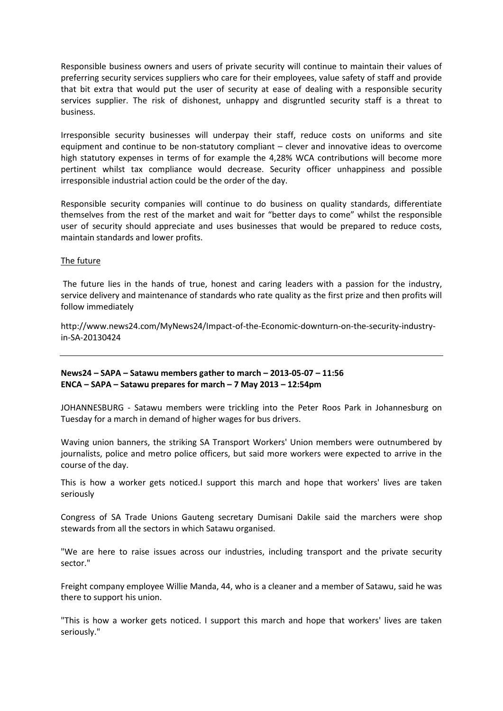Responsible business owners and users of private security will continue to maintain their values of preferring security services suppliers who care for their employees, value safety of staff and provide that bit extra that would put the user of security at ease of dealing with a responsible security services supplier. The risk of dishonest, unhappy and disgruntled security staff is a threat to business.

Irresponsible security businesses will underpay their staff, reduce costs on uniforms and site equipment and continue to be non-statutory compliant – clever and innovative ideas to overcome high statutory expenses in terms of for example the 4,28% WCA contributions will become more pertinent whilst tax compliance would decrease. Security officer unhappiness and possible irresponsible industrial action could be the order of the day.

Responsible security companies will continue to do business on quality standards, differentiate themselves from the rest of the market and wait for "better days to come" whilst the responsible user of security should appreciate and uses businesses that would be prepared to reduce costs, maintain standards and lower profits.

## The future

The future lies in the hands of true, honest and caring leaders with a passion for the industry, service delivery and maintenance of standards who rate quality as the first prize and then profits will follow immediately

[http://www.news24.com/MyNews24/Impact-of-the-Economic-downturn-on-the-security-industry](http://www.news24.com/MyNews24/Impact-of-the-Economic-downturn-on-the-security-industry-in-SA-20130424)[in-SA-20130424](http://www.news24.com/MyNews24/Impact-of-the-Economic-downturn-on-the-security-industry-in-SA-20130424)

## **News24 – SAPA – Satawu members gather to march – 2013-05-07 – 11:56 ENCA – SAPA – Satawu prepares for march – 7 May 2013 – 12:54pm**

JOHANNESBURG - Satawu members were trickling into the Peter Roos Park in Johannesburg on Tuesday for a march in demand of higher wages for bus drivers.

Waving union banners, the striking SA Transport Workers' Union members were outnumbered by journalists, police and metro police officers, but said more workers were expected to arrive in the course of the day.

This is how a worker gets noticed.I support this march and hope that workers' lives are taken seriously

Congress of SA Trade Unions Gauteng secretary Dumisani Dakile said the marchers were shop stewards from all the sectors in which Satawu organised.

"We are here to raise issues across our industries, including transport and the private security sector."

Freight company employee Willie Manda, 44, who is a cleaner and a member of Satawu, said he was there to support his union.

"This is how a worker gets noticed. I support this march and hope that workers' lives are taken seriously."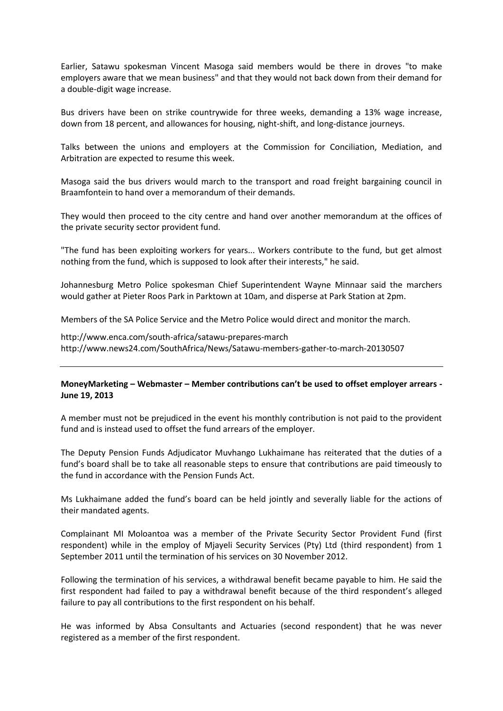Earlier, Satawu spokesman Vincent Masoga said members would be there in droves "to make employers aware that we mean business" and that they would not back down from their demand for a double-digit wage increase.

Bus drivers have been on strike countrywide for three weeks, demanding a 13% wage increase, down from 18 percent, and allowances for housing, night-shift, and long-distance journeys.

Talks between the unions and employers at the Commission for Conciliation, Mediation, and Arbitration are expected to resume this week.

Masoga said the bus drivers would march to the transport and road freight bargaining council in Braamfontein to hand over a memorandum of their demands.

They would then proceed to the city centre and hand over another memorandum at the offices of the private security sector provident fund.

"The fund has been exploiting workers for years... Workers contribute to the fund, but get almost nothing from the fund, which is supposed to look after their interests," he said.

Johannesburg Metro Police spokesman Chief Superintendent Wayne Minnaar said the marchers would gather at Pieter Roos Park in Parktown at 10am, and disperse at Park Station at 2pm.

Members of the SA Police Service and the Metro Police would direct and monitor the march.

<http://www.enca.com/south-africa/satawu-prepares-march> <http://www.news24.com/SouthAfrica/News/Satawu-members-gather-to-march-20130507>

## **MoneyMarketing – Webmaster – Member contributions can't be used to offset employer arrears - June 19, 2013**

A member must not be prejudiced in the event his monthly contribution is not paid to the provident fund and is instead used to offset the fund arrears of the employer.

The Deputy Pension Funds Adjudicator Muvhango Lukhaimane has reiterated that the duties of a fund's board shall be to take all reasonable steps to ensure that contributions are paid timeously to the fund in accordance with the Pension Funds Act.

Ms Lukhaimane added the fund's board can be held jointly and severally liable for the actions of their mandated agents.

Complainant MI Moloantoa was a member of the Private Security Sector Provident Fund (first respondent) while in the employ of Mjayeli Security Services (Pty) Ltd (third respondent) from 1 September 2011 until the termination of his services on 30 November 2012.

Following the termination of his services, a withdrawal benefit became payable to him. He said the first respondent had failed to pay a withdrawal benefit because of the third respondent's alleged failure to pay all contributions to the first respondent on his behalf.

He was informed by Absa Consultants and Actuaries (second respondent) that he was never registered as a member of the first respondent.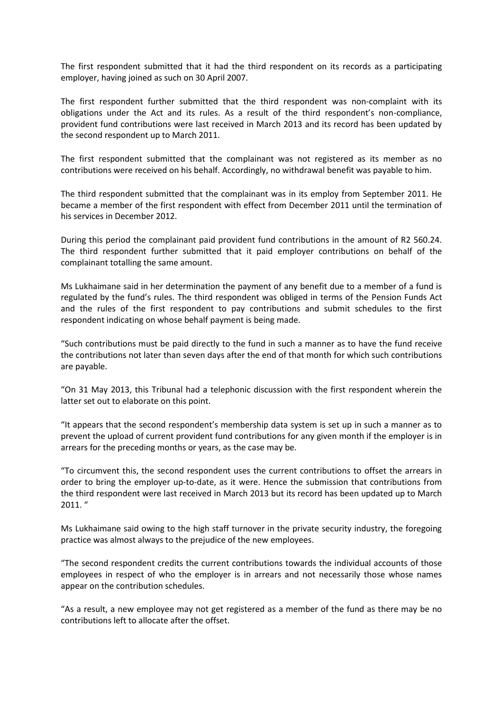The first respondent submitted that it had the third respondent on its records as a participating employer, having joined as such on 30 April 2007.

The first respondent further submitted that the third respondent was non-complaint with its obligations under the Act and its rules. As a result of the third respondent's non-compliance, provident fund contributions were last received in March 2013 and its record has been updated by the second respondent up to March 2011.

The first respondent submitted that the complainant was not registered as its member as no contributions were received on his behalf. Accordingly, no withdrawal benefit was payable to him.

The third respondent submitted that the complainant was in its employ from September 2011. He became a member of the first respondent with effect from December 2011 until the termination of his services in December 2012.

During this period the complainant paid provident fund contributions in the amount of R2 560.24. The third respondent further submitted that it paid employer contributions on behalf of the complainant totalling the same amount.

Ms Lukhaimane said in her determination the payment of any benefit due to a member of a fund is regulated by the fund's rules. The third respondent was obliged in terms of the Pension Funds Act and the rules of the first respondent to pay contributions and submit schedules to the first respondent indicating on whose behalf payment is being made.

"Such contributions must be paid directly to the fund in such a manner as to have the fund receive the contributions not later than seven days after the end of that month for which such contributions are payable.

"On 31 May 2013, this Tribunal had a telephonic discussion with the first respondent wherein the latter set out to elaborate on this point.

"It appears that the second respondent's membership data system is set up in such a manner as to prevent the upload of current provident fund contributions for any given month if the employer is in arrears for the preceding months or years, as the case may be.

"To circumvent this, the second respondent uses the current contributions to offset the arrears in order to bring the employer up-to-date, as it were. Hence the submission that contributions from the third respondent were last received in March 2013 but its record has been updated up to March 2011. "

Ms Lukhaimane said owing to the high staff turnover in the private security industry, the foregoing practice was almost always to the prejudice of the new employees.

"The second respondent credits the current contributions towards the individual accounts of those employees in respect of who the employer is in arrears and not necessarily those whose names appear on the contribution schedules.

"As a result, a new employee may not get registered as a member of the fund as there may be no contributions left to allocate after the offset.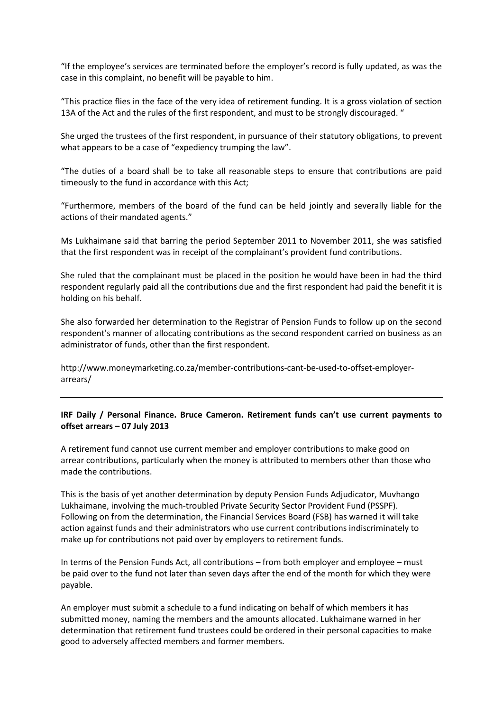"If the employee's services are terminated before the employer's record is fully updated, as was the case in this complaint, no benefit will be payable to him.

"This practice flies in the face of the very idea of retirement funding. It is a gross violation of section 13A of the Act and the rules of the first respondent, and must to be strongly discouraged. "

She urged the trustees of the first respondent, in pursuance of their statutory obligations, to prevent what appears to be a case of "expediency trumping the law".

"The duties of a board shall be to take all reasonable steps to ensure that contributions are paid timeously to the fund in accordance with this Act;

"Furthermore, members of the board of the fund can be held jointly and severally liable for the actions of their mandated agents."

Ms Lukhaimane said that barring the period September 2011 to November 2011, she was satisfied that the first respondent was in receipt of the complainant's provident fund contributions.

She ruled that the complainant must be placed in the position he would have been in had the third respondent regularly paid all the contributions due and the first respondent had paid the benefit it is holding on his behalf.

She also forwarded her determination to the Registrar of Pension Funds to follow up on the second respondent's manner of allocating contributions as the second respondent carried on business as an administrator of funds, other than the first respondent.

[http://www.moneymarketing.co.za/member-contributions-cant-be-used-to-offset-employer](http://www.moneymarketing.co.za/member-contributions-cant-be-used-to-offset-employer-arrears/)[arrears/](http://www.moneymarketing.co.za/member-contributions-cant-be-used-to-offset-employer-arrears/)

# **IRF Daily / Personal Finance. Bruce Cameron. Retirement funds can't use current payments to offset arrears – 07 July 2013**

A retirement fund cannot use current member and employer contributions to make good on arrear contributions, particularly when the money is attributed to members other than those who made the contributions.

This is the basis of yet another determination by deputy Pension Funds Adjudicator, Muvhango Lukhaimane, involving the much-troubled Private Security Sector Provident Fund (PSSPF). Following on from the determination, the Financial Services Board (FSB) has warned it will take action against funds and their administrators who use current contributions indiscriminately to make up for contributions not paid over by employers to retirement funds.

In terms of the Pension Funds Act, all contributions – from both employer and employee – must be paid over to the fund not later than seven days after the end of the month for which they were payable.

An employer must submit a schedule to a fund indicating on behalf of which members it has submitted money, naming the members and the amounts allocated. Lukhaimane warned in her determination that retirement fund trustees could be ordered in their personal capacities to make good to adversely affected members and former members.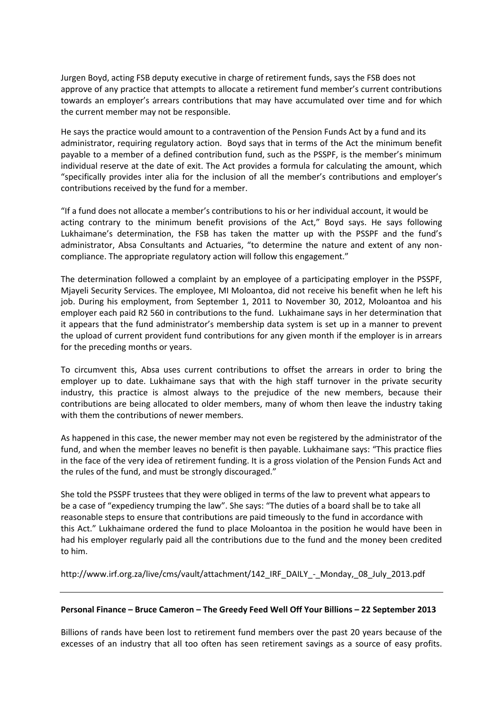Jurgen Boyd, acting FSB deputy executive in charge of retirement funds, says the FSB does not approve of any practice that attempts to allocate a retirement fund member's current contributions towards an employer's arrears contributions that may have accumulated over time and for which the current member may not be responsible.

He says the practice would amount to a contravention of the Pension Funds Act by a fund and its administrator, requiring regulatory action. Boyd says that in terms of the Act the minimum benefit payable to a member of a defined contribution fund, such as the PSSPF, is the member's minimum individual reserve at the date of exit. The Act provides a formula for calculating the amount, which "specifically provides inter alia for the inclusion of all the member's contributions and employer's contributions received by the fund for a member.

"If a fund does not allocate a member's contributions to his or her individual account, it would be acting contrary to the minimum benefit provisions of the Act," Boyd says. He says following Lukhaimane's determination, the FSB has taken the matter up with the PSSPF and the fund's administrator, Absa Consultants and Actuaries, "to determine the nature and extent of any noncompliance. The appropriate regulatory action will follow this engagement."

The determination followed a complaint by an employee of a participating employer in the PSSPF, Mjayeli Security Services. The employee, MI Moloantoa, did not receive his benefit when he left his job. During his employment, from September 1, 2011 to November 30, 2012, Moloantoa and his employer each paid R2 560 in contributions to the fund. Lukhaimane says in her determination that it appears that the fund administrator's membership data system is set up in a manner to prevent the upload of current provident fund contributions for any given month if the employer is in arrears for the preceding months or years.

To circumvent this, Absa uses current contributions to offset the arrears in order to bring the employer up to date. Lukhaimane says that with the high staff turnover in the private security industry, this practice is almost always to the prejudice of the new members, because their contributions are being allocated to older members, many of whom then leave the industry taking with them the contributions of newer members.

As happened in this case, the newer member may not even be registered by the administrator of the fund, and when the member leaves no benefit is then payable. Lukhaimane says: "This practice flies in the face of the very idea of retirement funding. It is a gross violation of the Pension Funds Act and the rules of the fund, and must be strongly discouraged."

She told the PSSPF trustees that they were obliged in terms of the law to prevent what appears to be a case of "expediency trumping the law". She says: "The duties of a board shall be to take all reasonable steps to ensure that contributions are paid timeously to the fund in accordance with this Act." Lukhaimane ordered the fund to place Moloantoa in the position he would have been in had his employer regularly paid all the contributions due to the fund and the money been credited to him.

[http://www.irf.org.za/live/cms/vault/attachment/142\\_IRF\\_DAILY\\_-\\_Monday,\\_08\\_July\\_2013.pdf](http://www.irf.org.za/live/cms/vault/attachment/142_IRF_DAILY_-_Monday,_08_July_2013.pdf)

## **Personal Finance – Bruce Cameron – The Greedy Feed Well Off Your Billions – 22 September 2013**

Billions of rands have been lost to retirement fund members over the past 20 years because of the excesses of an industry that all too often has seen retirement savings as a source of easy profits.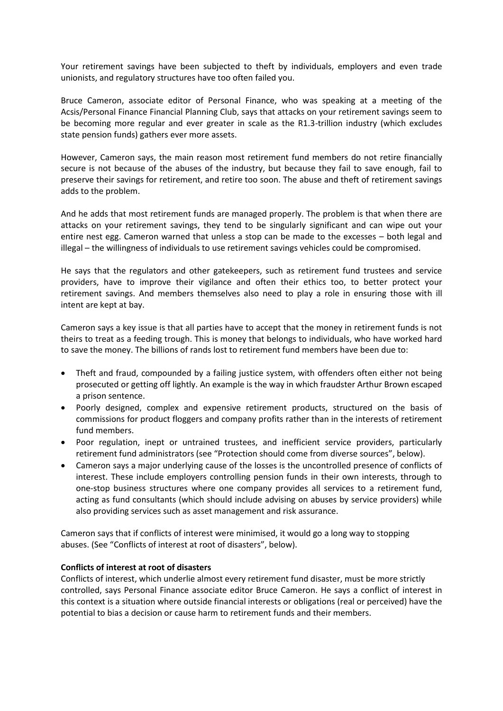Your retirement savings have been subjected to theft by individuals, employers and even trade unionists, and regulatory structures have too often failed you.

Bruce Cameron, associate editor of Personal Finance, who was speaking at a meeting of the Acsis/Personal Finance Financial Planning Club, says that attacks on your retirement savings seem to be becoming more regular and ever greater in scale as the R1.3-trillion industry (which excludes state pension funds) gathers ever more assets.

However, Cameron says, the main reason most retirement fund members do not retire financially secure is not because of the abuses of the industry, but because they fail to save enough, fail to preserve their savings for retirement, and retire too soon. The abuse and theft of retirement savings adds to the problem.

And he adds that most retirement funds are managed properly. The problem is that when there are attacks on your retirement savings, they tend to be singularly significant and can wipe out your entire nest egg. Cameron warned that unless a stop can be made to the excesses – both legal and illegal – the willingness of individuals to use retirement savings vehicles could be compromised.

He says that the regulators and other gatekeepers, such as retirement fund trustees and service providers, have to improve their vigilance and often their ethics too, to better protect your retirement savings. And members themselves also need to play a role in ensuring those with ill intent are kept at bay.

Cameron says a key issue is that all parties have to accept that the money in retirement funds is not theirs to treat as a feeding trough. This is money that belongs to individuals, who have worked hard to save the money. The billions of rands lost to retirement fund members have been due to:

- Theft and fraud, compounded by a failing justice system, with offenders often either not being prosecuted or getting off lightly. An example is the way in which fraudster Arthur Brown escaped a prison sentence.
- Poorly designed, complex and expensive retirement products, structured on the basis of commissions for product floggers and company profits rather than in the interests of retirement fund members.
- Poor regulation, inept or untrained trustees, and inefficient service providers, particularly retirement fund administrators (see "Protection should come from diverse sources", below).
- Cameron says a major underlying cause of the losses is the uncontrolled presence of conflicts of interest. These include employers controlling pension funds in their own interests, through to one-stop business structures where one company provides all services to a retirement fund, acting as fund consultants (which should include advising on abuses by service providers) while also providing services such as asset management and risk assurance.

Cameron says that if conflicts of interest were minimised, it would go a long way to stopping abuses. (See "Conflicts of interest at root of disasters", below).

## **Conflicts of interest at root of disasters**

Conflicts of interest, which underlie almost every retirement fund disaster, must be more strictly controlled, says Personal Finance associate editor Bruce Cameron. He says a conflict of interest in this context is a situation where outside financial interests or obligations (real or perceived) have the potential to bias a decision or cause harm to retirement funds and their members.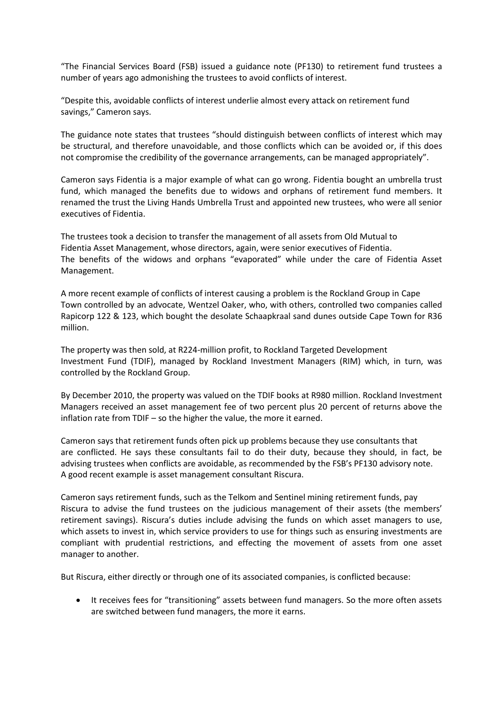"The Financial Services Board (FSB) issued a guidance note (PF130) to retirement fund trustees a number of years ago admonishing the trustees to avoid conflicts of interest.

"Despite this, avoidable conflicts of interest underlie almost every attack on retirement fund savings," Cameron says.

The guidance note states that trustees "should distinguish between conflicts of interest which may be structural, and therefore unavoidable, and those conflicts which can be avoided or, if this does not compromise the credibility of the governance arrangements, can be managed appropriately".

Cameron says Fidentia is a major example of what can go wrong. Fidentia bought an umbrella trust fund, which managed the benefits due to widows and orphans of retirement fund members. It renamed the trust the Living Hands Umbrella Trust and appointed new trustees, who were all senior executives of Fidentia.

The trustees took a decision to transfer the management of all assets from Old Mutual to Fidentia Asset Management, whose directors, again, were senior executives of Fidentia. The benefits of the widows and orphans "evaporated" while under the care of Fidentia Asset Management.

A more recent example of conflicts of interest causing a problem is the Rockland Group in Cape Town controlled by an advocate, Wentzel Oaker, who, with others, controlled two companies called Rapicorp 122 & 123, which bought the desolate Schaapkraal sand dunes outside Cape Town for R36 million.

The property was then sold, at R224-million profit, to Rockland Targeted Development Investment Fund (TDIF), managed by Rockland Investment Managers (RIM) which, in turn, was controlled by the Rockland Group.

By December 2010, the property was valued on the TDIF books at R980 million. Rockland Investment Managers received an asset management fee of two percent plus 20 percent of returns above the inflation rate from TDIF – so the higher the value, the more it earned.

Cameron says that retirement funds often pick up problems because they use consultants that are conflicted. He says these consultants fail to do their duty, because they should, in fact, be advising trustees when conflicts are avoidable, as recommended by the FSB's PF130 advisory note. A good recent example is asset management consultant Riscura.

Cameron says retirement funds, such as the Telkom and Sentinel mining retirement funds, pay Riscura to advise the fund trustees on the judicious management of their assets (the members' retirement savings). Riscura's duties include advising the funds on which asset managers to use, which assets to invest in, which service providers to use for things such as ensuring investments are compliant with prudential restrictions, and effecting the movement of assets from one asset manager to another.

But Riscura, either directly or through one of its associated companies, is conflicted because:

 It receives fees for "transitioning" assets between fund managers. So the more often assets are switched between fund managers, the more it earns.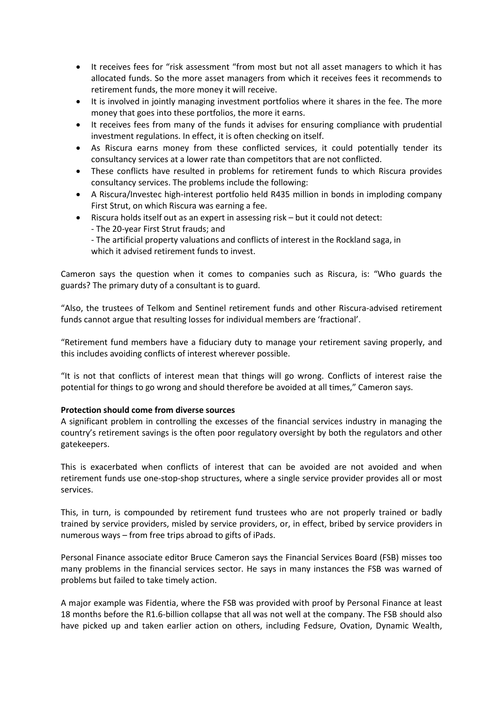- It receives fees for "risk assessment "from most but not all asset managers to which it has allocated funds. So the more asset managers from which it receives fees it recommends to retirement funds, the more money it will receive.
- It is involved in jointly managing investment portfolios where it shares in the fee. The more money that goes into these portfolios, the more it earns.
- It receives fees from many of the funds it advises for ensuring compliance with prudential investment regulations. In effect, it is often checking on itself.
- As Riscura earns money from these conflicted services, it could potentially tender its consultancy services at a lower rate than competitors that are not conflicted.
- These conflicts have resulted in problems for retirement funds to which Riscura provides consultancy services. The problems include the following:
- A Riscura/Investec high-interest portfolio held R435 million in bonds in imploding company First Strut, on which Riscura was earning a fee.
- Riscura holds itself out as an expert in assessing risk but it could not detect: - The 20-year First Strut frauds; and
	- The artificial property valuations and conflicts of interest in the Rockland saga, in
	- which it advised retirement funds to invest.

Cameron says the question when it comes to companies such as Riscura, is: "Who guards the guards? The primary duty of a consultant is to guard.

"Also, the trustees of Telkom and Sentinel retirement funds and other Riscura-advised retirement funds cannot argue that resulting losses for individual members are 'fractional'.

"Retirement fund members have a fiduciary duty to manage your retirement saving properly, and this includes avoiding conflicts of interest wherever possible.

"It is not that conflicts of interest mean that things will go wrong. Conflicts of interest raise the potential for things to go wrong and should therefore be avoided at all times," Cameron says.

## **Protection should come from diverse sources**

A significant problem in controlling the excesses of the financial services industry in managing the country's retirement savings is the often poor regulatory oversight by both the regulators and other gatekeepers.

This is exacerbated when conflicts of interest that can be avoided are not avoided and when retirement funds use one-stop-shop structures, where a single service provider provides all or most services.

This, in turn, is compounded by retirement fund trustees who are not properly trained or badly trained by service providers, misled by service providers, or, in effect, bribed by service providers in numerous ways – from free trips abroad to gifts of iPads.

Personal Finance associate editor Bruce Cameron says the Financial Services Board (FSB) misses too many problems in the financial services sector. He says in many instances the FSB was warned of problems but failed to take timely action.

A major example was Fidentia, where the FSB was provided with proof by Personal Finance at least 18 months before the R1.6-billion collapse that all was not well at the company. The FSB should also have picked up and taken earlier action on others, including Fedsure, Ovation, Dynamic Wealth,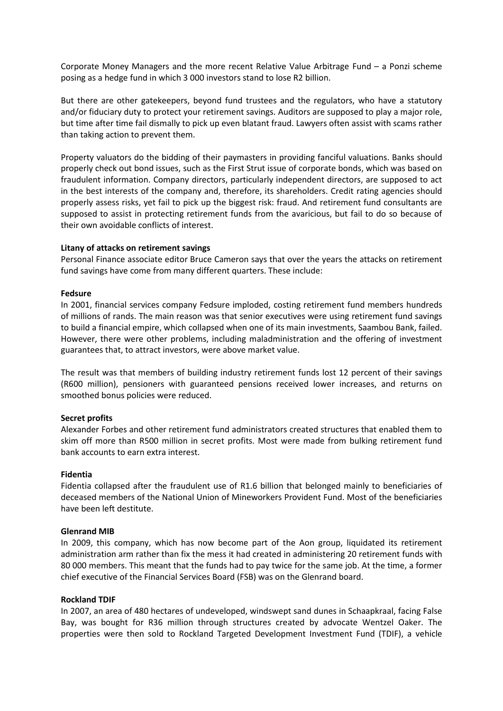Corporate Money Managers and the more recent Relative Value Arbitrage Fund – a Ponzi scheme posing as a hedge fund in which 3 000 investors stand to lose R2 billion.

But there are other gatekeepers, beyond fund trustees and the regulators, who have a statutory and/or fiduciary duty to protect your retirement savings. Auditors are supposed to play a major role, but time after time fail dismally to pick up even blatant fraud. Lawyers often assist with scams rather than taking action to prevent them.

Property valuators do the bidding of their paymasters in providing fanciful valuations. Banks should properly check out bond issues, such as the First Strut issue of corporate bonds, which was based on fraudulent information. Company directors, particularly independent directors, are supposed to act in the best interests of the company and, therefore, its shareholders. Credit rating agencies should properly assess risks, yet fail to pick up the biggest risk: fraud. And retirement fund consultants are supposed to assist in protecting retirement funds from the avaricious, but fail to do so because of their own avoidable conflicts of interest.

### **Litany of attacks on retirement savings**

Personal Finance associate editor Bruce Cameron says that over the years the attacks on retirement fund savings have come from many different quarters. These include:

#### **Fedsure**

In 2001, financial services company Fedsure imploded, costing retirement fund members hundreds of millions of rands. The main reason was that senior executives were using retirement fund savings to build a financial empire, which collapsed when one of its main investments, Saambou Bank, failed. However, there were other problems, including maladministration and the offering of investment guarantees that, to attract investors, were above market value.

The result was that members of building industry retirement funds lost 12 percent of their savings (R600 million), pensioners with guaranteed pensions received lower increases, and returns on smoothed bonus policies were reduced.

#### **Secret profits**

Alexander Forbes and other retirement fund administrators created structures that enabled them to skim off more than R500 million in secret profits. Most were made from bulking retirement fund bank accounts to earn extra interest.

## **Fidentia**

Fidentia collapsed after the fraudulent use of R1.6 billion that belonged mainly to beneficiaries of deceased members of the National Union of Mineworkers Provident Fund. Most of the beneficiaries have been left destitute.

### **Glenrand MIB**

In 2009, this company, which has now become part of the Aon group, liquidated its retirement administration arm rather than fix the mess it had created in administering 20 retirement funds with 80 000 members. This meant that the funds had to pay twice for the same job. At the time, a former chief executive of the Financial Services Board (FSB) was on the Glenrand board.

#### **Rockland TDIF**

In 2007, an area of 480 hectares of undeveloped, windswept sand dunes in Schaapkraal, facing False Bay, was bought for R36 million through structures created by advocate Wentzel Oaker. The properties were then sold to Rockland Targeted Development Investment Fund (TDIF), a vehicle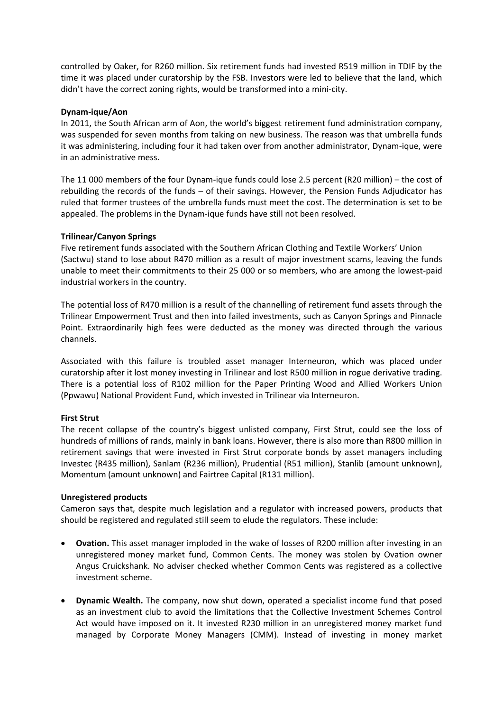controlled by Oaker, for R260 million. Six retirement funds had invested R519 million in TDIF by the time it was placed under curatorship by the FSB. Investors were led to believe that the land, which didn't have the correct zoning rights, would be transformed into a mini-city.

## **Dynam-ique/Aon**

In 2011, the South African arm of Aon, the world's biggest retirement fund administration company, was suspended for seven months from taking on new business. The reason was that umbrella funds it was administering, including four it had taken over from another administrator, Dynam-ique, were in an administrative mess.

The 11 000 members of the four Dynam-ique funds could lose 2.5 percent (R20 million) – the cost of rebuilding the records of the funds – of their savings. However, the Pension Funds Adjudicator has ruled that former trustees of the umbrella funds must meet the cost. The determination is set to be appealed. The problems in the Dynam-ique funds have still not been resolved.

# **Trilinear/Canyon Springs**

Five retirement funds associated with the Southern African Clothing and Textile Workers' Union (Sactwu) stand to lose about R470 million as a result of major investment scams, leaving the funds unable to meet their commitments to their 25 000 or so members, who are among the lowest-paid industrial workers in the country.

The potential loss of R470 million is a result of the channelling of retirement fund assets through the Trilinear Empowerment Trust and then into failed investments, such as Canyon Springs and Pinnacle Point. Extraordinarily high fees were deducted as the money was directed through the various channels.

Associated with this failure is troubled asset manager Interneuron, which was placed under curatorship after it lost money investing in Trilinear and lost R500 million in rogue derivative trading. There is a potential loss of R102 million for the Paper Printing Wood and Allied Workers Union (Ppwawu) National Provident Fund, which invested in Trilinear via Interneuron.

## **First Strut**

The recent collapse of the country's biggest unlisted company, First Strut, could see the loss of hundreds of millions of rands, mainly in bank loans. However, there is also more than R800 million in retirement savings that were invested in First Strut corporate bonds by asset managers including Investec (R435 million), Sanlam (R236 million), Prudential (R51 million), Stanlib (amount unknown), Momentum (amount unknown) and Fairtree Capital (R131 million).

## **Unregistered products**

Cameron says that, despite much legislation and a regulator with increased powers, products that should be registered and regulated still seem to elude the regulators. These include:

- **Ovation.** This asset manager imploded in the wake of losses of R200 million after investing in an unregistered money market fund, Common Cents. The money was stolen by Ovation owner Angus Cruickshank. No adviser checked whether Common Cents was registered as a collective investment scheme.
- **Dynamic Wealth.** The company, now shut down, operated a specialist income fund that posed as an investment club to avoid the limitations that the Collective Investment Schemes Control Act would have imposed on it. It invested R230 million in an unregistered money market fund managed by Corporate Money Managers (CMM). Instead of investing in money market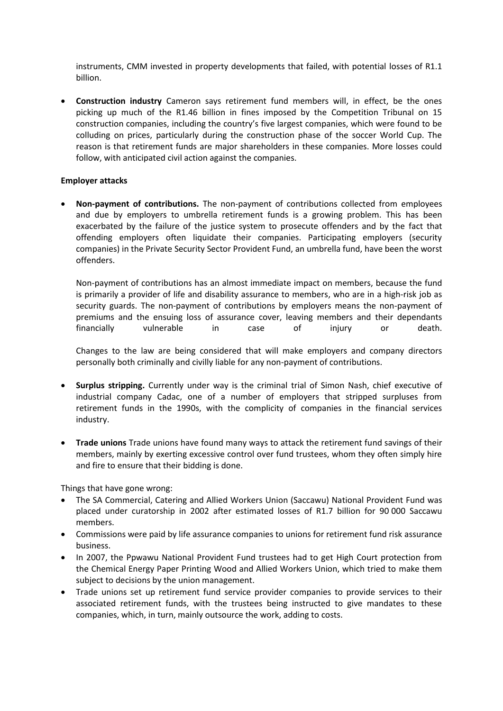instruments, CMM invested in property developments that failed, with potential losses of R1.1 billion.

 **Construction industry** Cameron says retirement fund members will, in effect, be the ones picking up much of the R1.46 billion in fines imposed by the Competition Tribunal on 15 construction companies, including the country's five largest companies, which were found to be colluding on prices, particularly during the construction phase of the soccer World Cup. The reason is that retirement funds are major shareholders in these companies. More losses could follow, with anticipated civil action against the companies.

## **Employer attacks**

 **Non-payment of contributions.** The non-payment of contributions collected from employees and due by employers to umbrella retirement funds is a growing problem. This has been exacerbated by the failure of the justice system to prosecute offenders and by the fact that offending employers often liquidate their companies. Participating employers (security companies) in the Private Security Sector Provident Fund, an umbrella fund, have been the worst offenders.

Non-payment of contributions has an almost immediate impact on members, because the fund is primarily a provider of life and disability assurance to members, who are in a high-risk job as security guards. The non-payment of contributions by employers means the non-payment of premiums and the ensuing loss of assurance cover, leaving members and their dependants financially vulnerable in case of injury or death.

Changes to the law are being considered that will make employers and company directors personally both criminally and civilly liable for any non-payment of contributions.

- **Surplus stripping.** Currently under way is the criminal trial of Simon Nash, chief executive of industrial company Cadac, one of a number of employers that stripped surpluses from retirement funds in the 1990s, with the complicity of companies in the financial services industry.
- **Trade unions** Trade unions have found many ways to attack the retirement fund savings of their members, mainly by exerting excessive control over fund trustees, whom they often simply hire and fire to ensure that their bidding is done.

Things that have gone wrong:

- The SA Commercial, Catering and Allied Workers Union (Saccawu) National Provident Fund was placed under curatorship in 2002 after estimated losses of R1.7 billion for 90 000 Saccawu members.
- Commissions were paid by life assurance companies to unions for retirement fund risk assurance business.
- In 2007, the Ppwawu National Provident Fund trustees had to get High Court protection from the Chemical Energy Paper Printing Wood and Allied Workers Union, which tried to make them subject to decisions by the union management.
- Trade unions set up retirement fund service provider companies to provide services to their associated retirement funds, with the trustees being instructed to give mandates to these companies, which, in turn, mainly outsource the work, adding to costs.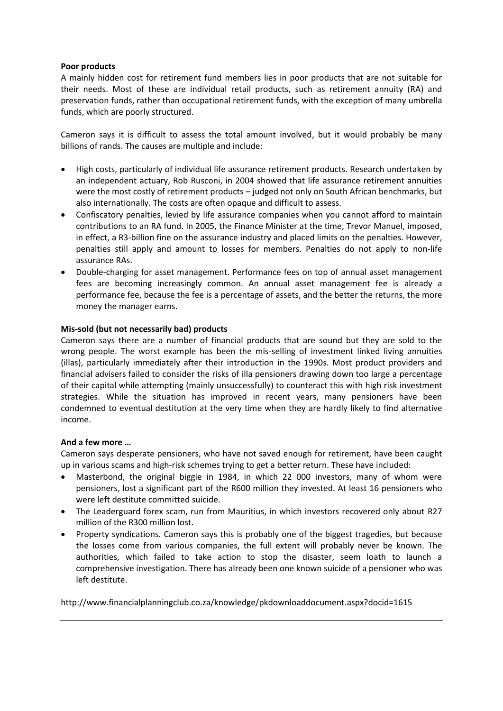## **Poor products**

A mainly hidden cost for retirement fund members lies in poor products that are not suitable for their needs. Most of these are individual retail products, such as retirement annuity (RA) and preservation funds, rather than occupational retirement funds, with the exception of many umbrella funds, which are poorly structured.

Cameron says it is difficult to assess the total amount involved, but it would probably be many billions of rands. The causes are multiple and include:

- High costs, particularly of individual life assurance retirement products. Research undertaken by an independent actuary, Rob Rusconi, in 2004 showed that life assurance retirement annuities were the most costly of retirement products – judged not only on South African benchmarks, but also internationally. The costs are often opaque and difficult to assess.
- Confiscatory penalties, levied by life assurance companies when you cannot afford to maintain contributions to an RA fund. In 2005, the Finance Minister at the time, Trevor Manuel, imposed, in effect, a R3-billion fine on the assurance industry and placed limits on the penalties. However, penalties still apply and amount to losses for members. Penalties do not apply to non-life assurance RAs.
- Double-charging for asset management. Performance fees on top of annual asset management fees are becoming increasingly common. An annual asset management fee is already a performance fee, because the fee is a percentage of assets, and the better the returns, the more money the manager earns.

# **Mis-sold (but not necessarily bad) products**

Cameron says there are a number of financial products that are sound but they are sold to the wrong people. The worst example has been the mis-selling of investment linked living annuities (illas), particularly immediately after their introduction in the 1990s. Most product providers and financial advisers failed to consider the risks of illa pensioners drawing down too large a percentage of their capital while attempting (mainly unsuccessfully) to counteract this with high risk investment strategies. While the situation has improved in recent years, many pensioners have been condemned to eventual destitution at the very time when they are hardly likely to find alternative income.

## **And a few more …**

Cameron says desperate pensioners, who have not saved enough for retirement, have been caught up in various scams and high-risk schemes trying to get a better return. These have included:

- Masterbond, the original biggie in 1984, in which 22 000 investors, many of whom were pensioners, lost a significant part of the R600 million they invested. At least 16 pensioners who were left destitute committed suicide.
- The Leaderguard forex scam, run from Mauritius, in which investors recovered only about R27 million of the R300 million lost.
- Property syndications. Cameron says this is probably one of the biggest tragedies, but because the losses come from various companies, the full extent will probably never be known. The authorities, which failed to take action to stop the disaster, seem loath to launch a comprehensive investigation. There has already been one known suicide of a pensioner who was left destitute.

<http://www.financialplanningclub.co.za/knowledge/pkdownloaddocument.aspx?docid=1615>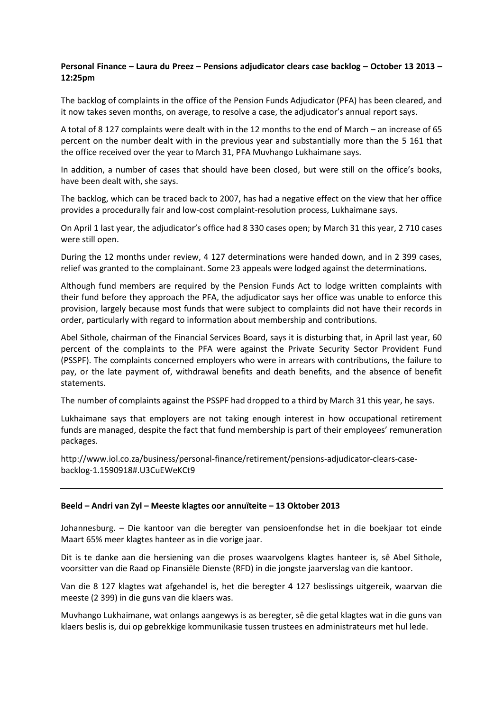# **Personal Finance – Laura du Preez – Pensions adjudicator clears case backlog – October 13 2013 – 12:25pm**

The backlog of complaints in the office of the Pension Funds Adjudicator (PFA) has been cleared, and it now takes seven months, on average, to resolve a case, the adjudicator's annual report says.

A total of 8 127 complaints were dealt with in the 12 months to the end of March – an increase of 65 percent on the number dealt with in the previous year and substantially more than the 5 161 that the office received over the year to March 31, PFA Muvhango Lukhaimane says.

In addition, a number of cases that should have been closed, but were still on the office's books, have been dealt with, she says.

The backlog, which can be traced back to 2007, has had a negative effect on the view that her office provides a procedurally fair and low-cost complaint-resolution process, Lukhaimane says.

On April 1 last year, the adjudicator's office had 8 330 cases open; by March 31 this year, 2 710 cases were still open.

During the 12 months under review, 4 127 determinations were handed down, and in 2 399 cases, relief was granted to the complainant. Some 23 appeals were lodged against the determinations.

Although fund members are required by the Pension Funds Act to lodge written complaints with their fund before they approach the PFA, the adjudicator says her office was unable to enforce this provision, largely because most funds that were subject to complaints did not have their records in order, particularly with regard to information about membership and contributions.

Abel Sithole, chairman of the Financial Services Board, says it is disturbing that, in April last year, 60 percent of the complaints to the PFA were against the Private Security Sector Provident Fund (PSSPF). The complaints concerned employers who were in arrears with contributions, the failure to pay, or the late payment of, withdrawal benefits and death benefits, and the absence of benefit statements.

The number of complaints against the PSSPF had dropped to a third by March 31 this year, he says.

Lukhaimane says that employers are not taking enough interest in how occupational retirement funds are managed, despite the fact that fund membership is part of their employees' remuneration packages.

[http://www.iol.co.za/business/personal-finance/retirement/pensions-adjudicator-clears-case](http://www.iol.co.za/business/personal-finance/retirement/pensions-adjudicator-clears-case-backlog-1.1590918#.U3CuEWeKCt9)[backlog-1.1590918#.U3CuEWeKCt9](http://www.iol.co.za/business/personal-finance/retirement/pensions-adjudicator-clears-case-backlog-1.1590918#.U3CuEWeKCt9)

## **Beeld – Andri van Zyl – Meeste klagtes oor annuïteite – 13 Oktober 2013**

Johannesburg. – Die kantoor van die beregter van pensioenfondse het in die boekjaar tot einde Maart 65% meer klagtes hanteer as in die vorige jaar.

Dit is te danke aan die hersiening van die proses waarvolgens klagtes hanteer is, sê Abel Sithole, voorsitter van die Raad op Finansiële Dienste (RFD) in die jongste jaarverslag van die kantoor.

Van die 8 127 klagtes wat afgehandel is, het die beregter 4 127 beslissings uitgereik, waarvan die meeste (2 399) in die guns van die klaers was.

Muvhango Lukhaimane, wat onlangs aangewys is as beregter, sê die getal klagtes wat in die guns van klaers beslis is, dui op gebrekkige kommunikasie tussen trustees en administrateurs met hul lede.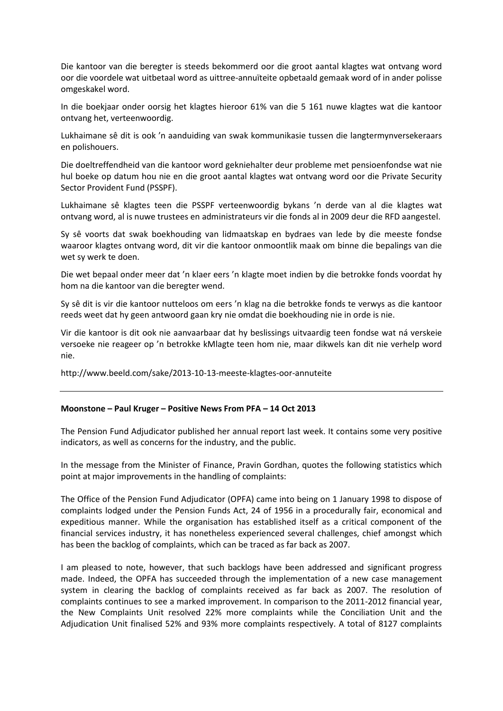Die kantoor van die beregter is steeds bekommerd oor die groot aantal klagtes wat ontvang word oor die voordele wat uitbetaal word as uittree-annuïteite opbetaald gemaak word of in ander polisse omgeskakel word.

In die boekjaar onder oorsig het klagtes hieroor 61% van die 5 161 nuwe klagtes wat die kantoor ontvang het, verteenwoordig.

Lukhaimane sê dit is ook 'n aanduiding van swak kommunikasie tussen die langtermynversekeraars en polishouers.

Die doeltreffendheid van die kantoor word gekniehalter deur probleme met pensioenfondse wat nie hul boeke op datum hou nie en die groot aantal klagtes wat ontvang word oor die Private Security Sector Provident Fund (PSSPF).

Lukhaimane sê klagtes teen die PSSPF verteenwoordig bykans 'n derde van al die klagtes wat ontvang word, al is nuwe trustees en administrateurs vir die fonds al in 2009 deur die RFD aangestel.

Sy sê voorts dat swak boekhouding van lidmaatskap en bydraes van lede by die meeste fondse waaroor klagtes ontvang word, dit vir die kantoor onmoontlik maak om binne die bepalings van die wet sy werk te doen.

Die wet bepaal onder meer dat 'n klaer eers 'n klagte moet indien by die betrokke fonds voordat hy hom na die kantoor van die beregter wend.

Sy sê dit is vir die kantoor nutteloos om eers 'n klag na die betrokke fonds te verwys as die kantoor reeds weet dat hy geen antwoord gaan kry nie omdat die boekhouding nie in orde is nie.

Vir die kantoor is dit ook nie aanvaarbaar dat hy beslissings uitvaardig teen fondse wat ná verskeie versoeke nie reageer op 'n betrokke kMlagte teen hom nie, maar dikwels kan dit nie verhelp word nie.

<http://www.beeld.com/sake/2013-10-13-meeste-klagtes-oor-annuteite>

#### **Moonstone – Paul Kruger – Positive News From PFA – 14 Oct 2013**

The Pension Fund Adjudicator published her annual report last week. It contains some very positive indicators, as well as concerns for the industry, and the public.

In the message from the Minister of Finance, Pravin Gordhan, quotes the following statistics which point at major improvements in the handling of complaints:

The Office of the Pension Fund Adjudicator (OPFA) came into being on 1 January 1998 to dispose of complaints lodged under the Pension Funds Act, 24 of 1956 in a procedurally fair, economical and expeditious manner. While the organisation has established itself as a critical component of the financial services industry, it has nonetheless experienced several challenges, chief amongst which has been the backlog of complaints, which can be traced as far back as 2007.

I am pleased to note, however, that such backlogs have been addressed and significant progress made. Indeed, the OPFA has succeeded through the implementation of a new case management system in clearing the backlog of complaints received as far back as 2007. The resolution of complaints continues to see a marked improvement. In comparison to the 2011-2012 financial year, the New Complaints Unit resolved 22% more complaints while the Conciliation Unit and the Adjudication Unit finalised 52% and 93% more complaints respectively. A total of 8127 complaints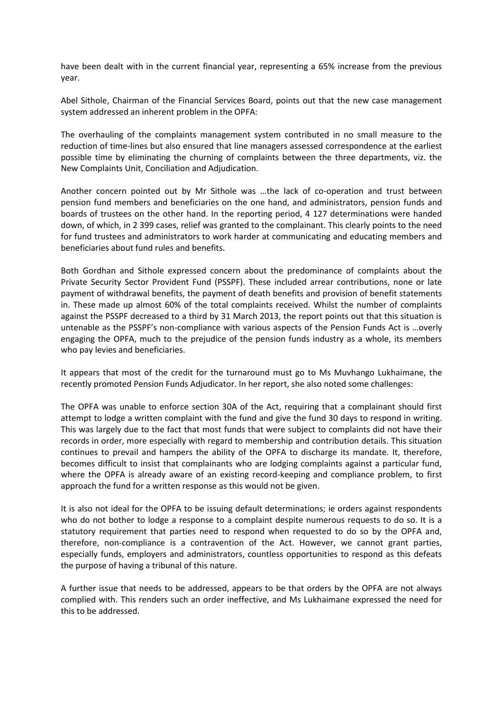have been dealt with in the current financial year, representing a 65% increase from the previous year.

Abel Sithole, Chairman of the Financial Services Board, points out that the new case management system addressed an inherent problem in the OPFA:

The overhauling of the complaints management system contributed in no small measure to the reduction of time-lines but also ensured that line managers assessed correspondence at the earliest possible time by eliminating the churning of complaints between the three departments, viz. the New Complaints Unit, Conciliation and Adjudication.

Another concern pointed out by Mr Sithole was …the lack of co-operation and trust between pension fund members and beneficiaries on the one hand, and administrators, pension funds and boards of trustees on the other hand. In the reporting period, 4 127 determinations were handed down, of which, in 2 399 cases, relief was granted to the complainant. This clearly points to the need for fund trustees and administrators to work harder at communicating and educating members and beneficiaries about fund rules and benefits.

Both Gordhan and Sithole expressed concern about the predominance of complaints about the Private Security Sector Provident Fund (PSSPF). These included arrear contributions, none or late payment of withdrawal benefits, the payment of death benefits and provision of benefit statements in. These made up almost 60% of the total complaints received. Whilst the number of complaints against the PSSPF decreased to a third by 31 March 2013, the report points out that this situation is untenable as the PSSPF's non-compliance with various aspects of the Pension Funds Act is …overly engaging the OPFA, much to the prejudice of the pension funds industry as a whole, its members who pay levies and beneficiaries.

It appears that most of the credit for the turnaround must go to Ms Muvhango Lukhaimane, the recently promoted Pension Funds Adjudicator. In her report, she also noted some challenges:

The OPFA was unable to enforce section 30A of the Act, requiring that a complainant should first attempt to lodge a written complaint with the fund and give the fund 30 days to respond in writing. This was largely due to the fact that most funds that were subject to complaints did not have their records in order, more especially with regard to membership and contribution details. This situation continues to prevail and hampers the ability of the OPFA to discharge its mandate. It, therefore, becomes difficult to insist that complainants who are lodging complaints against a particular fund, where the OPFA is already aware of an existing record-keeping and compliance problem, to first approach the fund for a written response as this would not be given.

It is also not ideal for the OPFA to be issuing default determinations; ie orders against respondents who do not bother to lodge a response to a complaint despite numerous requests to do so. It is a statutory requirement that parties need to respond when requested to do so by the OPFA and, therefore, non-compliance is a contravention of the Act. However, we cannot grant parties, especially funds, employers and administrators, countless opportunities to respond as this defeats the purpose of having a tribunal of this nature.

A further issue that needs to be addressed, appears to be that orders by the OPFA are not always complied with. This renders such an order ineffective, and Ms Lukhaimane expressed the need for this to be addressed.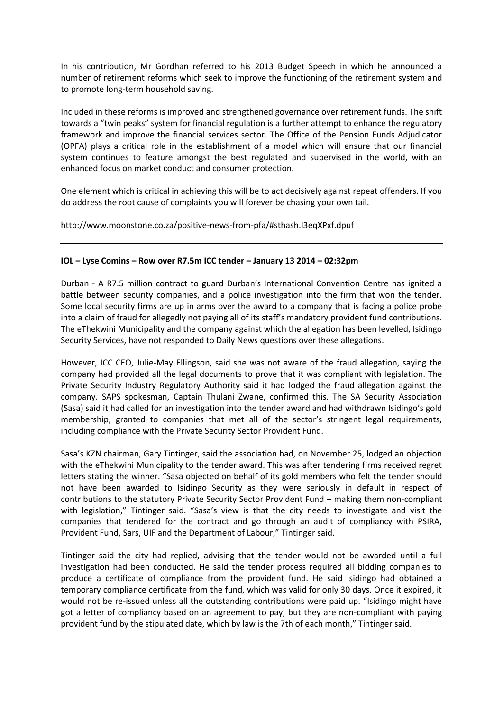In his contribution, Mr Gordhan referred to his 2013 Budget Speech in which he announced a number of retirement reforms which seek to improve the functioning of the retirement system and to promote long-term household saving.

Included in these reforms is improved and strengthened governance over retirement funds. The shift towards a "twin peaks" system for financial regulation is a further attempt to enhance the regulatory framework and improve the financial services sector. The Office of the Pension Funds Adjudicator (OPFA) plays a critical role in the establishment of a model which will ensure that our financial system continues to feature amongst the best regulated and supervised in the world, with an enhanced focus on market conduct and consumer protection.

One element which is critical in achieving this will be to act decisively against repeat offenders. If you do address the root cause of complaints you will forever be chasing your own tail.

<http://www.moonstone.co.za/positive-news-from-pfa/#sthash.I3eqXPxf.dpuf>

## **IOL – Lyse Comins – Row over R7.5m ICC tender – January 13 2014 – 02:32pm**

Durban - A R7.5 million contract to guard Durban's International Convention Centre has ignited a battle between security companies, and a police investigation into the firm that won the tender. Some local security firms are up in arms over the award to a company that is facing a police probe into a claim of fraud for allegedly not paying all of its staff's mandatory provident fund contributions. The eThekwini Municipality and the company against which the allegation has been levelled, Isidingo Security Services, have not responded to Daily News questions over these allegations.

However, ICC CEO, Julie-May Ellingson, said she was not aware of the fraud allegation, saying the company had provided all the legal documents to prove that it was compliant with legislation. The Private Security Industry Regulatory Authority said it had lodged the fraud allegation against the company. SAPS spokesman, Captain Thulani Zwane, confirmed this. The SA Security Association (Sasa) said it had called for an investigation into the tender award and had withdrawn Isidingo's gold membership, granted to companies that met all of the sector's stringent legal requirements, including compliance with the Private Security Sector Provident Fund.

Sasa's KZN chairman, Gary Tintinger, said the association had, on November 25, lodged an objection with the eThekwini Municipality to the tender award. This was after tendering firms received regret letters stating the winner. "Sasa objected on behalf of its gold members who felt the tender should not have been awarded to Isidingo Security as they were seriously in default in respect of contributions to the statutory Private Security Sector Provident Fund – making them non-compliant with legislation," Tintinger said. "Sasa's view is that the city needs to investigate and visit the companies that tendered for the contract and go through an audit of compliancy with PSIRA, Provident Fund, Sars, UIF and the Department of Labour," Tintinger said.

Tintinger said the city had replied, advising that the tender would not be awarded until a full investigation had been conducted. He said the tender process required all bidding companies to produce a certificate of compliance from the provident fund. He said Isidingo had obtained a temporary compliance certificate from the fund, which was valid for only 30 days. Once it expired, it would not be re-issued unless all the outstanding contributions were paid up. "Isidingo might have got a letter of compliancy based on an agreement to pay, but they are non-compliant with paying provident fund by the stipulated date, which by law is the 7th of each month," Tintinger said.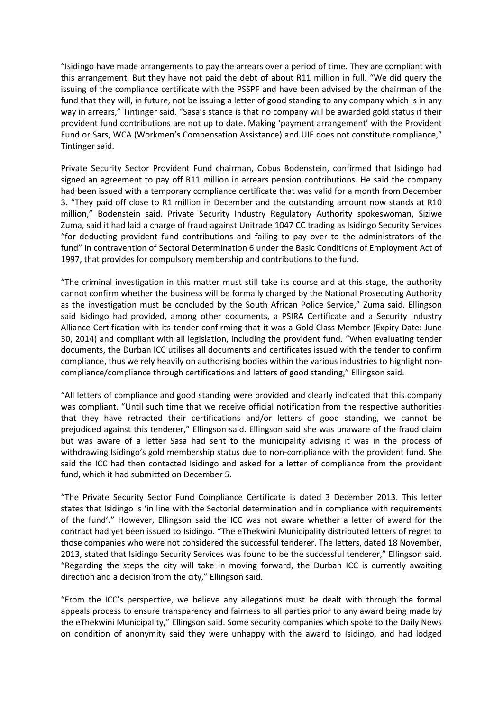"Isidingo have made arrangements to pay the arrears over a period of time. They are compliant with this arrangement. But they have not paid the debt of about R11 million in full. "We did query the issuing of the compliance certificate with the PSSPF and have been advised by the chairman of the fund that they will, in future, not be issuing a letter of good standing to any company which is in any way in arrears," Tintinger said. "Sasa's stance is that no company will be awarded gold status if their provident fund contributions are not up to date. Making 'payment arrangement' with the Provident Fund or Sars, WCA (Workmen's Compensation Assistance) and UIF does not constitute compliance," Tintinger said.

Private Security Sector Provident Fund chairman, Cobus Bodenstein, confirmed that Isidingo had signed an agreement to pay off R11 million in arrears pension contributions. He said the company had been issued with a temporary compliance certificate that was valid for a month from December 3. "They paid off close to R1 million in December and the outstanding amount now stands at R10 million," Bodenstein said. Private Security Industry Regulatory Authority spokeswoman, Siziwe Zuma, said it had laid a charge of fraud against Unitrade 1047 CC trading as Isidingo Security Services "for deducting provident fund contributions and failing to pay over to the administrators of the fund" in contravention of Sectoral Determination 6 under the Basic Conditions of Employment Act of 1997, that provides for compulsory membership and contributions to the fund.

"The criminal investigation in this matter must still take its course and at this stage, the authority cannot confirm whether the business will be formally charged by the National Prosecuting Authority as the investigation must be concluded by the South African Police Service," Zuma said. Ellingson said Isidingo had provided, among other documents, a PSIRA Certificate and a Security Industry Alliance Certification with its tender confirming that it was a Gold Class Member (Expiry Date: June 30, 2014) and compliant with all legislation, including the provident fund. "When evaluating tender documents, the Durban ICC utilises all documents and certificates issued with the tender to confirm compliance, thus we rely heavily on authorising bodies within the various industries to highlight noncompliance/compliance through certifications and letters of good standing," Ellingson said.

"All letters of compliance and good standing were provided and clearly indicated that this company was compliant. "Until such time that we receive official notification from the respective authorities that they have retracted their certifications and/or letters of good standing, we cannot be prejudiced against this tenderer," Ellingson said. Ellingson said she was unaware of the fraud claim but was aware of a letter Sasa had sent to the municipality advising it was in the process of withdrawing Isidingo's gold membership status due to non-compliance with the provident fund. She said the ICC had then contacted Isidingo and asked for a letter of compliance from the provident fund, which it had submitted on December 5.

"The Private Security Sector Fund Compliance Certificate is dated 3 December 2013. This letter states that Isidingo is 'in line with the Sectorial determination and in compliance with requirements of the fund'." However, Ellingson said the ICC was not aware whether a letter of award for the contract had yet been issued to Isidingo. "The eThekwini Municipality distributed letters of regret to those companies who were not considered the successful tenderer. The letters, dated 18 November, 2013, stated that Isidingo Security Services was found to be the successful tenderer," Ellingson said. "Regarding the steps the city will take in moving forward, the Durban ICC is currently awaiting direction and a decision from the city," Ellingson said.

"From the ICC's perspective, we believe any allegations must be dealt with through the formal appeals process to ensure transparency and fairness to all parties prior to any award being made by the eThekwini Municipality," Ellingson said. Some security companies which spoke to the Daily News on condition of anonymity said they were unhappy with the award to Isidingo, and had lodged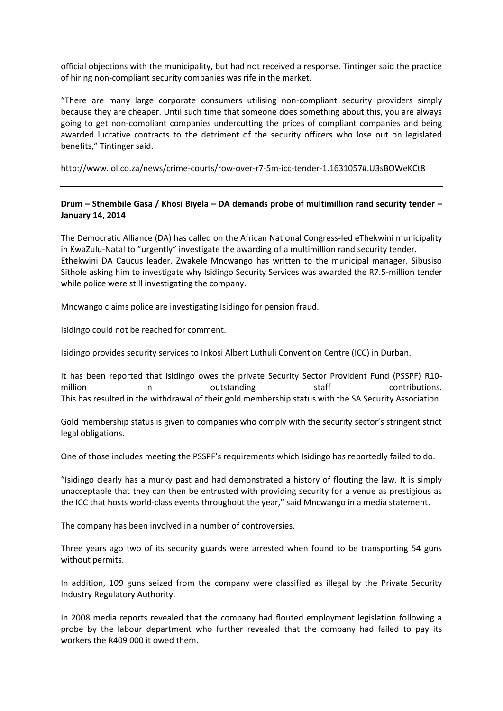official objections with the municipality, but had not received a response. Tintinger said the practice of hiring non-compliant security companies was rife in the market.

"There are many large corporate consumers utilising non-compliant security providers simply because they are cheaper. Until such time that someone does something about this, you are always going to get non-compliant companies undercutting the prices of compliant companies and being awarded lucrative contracts to the detriment of the security officers who lose out on legislated benefits," Tintinger said.

http://www.iol.co.za/news/crime-courts/row-over-r7-5m-icc-tender-1.1631057#.U3sBOWeKCt8

# **Drum – Sthembile Gasa / Khosi Biyela – [DA demands probe of multimillion rand security tender](http://drum.co.za/news/da-demands-probe-of-controversial-tender-to-security-company/) – January 14, 2014**

The Democratic Alliance (DA) has called on the African National Congress-led eThekwini municipality in KwaZulu-Natal to "urgently" investigate the awarding of a multimillion rand security tender. Ethekwini DA Caucus leader, Zwakele Mncwango has written to the municipal manager, Sibusiso Sithole asking him to investigate why Isidingo Security Services was awarded the R7.5-million tender while police were still investigating the company.

Mncwango claims police are investigating Isidingo for pension fraud.

Isidingo could not be reached for comment.

Isidingo provides security services to Inkosi Albert Luthuli Convention Centre (ICC) in Durban.

It has been reported that Isidingo owes the private Security Sector Provident Fund (PSSPF) R10 million in outstanding staff contributions. This has resulted in the withdrawal of their gold membership status with the SA Security Association.

Gold membership status is given to companies who comply with the security sector's stringent strict legal obligations.

One of those includes meeting the PSSPF's requirements which Isidingo has reportedly failed to do.

"Isidingo clearly has a murky past and had demonstrated a history of flouting the law. It is simply unacceptable that they can then be entrusted with providing security for a venue as prestigious as the ICC that hosts world-class events throughout the year," said Mncwango in a media statement.

The company has been involved in a number of controversies.

Three years ago two of its security guards were arrested when found to be transporting 54 guns without permits.

In addition, 109 guns seized from the company were classified as illegal by the Private Security Industry Regulatory Authority.

In 2008 media reports revealed that the company had flouted employment legislation following a probe by the labour department who further revealed that the company had failed to pay its workers the R409 000 it owed them.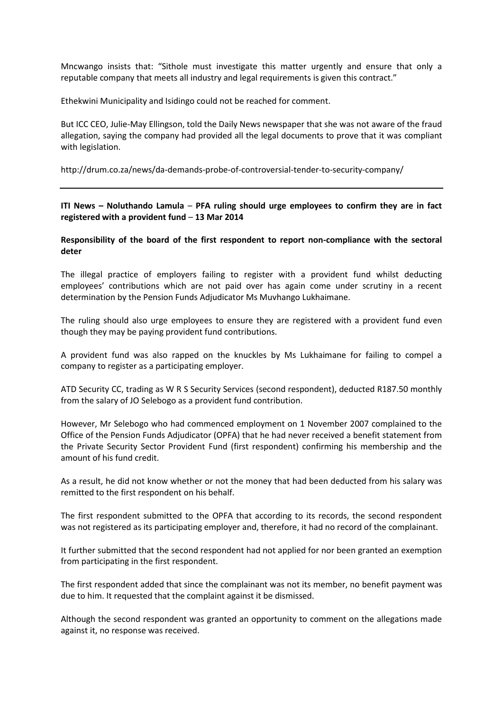Mncwango insists that: "Sithole must investigate this matter urgently and ensure that only a reputable company that meets all industry and legal requirements is given this contract."

Ethekwini Municipality and Isidingo could not be reached for comment.

But ICC CEO, Julie-May Ellingson, told the Daily News newspaper that she was not aware of the fraud allegation, saying the company had provided all the legal documents to prove that it was compliant with legislation.

<http://drum.co.za/news/da-demands-probe-of-controversial-tender-to-security-company/>

**ITI News – Noluthando Lamula** – **PFA ruling should urge employees to confirm they are in fact registered with a provident fund** – **13 Mar 2014**

## **Responsibility of the board of the first respondent to report non-compliance with the sectoral deter**

The illegal practice of employers failing to register with a provident fund whilst deducting employees' contributions which are not paid over has again come under scrutiny in a recent determination by the Pension Funds Adjudicator Ms Muvhango Lukhaimane.

The ruling should also urge employees to ensure they are registered with a provident fund even though they may be paying provident fund contributions.

A provident fund was also rapped on the knuckles by Ms Lukhaimane for failing to compel a company to register as a participating employer.

ATD Security CC, trading as W R S Security Services (second respondent), deducted R187.50 monthly from the salary of JO Selebogo as a provident fund contribution.

However, Mr Selebogo who had commenced employment on 1 November 2007 complained to the Office of the Pension Funds Adjudicator (OPFA) that he had never received a benefit statement from the Private Security Sector Provident Fund (first respondent) confirming his membership and the amount of his fund credit.

As a result, he did not know whether or not the money that had been deducted from his salary was remitted to the first respondent on his behalf.

The first respondent submitted to the OPFA that according to its records, the second respondent was not registered as its participating employer and, therefore, it had no record of the complainant.

It further submitted that the second respondent had not applied for nor been granted an exemption from participating in the first respondent.

The first respondent added that since the complainant was not its member, no benefit payment was due to him. It requested that the complaint against it be dismissed.

Although the second respondent was granted an opportunity to comment on the allegations made against it, no response was received.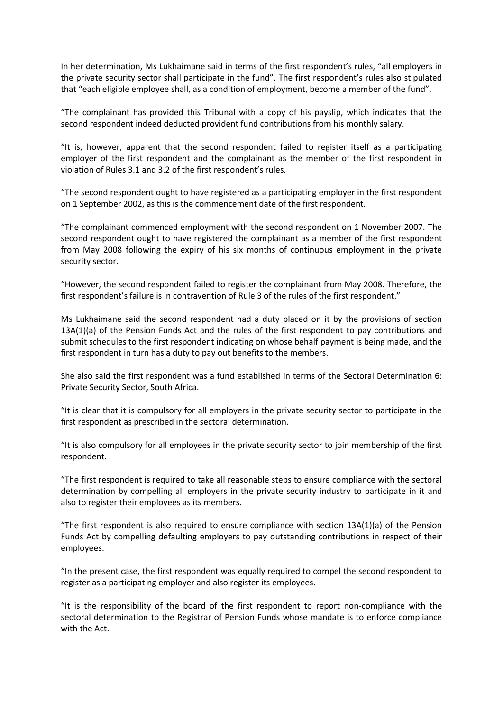In her determination, Ms Lukhaimane said in terms of the first respondent's rules, "all employers in the private security sector shall participate in the fund". The first respondent's rules also stipulated that "each eligible employee shall, as a condition of employment, become a member of the fund".

"The complainant has provided this Tribunal with a copy of his payslip, which indicates that the second respondent indeed deducted provident fund contributions from his monthly salary.

"It is, however, apparent that the second respondent failed to register itself as a participating employer of the first respondent and the complainant as the member of the first respondent in violation of Rules 3.1 and 3.2 of the first respondent's rules.

"The second respondent ought to have registered as a participating employer in the first respondent on 1 September 2002, as this is the commencement date of the first respondent.

"The complainant commenced employment with the second respondent on 1 November 2007. The second respondent ought to have registered the complainant as a member of the first respondent from May 2008 following the expiry of his six months of continuous employment in the private security sector.

"However, the second respondent failed to register the complainant from May 2008. Therefore, the first respondent's failure is in contravention of Rule 3 of the rules of the first respondent."

Ms Lukhaimane said the second respondent had a duty placed on it by the provisions of section 13A(1)(a) of the Pension Funds Act and the rules of the first respondent to pay contributions and submit schedules to the first respondent indicating on whose behalf payment is being made, and the first respondent in turn has a duty to pay out benefits to the members.

She also said the first respondent was a fund established in terms of the Sectoral Determination 6: Private Security Sector, South Africa.

"It is clear that it is compulsory for all employers in the private security sector to participate in the first respondent as prescribed in the sectoral determination.

"It is also compulsory for all employees in the private security sector to join membership of the first respondent.

"The first respondent is required to take all reasonable steps to ensure compliance with the sectoral determination by compelling all employers in the private security industry to participate in it and also to register their employees as its members.

"The first respondent is also required to ensure compliance with section 13A(1)(a) of the Pension Funds Act by compelling defaulting employers to pay outstanding contributions in respect of their employees.

"In the present case, the first respondent was equally required to compel the second respondent to register as a participating employer and also register its employees.

"It is the responsibility of the board of the first respondent to report non-compliance with the sectoral determination to the Registrar of Pension Funds whose mandate is to enforce compliance with the Act.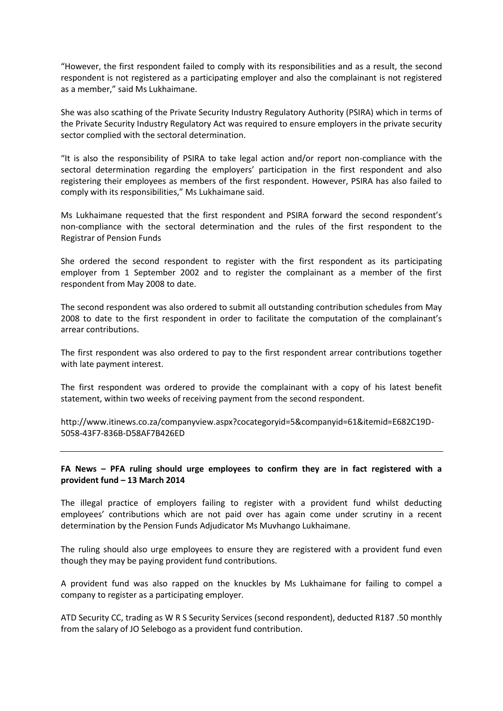"However, the first respondent failed to comply with its responsibilities and as a result, the second respondent is not registered as a participating employer and also the complainant is not registered as a member," said Ms Lukhaimane.

She was also scathing of the Private Security Industry Regulatory Authority (PSIRA) which in terms of the Private Security Industry Regulatory Act was required to ensure employers in the private security sector complied with the sectoral determination.

"It is also the responsibility of PSIRA to take legal action and/or report non-compliance with the sectoral determination regarding the employers' participation in the first respondent and also registering their employees as members of the first respondent. However, PSIRA has also failed to comply with its responsibilities," Ms Lukhaimane said.

Ms Lukhaimane requested that the first respondent and PSIRA forward the second respondent's non-compliance with the sectoral determination and the rules of the first respondent to the Registrar of Pension Funds

She ordered the second respondent to register with the first respondent as its participating employer from 1 September 2002 and to register the complainant as a member of the first respondent from May 2008 to date.

The second respondent was also ordered to submit all outstanding contribution schedules from May 2008 to date to the first respondent in order to facilitate the computation of the complainant's arrear contributions.

The first respondent was also ordered to pay to the first respondent arrear contributions together with late payment interest.

The first respondent was ordered to provide the complainant with a copy of his latest benefit statement, within two weeks of receiving payment from the second respondent.

[http://www.itinews.co.za/companyview.aspx?cocategoryid=5&companyid=61&itemid=E682C19D-](http://www.itinews.co.za/companyview.aspx?cocategoryid=5&companyid=61&itemid=E682C19D-5058-43F7-836B-D58AF7B426ED)[5058-43F7-836B-D58AF7B426ED](http://www.itinews.co.za/companyview.aspx?cocategoryid=5&companyid=61&itemid=E682C19D-5058-43F7-836B-D58AF7B426ED)

# **FA News – PFA ruling should urge employees to confirm they are in fact registered with a provident fund – 13 March 2014**

The illegal practice of employers failing to register with a provident fund whilst deducting employees' contributions which are not paid over has again come under scrutiny in a recent determination by the Pension Funds Adjudicator Ms Muvhango Lukhaimane.

The ruling should also urge employees to ensure they are registered with a provident fund even though they may be paying provident fund contributions.

A provident fund was also rapped on the knuckles by Ms Lukhaimane for failing to compel a company to register as a participating employer.

ATD Security CC, trading as W R S Security Services (second respondent), deducted R187 .50 monthly from the salary of JO Selebogo as a provident fund contribution.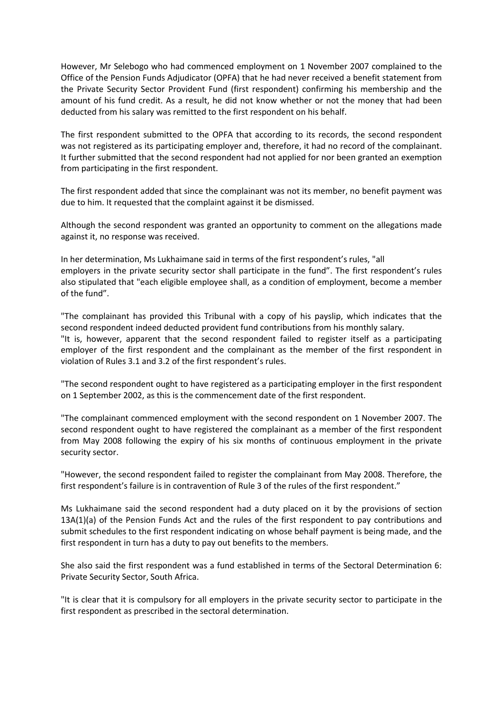However, Mr Selebogo who had commenced employment on 1 November 2007 complained to the Office of the Pension Funds Adjudicator (OPFA) that he had never received a benefit statement from the Private Security Sector Provident Fund (first respondent) confirming his membership and the amount of his fund credit. As a result, he did not know whether or not the money that had been deducted from his salary was remitted to the first respondent on his behalf.

The first respondent submitted to the OPFA that according to its records, the second respondent was not registered as its participating employer and, therefore, it had no record of the complainant. It further submitted that the second respondent had not applied for nor been granted an exemption from participating in the first respondent.

The first respondent added that since the complainant was not its member, no benefit payment was due to him. It requested that the complaint against it be dismissed.

Although the second respondent was granted an opportunity to comment on the allegations made against it, no response was received.

In her determination, Ms Lukhaimane said in terms of the first respondent's rules, "all employers in the private security sector shall participate in the fund". The first respondent's rules also stipulated that "each eligible employee shall, as a condition of employment, become a member of the fund".

"The complainant has provided this Tribunal with a copy of his payslip, which indicates that the second respondent indeed deducted provident fund contributions from his monthly salary. "It is, however, apparent that the second respondent failed to register itself as a participating employer of the first respondent and the complainant as the member of the first respondent in violation of Rules 3.1 and 3.2 of the first respondent's rules.

"The second respondent ought to have registered as a participating employer in the first respondent on 1 September 2002, as this is the commencement date of the first respondent.

"The complainant commenced employment with the second respondent on 1 November 2007. The second respondent ought to have registered the complainant as a member of the first respondent from May 2008 following the expiry of his six months of continuous employment in the private security sector.

"However, the second respondent failed to register the complainant from May 2008. Therefore, the first respondent's failure is in contravention of Rule 3 of the rules of the first respondent."

Ms Lukhaimane said the second respondent had a duty placed on it by the provisions of section 13A(1)(a) of the Pension Funds Act and the rules of the first respondent to pay contributions and submit schedules to the first respondent indicating on whose behalf payment is being made, and the first respondent in turn has a duty to pay out benefits to the members.

She also said the first respondent was a fund established in terms of the Sectoral Determination 6: Private Security Sector, South Africa.

"It is clear that it is compulsory for all employers in the private security sector to participate in the first respondent as prescribed in the sectoral determination.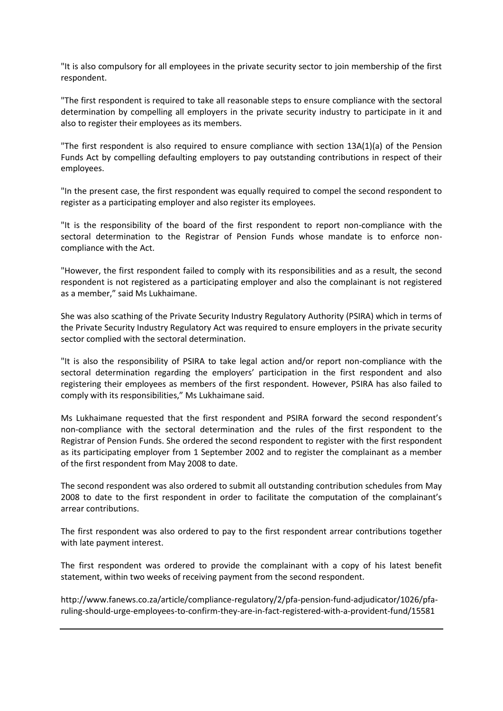"It is also compulsory for all employees in the private security sector to join membership of the first respondent.

"The first respondent is required to take all reasonable steps to ensure compliance with the sectoral determination by compelling all employers in the private security industry to participate in it and also to register their employees as its members.

"The first respondent is also required to ensure compliance with section 13A(1)(a) of the Pension Funds Act by compelling defaulting employers to pay outstanding contributions in respect of their employees.

"In the present case, the first respondent was equally required to compel the second respondent to register as a participating employer and also register its employees.

"It is the responsibility of the board of the first respondent to report non-compliance with the sectoral determination to the Registrar of Pension Funds whose mandate is to enforce noncompliance with the Act.

"However, the first respondent failed to comply with its responsibilities and as a result, the second respondent is not registered as a participating employer and also the complainant is not registered as a member," said Ms Lukhaimane.

She was also scathing of the Private Security Industry Regulatory Authority (PSIRA) which in terms of the Private Security Industry Regulatory Act was required to ensure employers in the private security sector complied with the sectoral determination.

"It is also the responsibility of PSIRA to take legal action and/or report non-compliance with the sectoral determination regarding the employers' participation in the first respondent and also registering their employees as members of the first respondent. However, PSIRA has also failed to comply with its responsibilities," Ms Lukhaimane said.

Ms Lukhaimane requested that the first respondent and PSIRA forward the second respondent's non-compliance with the sectoral determination and the rules of the first respondent to the Registrar of Pension Funds. She ordered the second respondent to register with the first respondent as its participating employer from 1 September 2002 and to register the complainant as a member of the first respondent from May 2008 to date.

The second respondent was also ordered to submit all outstanding contribution schedules from May 2008 to date to the first respondent in order to facilitate the computation of the complainant's arrear contributions.

The first respondent was also ordered to pay to the first respondent arrear contributions together with late payment interest.

The first respondent was ordered to provide the complainant with a copy of his latest benefit statement, within two weeks of receiving payment from the second respondent.

[http://www.fanews.co.za/article/compliance-regulatory/2/pfa-pension-fund-adjudicator/1026/pfa](http://www.fanews.co.za/article/compliance-regulatory/2/pfa-pension-fund-adjudicator/1026/pfa-ruling-should-urge-employees-to-confirm-they-are-in-fact-registered-with-a-provident-fund/15581)[ruling-should-urge-employees-to-confirm-they-are-in-fact-registered-with-a-provident-fund/15581](http://www.fanews.co.za/article/compliance-regulatory/2/pfa-pension-fund-adjudicator/1026/pfa-ruling-should-urge-employees-to-confirm-they-are-in-fact-registered-with-a-provident-fund/15581)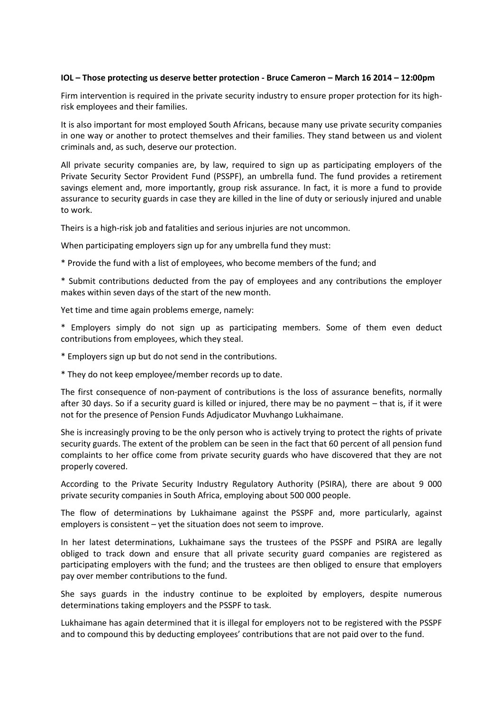### **IOL – Those protecting us deserve better protection - Bruce Cameron – March 16 2014 – 12:00pm**

Firm intervention is required in the private security industry to ensure proper protection for its highrisk employees and their families.

It is also important for most employed South Africans, because many use private security companies in one way or another to protect themselves and their families. They stand between us and violent criminals and, as such, deserve our protection.

All private security companies are, by law, required to sign up as participating employers of the Private Security Sector Provident Fund (PSSPF), an umbrella fund. The fund provides a retirement savings element and, more importantly, group risk assurance. In fact, it is more a fund to provide assurance to security guards in case they are killed in the line of duty or seriously injured and unable to work.

Theirs is a high-risk job and fatalities and serious injuries are not uncommon.

When participating employers sign up for any umbrella fund they must:

\* Provide the fund with a list of employees, who become members of the fund; and

\* Submit contributions deducted from the pay of employees and any contributions the employer makes within seven days of the start of the new month.

Yet time and time again problems emerge, namely:

\* Employers simply do not sign up as participating members. Some of them even deduct contributions from employees, which they steal.

\* Employers sign up but do not send in the contributions.

\* They do not keep employee/member records up to date.

The first consequence of non-payment of contributions is the loss of assurance benefits, normally after 30 days. So if a security guard is killed or injured, there may be no payment – that is, if it were not for the presence of Pension Funds Adjudicator Muvhango Lukhaimane.

She is increasingly proving to be the only person who is actively trying to protect the rights of private security guards. The extent of the problem can be seen in the fact that 60 percent of all pension fund complaints to her office come from private security guards who have discovered that they are not properly covered.

According to the Private Security Industry Regulatory Authority (PSIRA), there are about 9 000 private security companies in South Africa, employing about 500 000 people.

The flow of determinations by Lukhaimane against the PSSPF and, more particularly, against employers is consistent – yet the situation does not seem to improve.

In her latest determinations, Lukhaimane says the trustees of the PSSPF and PSIRA are legally obliged to track down and ensure that all private security guard companies are registered as participating employers with the fund; and the trustees are then obliged to ensure that employers pay over member contributions to the fund.

She says guards in the industry continue to be exploited by employers, despite numerous determinations taking employers and the PSSPF to task.

Lukhaimane has again determined that it is illegal for employers not to be registered with the PSSPF and to compound this by deducting employees' contributions that are not paid over to the fund.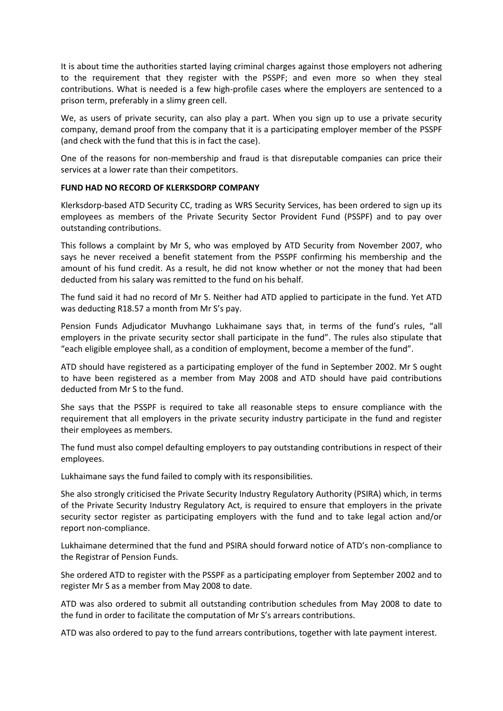It is about time the authorities started laying criminal charges against those employers not adhering to the requirement that they register with the PSSPF; and even more so when they steal contributions. What is needed is a few high-profile cases where the employers are sentenced to a prison term, preferably in a slimy green cell.

We, as users of private security, can also play a part. When you sign up to use a private security company, demand proof from the company that it is a participating employer member of the PSSPF (and check with the fund that this is in fact the case).

One of the reasons for non-membership and fraud is that disreputable companies can price their services at a lower rate than their competitors.

## **FUND HAD NO RECORD OF KLERKSDORP COMPANY**

Klerksdorp-based ATD Security CC, trading as WRS Security Services, has been ordered to sign up its employees as members of the Private Security Sector Provident Fund (PSSPF) and to pay over outstanding contributions.

This follows a complaint by Mr S, who was employed by ATD Security from November 2007, who says he never received a benefit statement from the PSSPF confirming his membership and the amount of his fund credit. As a result, he did not know whether or not the money that had been deducted from his salary was remitted to the fund on his behalf.

The fund said it had no record of Mr S. Neither had ATD applied to participate in the fund. Yet ATD was deducting R18.57 a month from Mr S's pay.

Pension Funds Adjudicator Muvhango Lukhaimane says that, in terms of the fund's rules, "all employers in the private security sector shall participate in the fund". The rules also stipulate that "each eligible employee shall, as a condition of employment, become a member of the fund".

ATD should have registered as a participating employer of the fund in September 2002. Mr S ought to have been registered as a member from May 2008 and ATD should have paid contributions deducted from Mr S to the fund.

She says that the PSSPF is required to take all reasonable steps to ensure compliance with the requirement that all employers in the private security industry participate in the fund and register their employees as members.

The fund must also compel defaulting employers to pay outstanding contributions in respect of their employees.

Lukhaimane says the fund failed to comply with its responsibilities.

She also strongly criticised the Private Security Industry Regulatory Authority (PSIRA) which, in terms of the Private Security Industry Regulatory Act, is required to ensure that employers in the private security sector register as participating employers with the fund and to take legal action and/or report non-compliance.

Lukhaimane determined that the fund and PSIRA should forward notice of ATD's non-compliance to the Registrar of Pension Funds.

She ordered ATD to register with the PSSPF as a participating employer from September 2002 and to register Mr S as a member from May 2008 to date.

ATD was also ordered to submit all outstanding contribution schedules from May 2008 to date to the fund in order to facilitate the computation of Mr S's arrears contributions.

ATD was also ordered to pay to the fund arrears contributions, together with late payment interest.